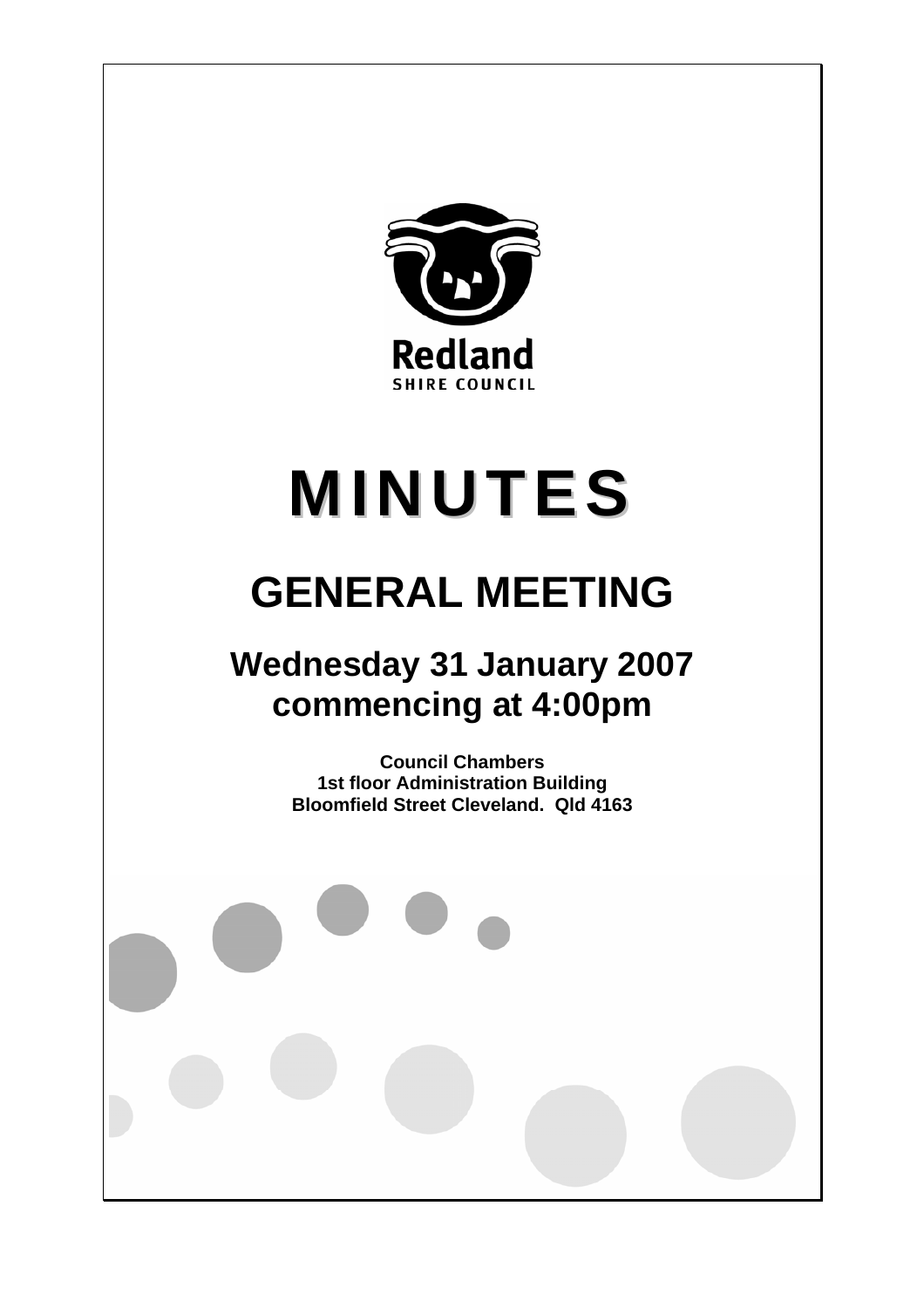

# **MINUTES**

# **GENERAL MEETING**

## **Wednesday 31 January 2007 commencing at 4:00pm**

**Council Chambers 1st floor Administration Building Bloomfield Street Cleveland. Qld 4163**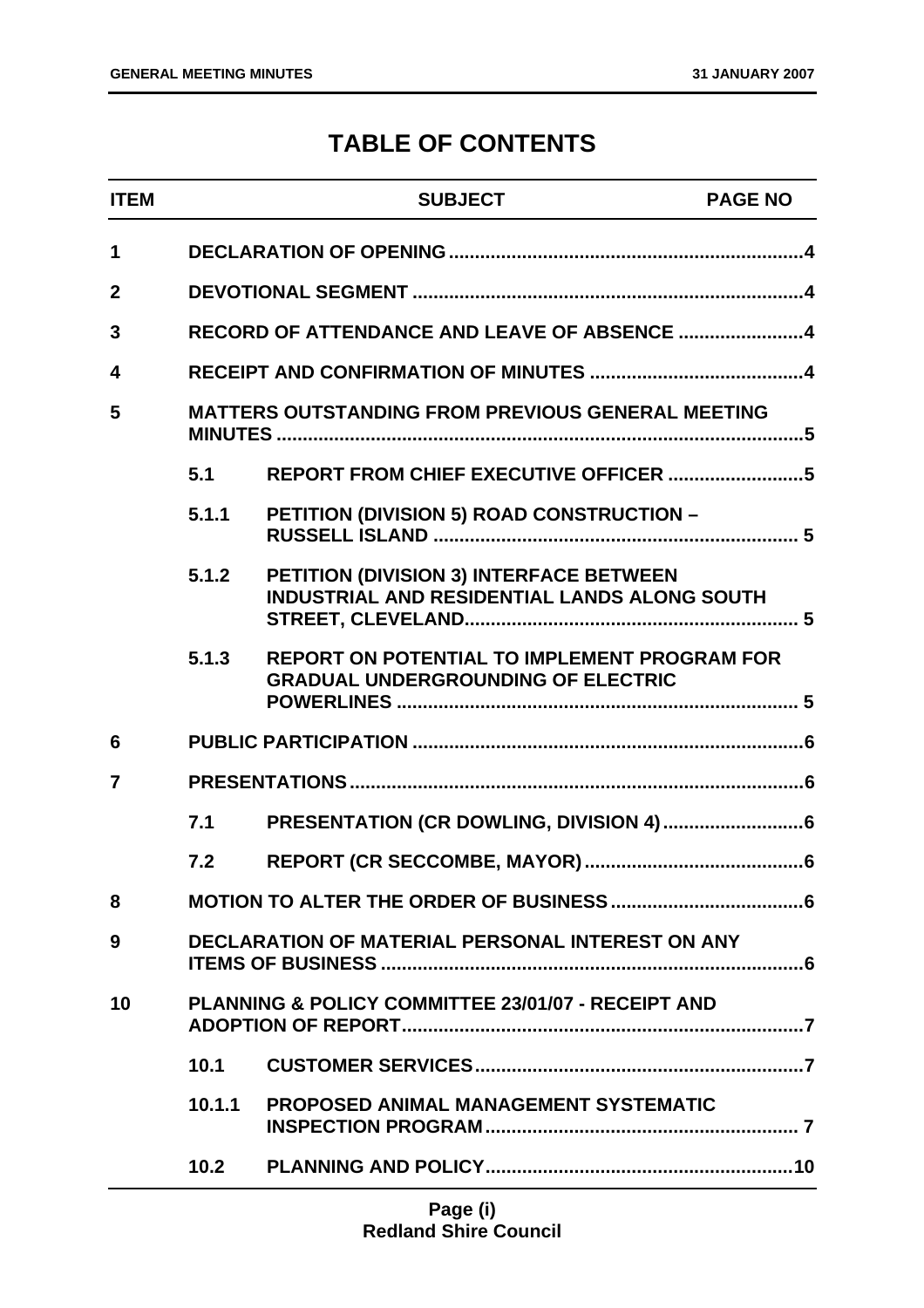### **TABLE OF CONTENTS**

| <b>ITEM</b>    |                   | <b>SUBJECT</b>                                                                                   | <b>PAGE NO</b> |
|----------------|-------------------|--------------------------------------------------------------------------------------------------|----------------|
| 1              |                   |                                                                                                  |                |
| $\overline{2}$ |                   |                                                                                                  |                |
| 3              |                   |                                                                                                  |                |
| 4              |                   |                                                                                                  |                |
| 5              |                   | <b>MATTERS OUTSTANDING FROM PREVIOUS GENERAL MEETING</b>                                         |                |
|                | 5.1               |                                                                                                  |                |
|                | 5.1.1             | PETITION (DIVISION 5) ROAD CONSTRUCTION -                                                        |                |
|                | 5.1.2             | PETITION (DIVISION 3) INTERFACE BETWEEN<br>INDUSTRIAL AND RESIDENTIAL LANDS ALONG SOUTH          |                |
|                | 5.1.3             | <b>REPORT ON POTENTIAL TO IMPLEMENT PROGRAM FOR</b><br><b>GRADUAL UNDERGROUNDING OF ELECTRIC</b> |                |
| 6              |                   |                                                                                                  |                |
| $\overline{7}$ |                   |                                                                                                  |                |
|                | 7.1               |                                                                                                  |                |
|                | 7.2               |                                                                                                  |                |
| 8              |                   |                                                                                                  |                |
| 9              |                   | <b>DECLARATION OF MATERIAL PERSONAL INTEREST ON ANY</b>                                          |                |
| 10             |                   | <b>PLANNING &amp; POLICY COMMITTEE 23/01/07 - RECEIPT AND</b>                                    |                |
|                | 10.1              |                                                                                                  |                |
|                | 10.1.1            | <b>PROPOSED ANIMAL MANAGEMENT SYSTEMATIC</b>                                                     |                |
|                | 10.2 <sub>1</sub> |                                                                                                  |                |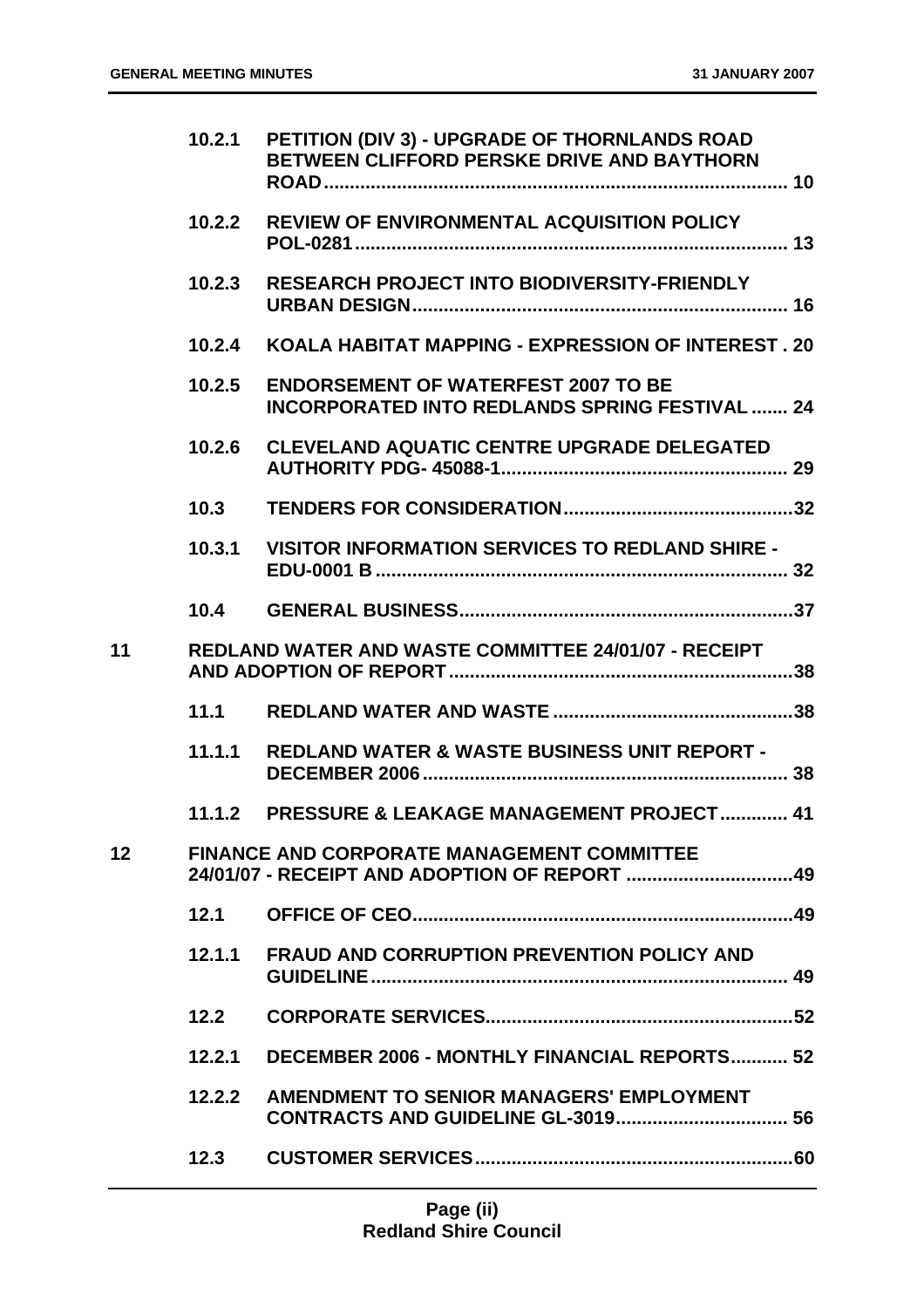|                 | 10.2.1 | PETITION (DIV 3) - UPGRADE OF THORNLANDS ROAD<br>BETWEEN CLIFFORD PERSKE DRIVE AND BAYTHORN         |  |
|-----------------|--------|-----------------------------------------------------------------------------------------------------|--|
|                 | 10.2.2 | REVIEW OF ENVIRONMENTAL ACQUISITION POLICY                                                          |  |
|                 | 10.2.3 | <b>RESEARCH PROJECT INTO BIODIVERSITY-FRIENDLY</b>                                                  |  |
|                 | 10.2.4 | KOALA HABITAT MAPPING - EXPRESSION OF INTEREST. 20                                                  |  |
|                 | 10.2.5 | <b>ENDORSEMENT OF WATERFEST 2007 TO BE</b><br><b>INCORPORATED INTO REDLANDS SPRING FESTIVAL  24</b> |  |
|                 | 10.2.6 | <b>CLEVELAND AQUATIC CENTRE UPGRADE DELEGATED</b>                                                   |  |
|                 | 10.3   |                                                                                                     |  |
|                 | 10.3.1 | <b>VISITOR INFORMATION SERVICES TO REDLAND SHIRE -</b>                                              |  |
|                 | 10.4   |                                                                                                     |  |
| 11              |        | <b>REDLAND WATER AND WASTE COMMITTEE 24/01/07 - RECEIPT</b>                                         |  |
|                 | 11.1   |                                                                                                     |  |
|                 | 11.1.1 | <b>REDLAND WATER &amp; WASTE BUSINESS UNIT REPORT -</b>                                             |  |
|                 |        | 11.1.2 PRESSURE & LEAKAGE MANAGEMENT PROJECT 41                                                     |  |
| 12 <sup>2</sup> |        | <b>FINANCE AND CORPORATE MANAGEMENT COMMITTEE</b>                                                   |  |
|                 | 12.1   |                                                                                                     |  |
|                 | 12.1.1 | <b>FRAUD AND CORRUPTION PREVENTION POLICY AND</b>                                                   |  |
|                 | 12.2   |                                                                                                     |  |
|                 | 12.2.1 | <b>DECEMBER 2006 - MONTHLY FINANCIAL REPORTS 52</b>                                                 |  |
|                 | 12.2.2 | AMENDMENT TO SENIOR MANAGERS' EMPLOYMENT                                                            |  |
|                 | 12.3   |                                                                                                     |  |
|                 |        |                                                                                                     |  |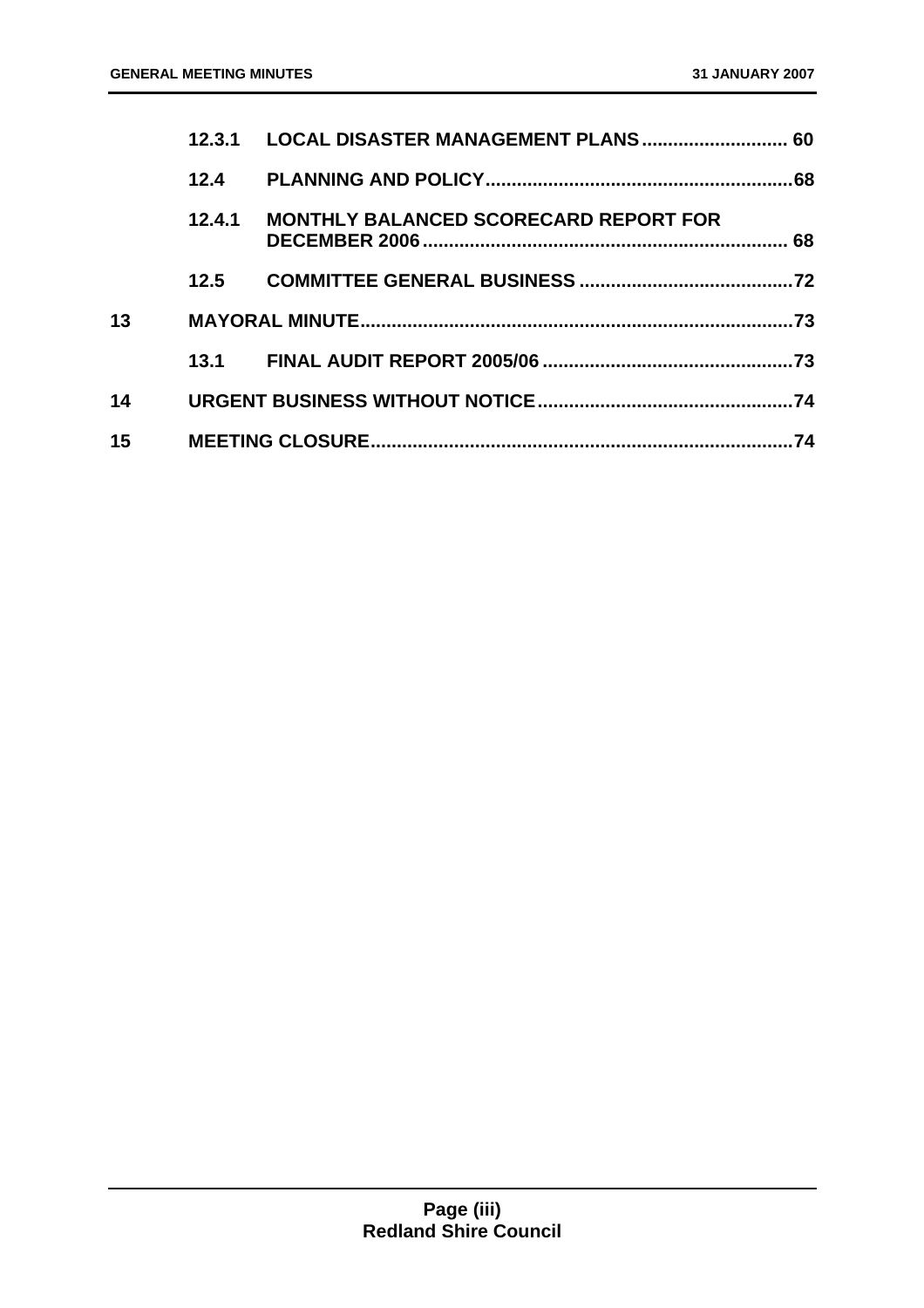|    | 12.3.1 | LOCAL DISASTER MANAGEMENT PLANS 60           |     |
|----|--------|----------------------------------------------|-----|
|    | 12.4   |                                              |     |
|    | 12.4.1 | <b>MONTHLY BALANCED SCORECARD REPORT FOR</b> |     |
|    | 12.5   |                                              |     |
| 13 |        |                                              | .73 |
|    |        |                                              | .73 |
| 14 |        |                                              | .74 |
| 15 |        |                                              | 74  |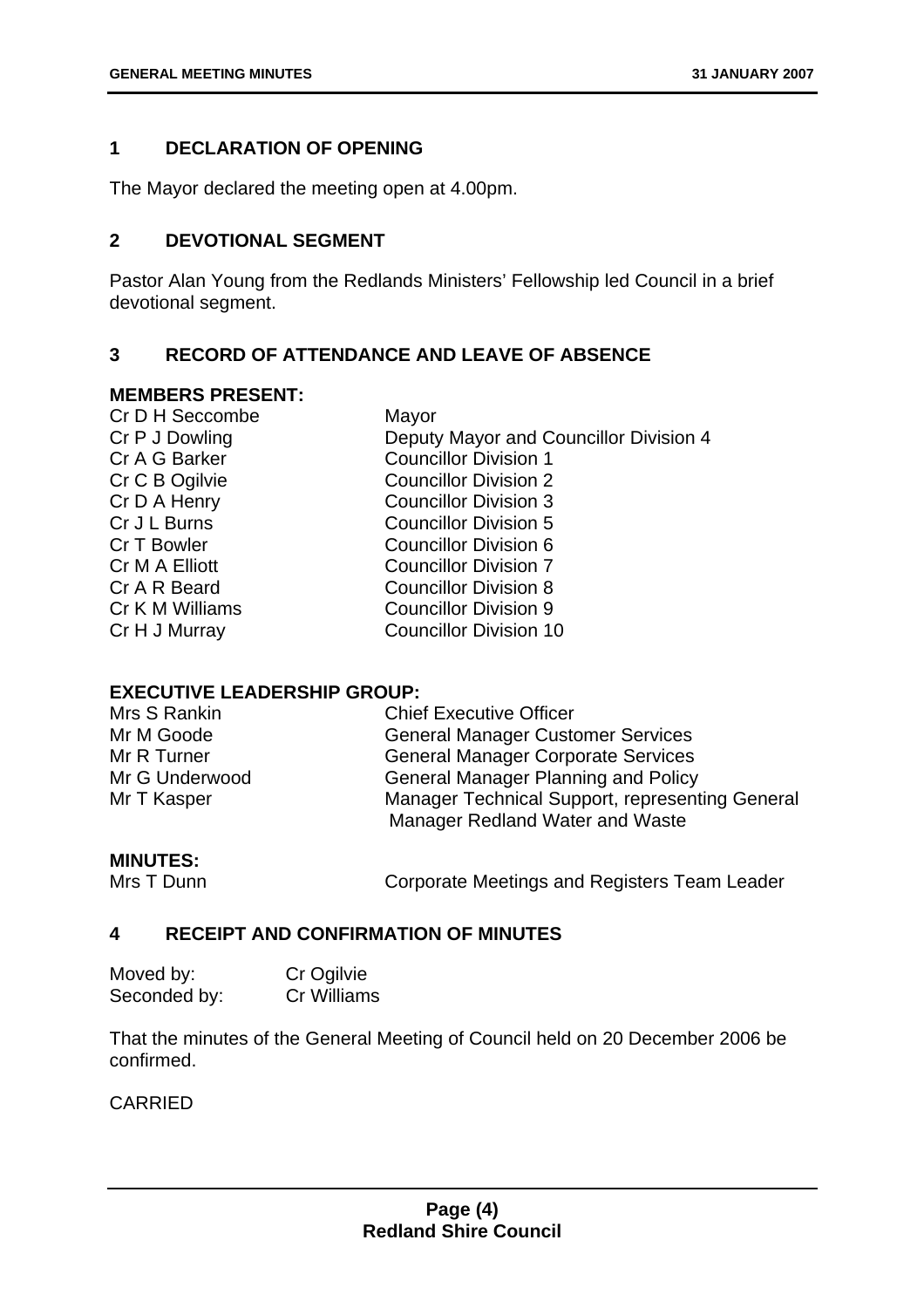#### **1 DECLARATION OF OPENING**

The Mayor declared the meeting open at 4.00pm.

#### **2 DEVOTIONAL SEGMENT**

Pastor Alan Young from the Redlands Ministers' Fellowship led Council in a brief devotional segment.

#### **3 RECORD OF ATTENDANCE AND LEAVE OF ABSENCE**

#### **MEMBERS PRESENT:**

| Cr D H Seccombe | Mayor                                  |
|-----------------|----------------------------------------|
| Cr P J Dowling  | Deputy Mayor and Councillor Division 4 |
| Cr A G Barker   | <b>Councillor Division 1</b>           |
| Cr C B Ogilvie  | <b>Councillor Division 2</b>           |
| Cr D A Henry    | <b>Councillor Division 3</b>           |
| Cr J L Burns    | <b>Councillor Division 5</b>           |
| Cr T Bowler     | <b>Councillor Division 6</b>           |
| Cr M A Elliott  | <b>Councillor Division 7</b>           |
| Cr A R Beard    | <b>Councillor Division 8</b>           |
| Cr K M Williams | <b>Councillor Division 9</b>           |
| Cr H J Murray   | <b>Councillor Division 10</b>          |
|                 |                                        |

#### **EXECUTIVE LEADERSHIP GROUP:**

| Mrs S Rankin   | <b>Chief Executive Officer</b>                  |
|----------------|-------------------------------------------------|
| Mr M Goode     | <b>General Manager Customer Services</b>        |
| Mr R Turner    | <b>General Manager Corporate Services</b>       |
| Mr G Underwood | <b>General Manager Planning and Policy</b>      |
| Mr T Kasper    | Manager Technical Support, representing General |
|                | Manager Redland Water and Waste                 |

#### **MINUTES:**

Mrs T Dunn **Corporate Meetings and Registers Team Leader** 

#### **4 RECEIPT AND CONFIRMATION OF MINUTES**

| Moved by:    | Cr Ogilvie  |
|--------------|-------------|
| Seconded by: | Cr Williams |

That the minutes of the General Meeting of Council held on 20 December 2006 be confirmed.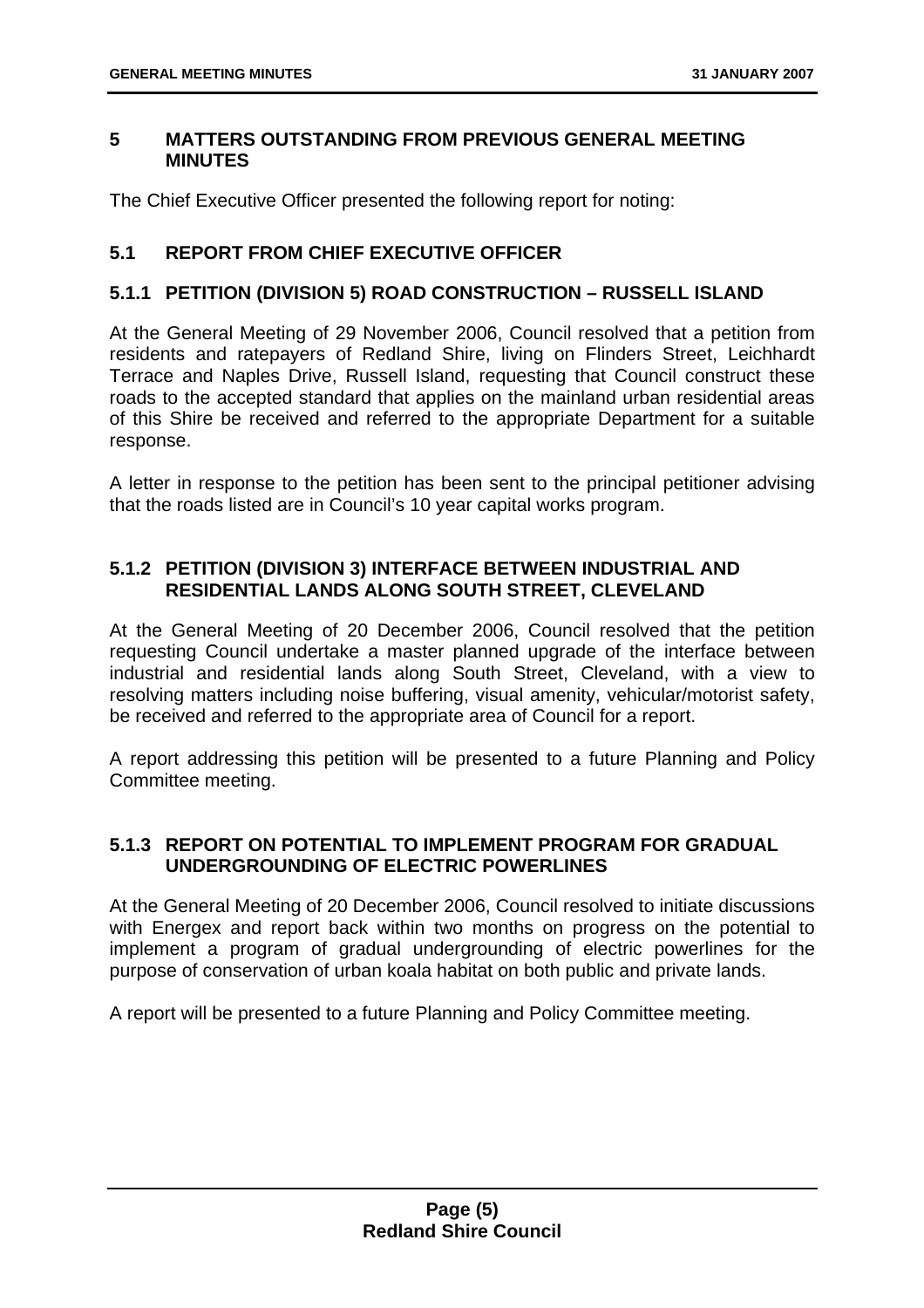#### **5 MATTERS OUTSTANDING FROM PREVIOUS GENERAL MEETING MINUTES**

The Chief Executive Officer presented the following report for noting:

#### **5.1 REPORT FROM CHIEF EXECUTIVE OFFICER**

#### **5.1.1 PETITION (DIVISION 5) ROAD CONSTRUCTION – RUSSELL ISLAND**

At the General Meeting of 29 November 2006, Council resolved that a petition from residents and ratepayers of Redland Shire, living on Flinders Street, Leichhardt Terrace and Naples Drive, Russell Island, requesting that Council construct these roads to the accepted standard that applies on the mainland urban residential areas of this Shire be received and referred to the appropriate Department for a suitable response.

A letter in response to the petition has been sent to the principal petitioner advising that the roads listed are in Council's 10 year capital works program.

#### **5.1.2 PETITION (DIVISION 3) INTERFACE BETWEEN INDUSTRIAL AND RESIDENTIAL LANDS ALONG SOUTH STREET, CLEVELAND**

At the General Meeting of 20 December 2006, Council resolved that the petition requesting Council undertake a master planned upgrade of the interface between industrial and residential lands along South Street, Cleveland, with a view to resolving matters including noise buffering, visual amenity, vehicular/motorist safety, be received and referred to the appropriate area of Council for a report.

A report addressing this petition will be presented to a future Planning and Policy Committee meeting.

#### **5.1.3 REPORT ON POTENTIAL TO IMPLEMENT PROGRAM FOR GRADUAL UNDERGROUNDING OF ELECTRIC POWERLINES**

At the General Meeting of 20 December 2006, Council resolved to initiate discussions with Energex and report back within two months on progress on the potential to implement a program of gradual undergrounding of electric powerlines for the purpose of conservation of urban koala habitat on both public and private lands.

A report will be presented to a future Planning and Policy Committee meeting.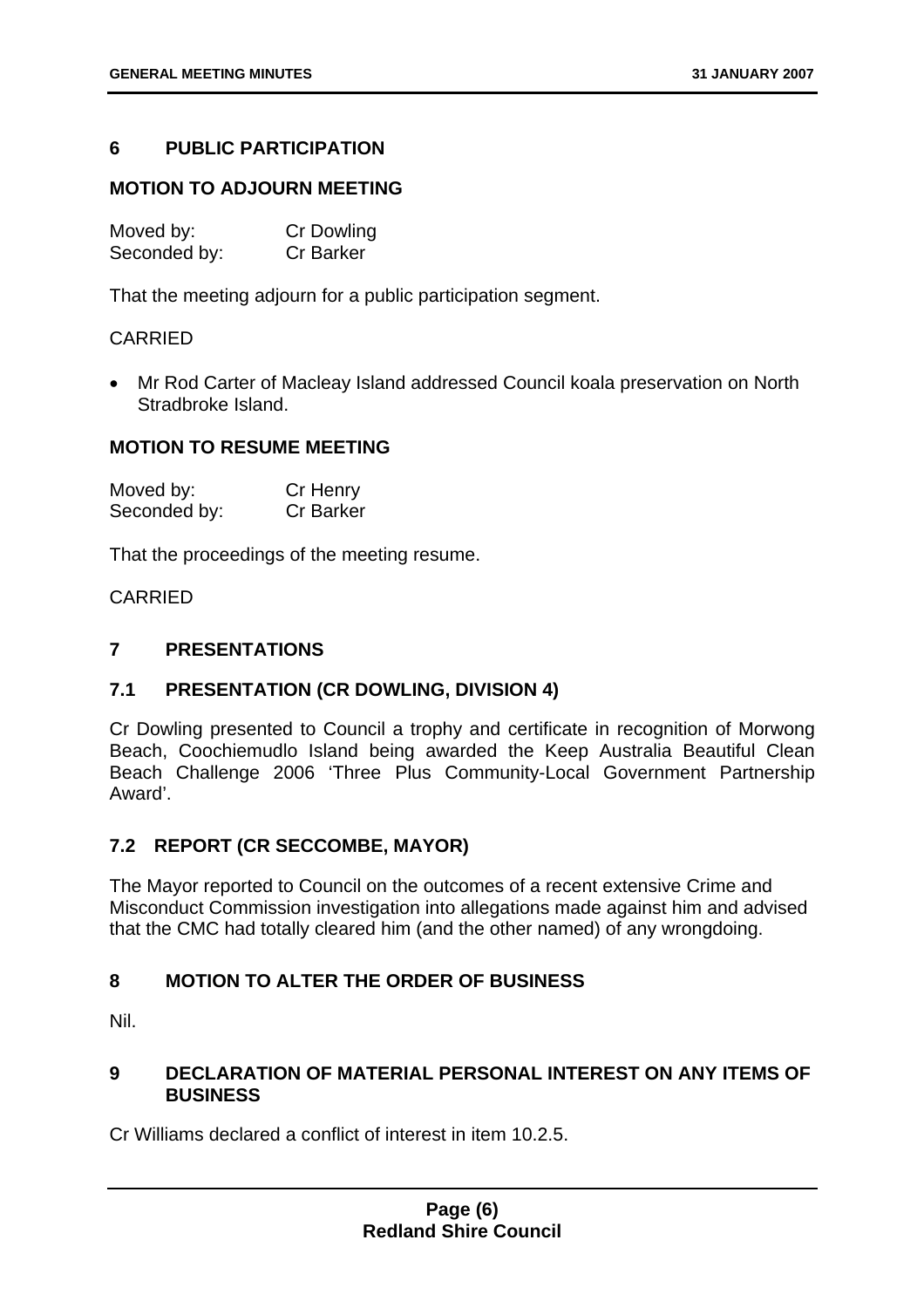#### **6 PUBLIC PARTICIPATION**

#### **MOTION TO ADJOURN MEETING**

| Moved by:    | <b>Cr Dowling</b> |
|--------------|-------------------|
| Seconded by: | <b>Cr Barker</b>  |

That the meeting adjourn for a public participation segment.

#### CARRIED

• Mr Rod Carter of Macleay Island addressed Council koala preservation on North Stradbroke Island.

#### **MOTION TO RESUME MEETING**

| Moved by:    | Cr Henry         |
|--------------|------------------|
| Seconded by: | <b>Cr Barker</b> |

That the proceedings of the meeting resume.

CARRIED

#### **7 PRESENTATIONS**

#### **7.1 PRESENTATION (CR DOWLING, DIVISION 4)**

Cr Dowling presented to Council a trophy and certificate in recognition of Morwong Beach, Coochiemudlo Island being awarded the Keep Australia Beautiful Clean Beach Challenge 2006 'Three Plus Community-Local Government Partnership Award'.

#### **7.2 REPORT (CR SECCOMBE, MAYOR)**

The Mayor reported to Council on the outcomes of a recent extensive Crime and Misconduct Commission investigation into allegations made against him and advised that the CMC had totally cleared him (and the other named) of any wrongdoing.

#### **8 MOTION TO ALTER THE ORDER OF BUSINESS**

Nil.

#### **9 DECLARATION OF MATERIAL PERSONAL INTEREST ON ANY ITEMS OF BUSINESS**

Cr Williams declared a conflict of interest in item 10.2.5.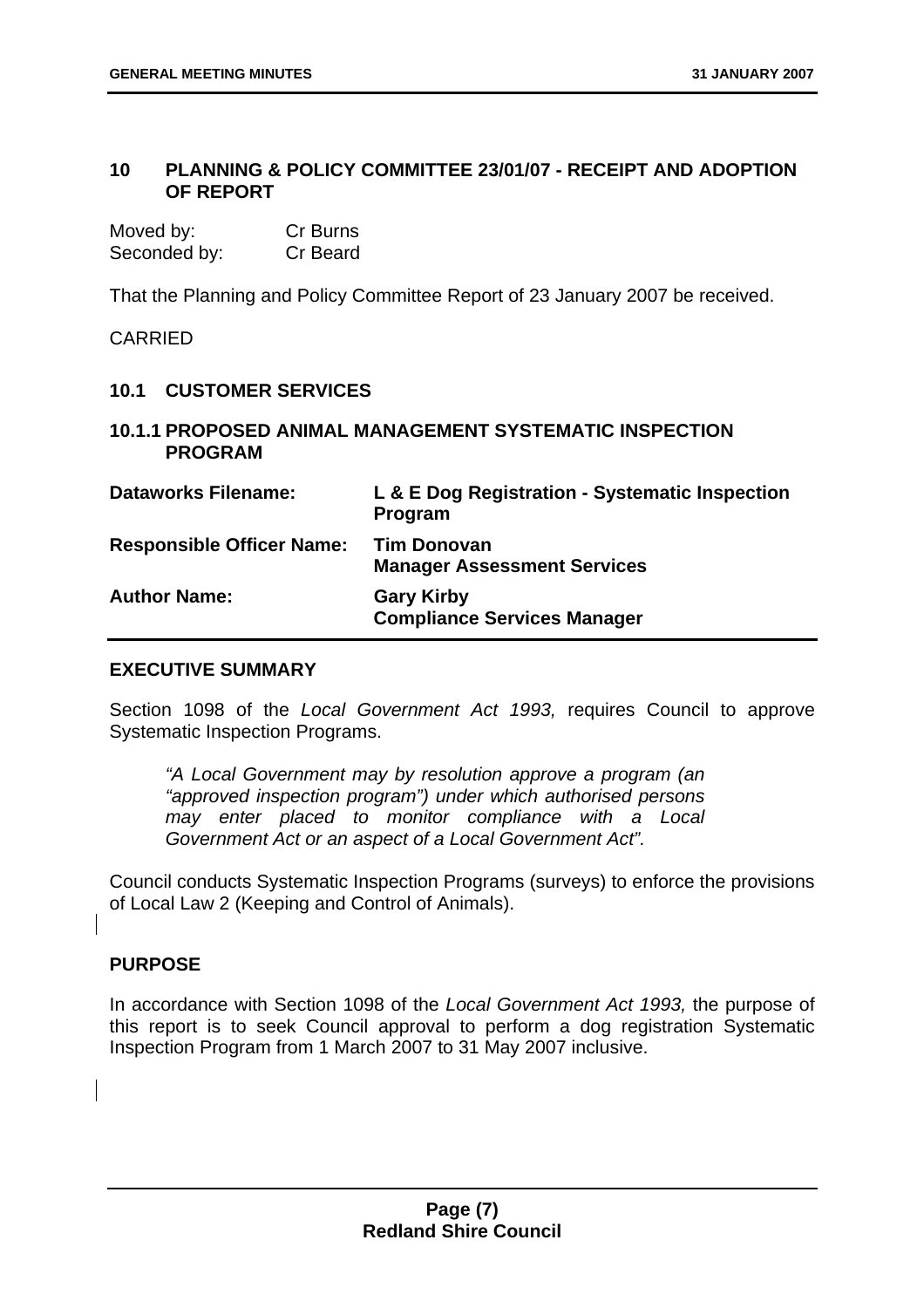#### **10 PLANNING & POLICY COMMITTEE 23/01/07 - RECEIPT AND ADOPTION OF REPORT**

| Moved by:    | Cr Burns |
|--------------|----------|
| Seconded by: | Cr Beard |

That the Planning and Policy Committee Report of 23 January 2007 be received.

**CARRIED** 

#### **10.1 CUSTOMER SERVICES**

#### **10.1.1 PROPOSED ANIMAL MANAGEMENT SYSTEMATIC INSPECTION PROGRAM**

| <b>Dataworks Filename:</b>       | L & E Dog Registration - Systematic Inspection<br>Program |
|----------------------------------|-----------------------------------------------------------|
| <b>Responsible Officer Name:</b> | <b>Tim Donovan</b><br><b>Manager Assessment Services</b>  |
| <b>Author Name:</b>              | <b>Gary Kirby</b><br><b>Compliance Services Manager</b>   |

#### **EXECUTIVE SUMMARY**

Section 1098 of the *Local Government Act 1993,* requires Council to approve Systematic Inspection Programs.

*"A Local Government may by resolution approve a program (an "approved inspection program") under which authorised persons may enter placed to monitor compliance with a Local Government Act or an aspect of a Local Government Act".* 

Council conducts Systematic Inspection Programs (surveys) to enforce the provisions of Local Law 2 (Keeping and Control of Animals).

#### **PURPOSE**

In accordance with Section 1098 of the *Local Government Act 1993,* the purpose of this report is to seek Council approval to perform a dog registration Systematic Inspection Program from 1 March 2007 to 31 May 2007 inclusive.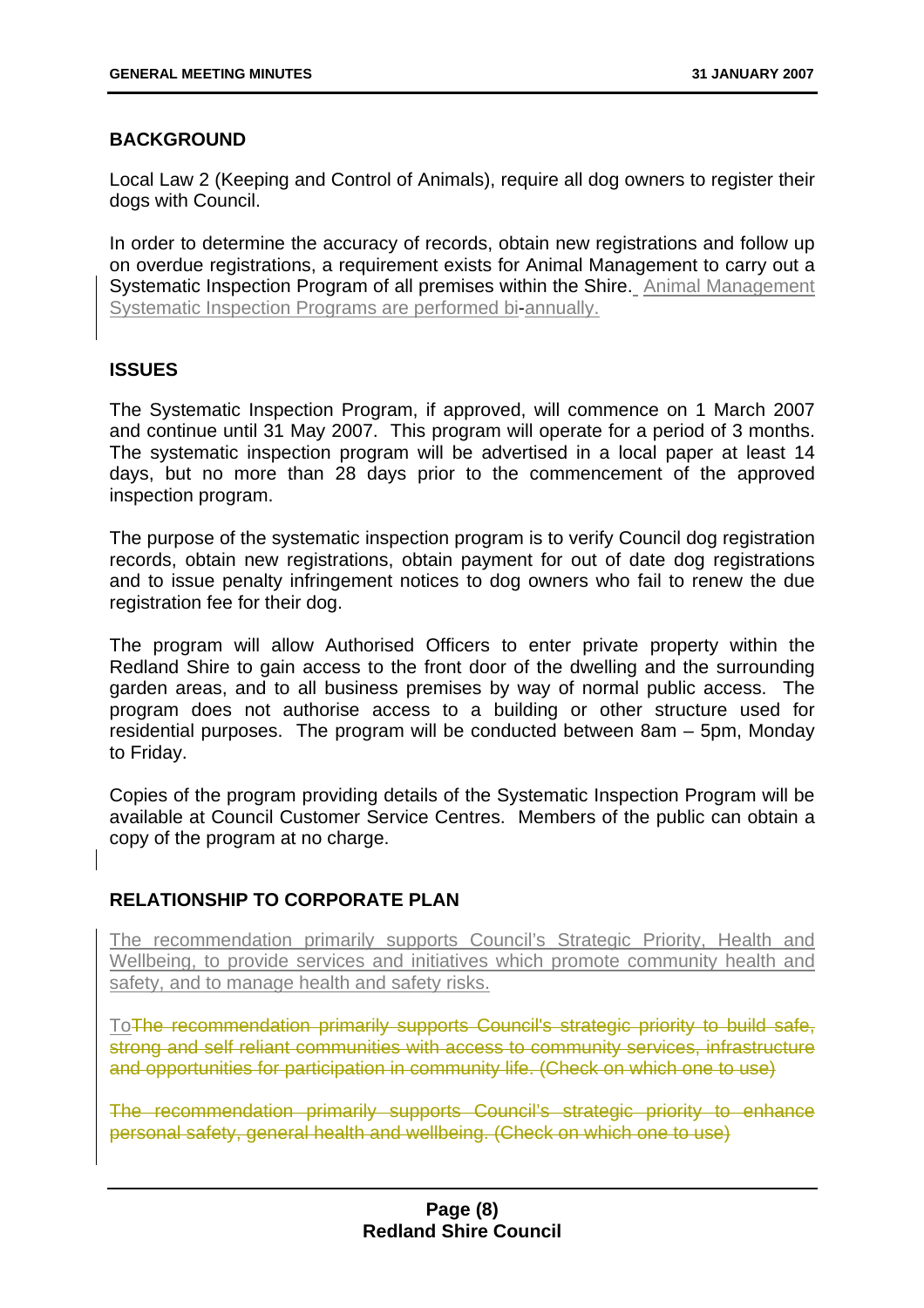#### **BACKGROUND**

Local Law 2 (Keeping and Control of Animals), require all dog owners to register their dogs with Council.

In order to determine the accuracy of records, obtain new registrations and follow up on overdue registrations, a requirement exists for Animal Management to carry out a Systematic Inspection Program of all premises within the Shire. Animal Management Systematic Inspection Programs are performed bi-annually.

#### **ISSUES**

The Systematic Inspection Program, if approved, will commence on 1 March 2007 and continue until 31 May 2007. This program will operate for a period of 3 months. The systematic inspection program will be advertised in a local paper at least 14 days, but no more than 28 days prior to the commencement of the approved inspection program.

The purpose of the systematic inspection program is to verify Council dog registration records, obtain new registrations, obtain payment for out of date dog registrations and to issue penalty infringement notices to dog owners who fail to renew the due registration fee for their dog.

The program will allow Authorised Officers to enter private property within the Redland Shire to gain access to the front door of the dwelling and the surrounding garden areas, and to all business premises by way of normal public access. The program does not authorise access to a building or other structure used for residential purposes. The program will be conducted between 8am – 5pm, Monday to Friday.

Copies of the program providing details of the Systematic Inspection Program will be available at Council Customer Service Centres. Members of the public can obtain a copy of the program at no charge.

#### **RELATIONSHIP TO CORPORATE PLAN**

The recommendation primarily supports Council's Strategic Priority, Health and Wellbeing, to provide services and initiatives which promote community health and safety, and to manage health and safety risks.

ToThe recommendation primarily supports Council's strategic priority to build safe, strong and self reliant communities with access to community services, infrastructure and opportunities for participation in community life. (Check on which one to use)

The recommendation primarily supports Council's strategic priority to enhance personal safety, general health and wellbeing. (Check on which one to use)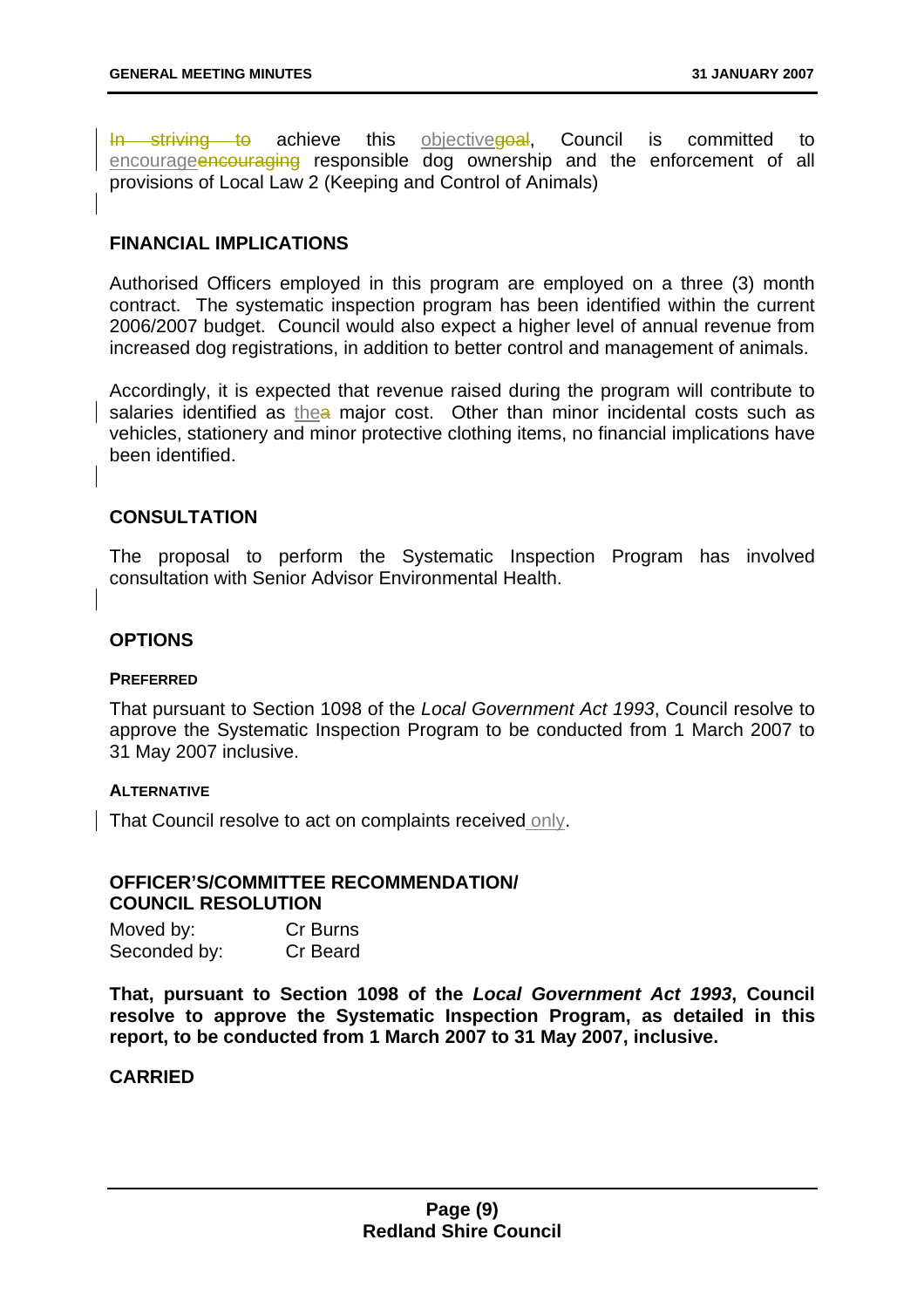In striving to achieve this objective and Council is committed to encourageencouraging responsible dog ownership and the enforcement of all provisions of Local Law 2 (Keeping and Control of Animals)

#### **FINANCIAL IMPLICATIONS**

Authorised Officers employed in this program are employed on a three (3) month contract. The systematic inspection program has been identified within the current 2006/2007 budget. Council would also expect a higher level of annual revenue from increased dog registrations, in addition to better control and management of animals.

Accordingly, it is expected that revenue raised during the program will contribute to salaries identified as the a major cost. Other than minor incidental costs such as vehicles, stationery and minor protective clothing items, no financial implications have been identified.

#### **CONSULTATION**

The proposal to perform the Systematic Inspection Program has involved consultation with Senior Advisor Environmental Health.

#### **OPTIONS**

#### **PREFERRED**

That pursuant to Section 1098 of the *Local Government Act 1993*, Council resolve to approve the Systematic Inspection Program to be conducted from 1 March 2007 to 31 May 2007 inclusive.

#### **ALTERNATIVE**

That Council resolve to act on complaints received only.

#### **OFFICER'S/COMMITTEE RECOMMENDATION/ COUNCIL RESOLUTION**

| Moved by:    | Cr Burns        |
|--------------|-----------------|
| Seconded by: | <b>Cr Beard</b> |

**That, pursuant to Section 1098 of the** *Local Government Act 1993***, Council resolve to approve the Systematic Inspection Program, as detailed in this report, to be conducted from 1 March 2007 to 31 May 2007, inclusive.**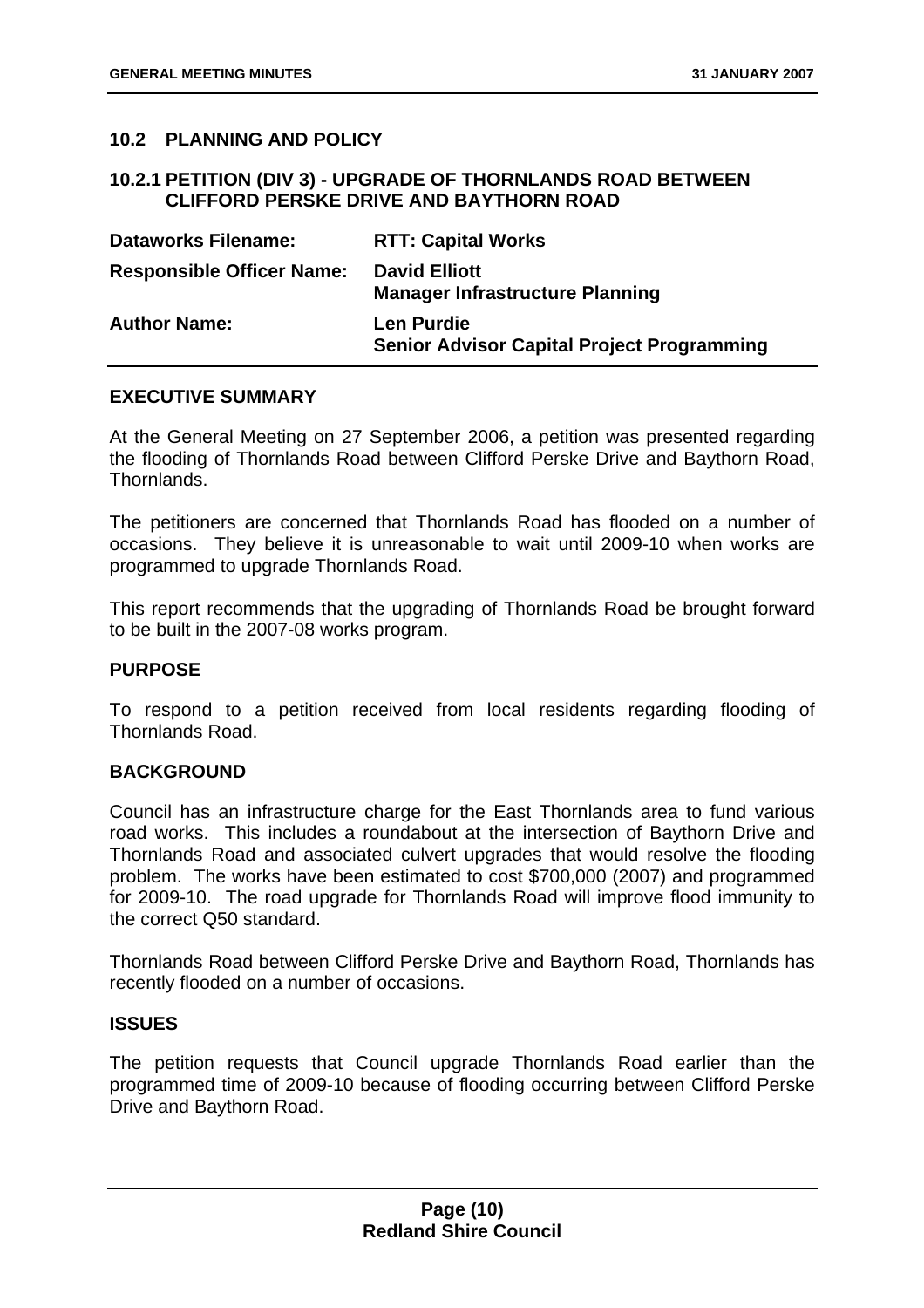#### **10.2 PLANNING AND POLICY**

#### **10.2.1 PETITION (DIV 3) - UPGRADE OF THORNLANDS ROAD BETWEEN CLIFFORD PERSKE DRIVE AND BAYTHORN ROAD**

| <b>Dataworks Filename:</b>       | <b>RTT: Capital Works</b>                                              |
|----------------------------------|------------------------------------------------------------------------|
| <b>Responsible Officer Name:</b> | <b>David Elliott</b><br><b>Manager Infrastructure Planning</b>         |
| <b>Author Name:</b>              | <b>Len Purdie</b><br><b>Senior Advisor Capital Project Programming</b> |

#### **EXECUTIVE SUMMARY**

At the General Meeting on 27 September 2006, a petition was presented regarding the flooding of Thornlands Road between Clifford Perske Drive and Baythorn Road, Thornlands.

The petitioners are concerned that Thornlands Road has flooded on a number of occasions. They believe it is unreasonable to wait until 2009-10 when works are programmed to upgrade Thornlands Road.

This report recommends that the upgrading of Thornlands Road be brought forward to be built in the 2007-08 works program.

#### **PURPOSE**

To respond to a petition received from local residents regarding flooding of Thornlands Road.

#### **BACKGROUND**

Council has an infrastructure charge for the East Thornlands area to fund various road works. This includes a roundabout at the intersection of Baythorn Drive and Thornlands Road and associated culvert upgrades that would resolve the flooding problem. The works have been estimated to cost \$700,000 (2007) and programmed for 2009-10. The road upgrade for Thornlands Road will improve flood immunity to the correct Q50 standard.

Thornlands Road between Clifford Perske Drive and Baythorn Road, Thornlands has recently flooded on a number of occasions.

#### **ISSUES**

The petition requests that Council upgrade Thornlands Road earlier than the programmed time of 2009-10 because of flooding occurring between Clifford Perske Drive and Baythorn Road.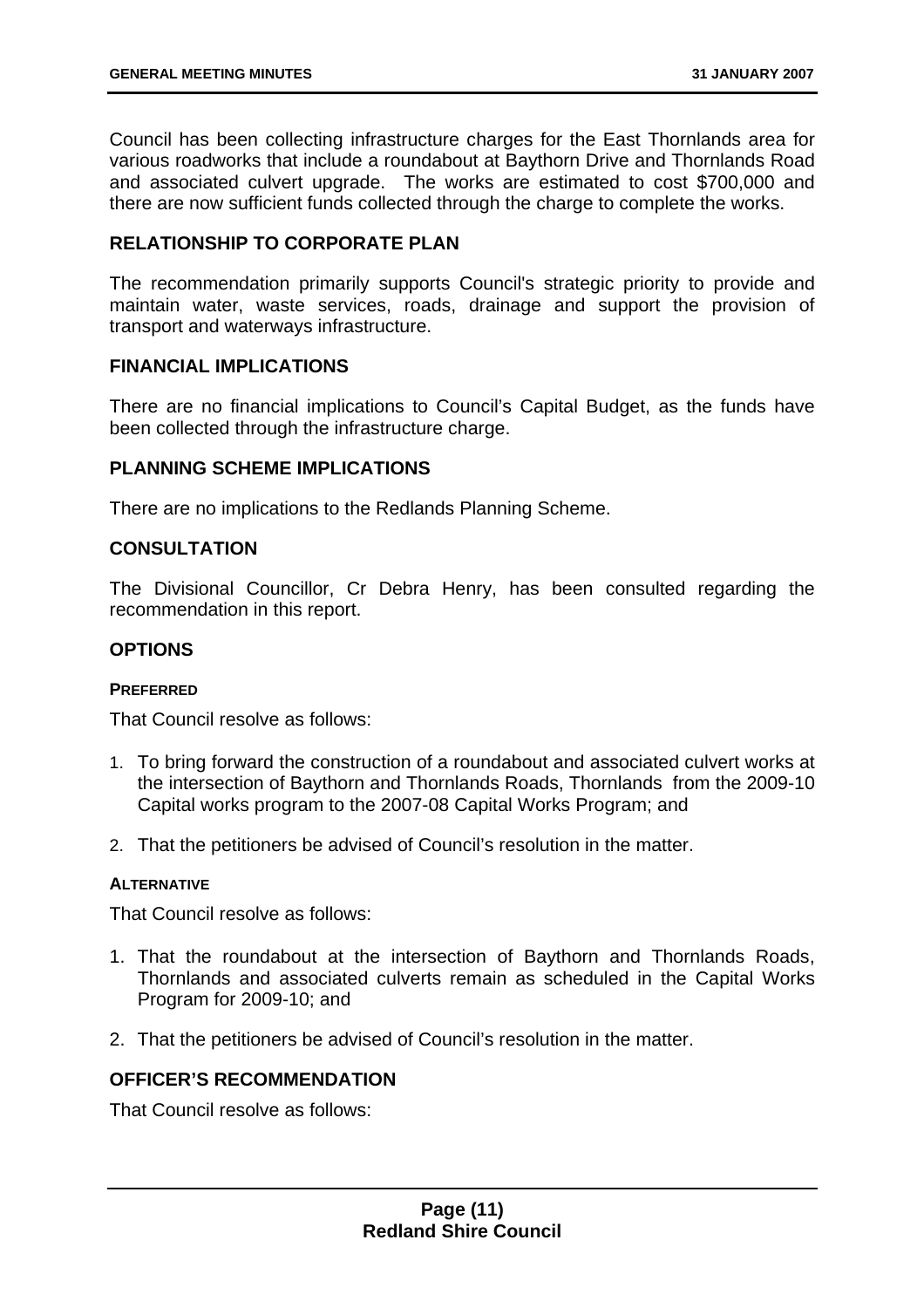Council has been collecting infrastructure charges for the East Thornlands area for various roadworks that include a roundabout at Baythorn Drive and Thornlands Road and associated culvert upgrade. The works are estimated to cost \$700,000 and there are now sufficient funds collected through the charge to complete the works.

#### **RELATIONSHIP TO CORPORATE PLAN**

The recommendation primarily supports Council's strategic priority to provide and maintain water, waste services, roads, drainage and support the provision of transport and waterways infrastructure.

#### **FINANCIAL IMPLICATIONS**

There are no financial implications to Council's Capital Budget, as the funds have been collected through the infrastructure charge.

#### **PLANNING SCHEME IMPLICATIONS**

There are no implications to the Redlands Planning Scheme.

#### **CONSULTATION**

The Divisional Councillor, Cr Debra Henry, has been consulted regarding the recommendation in this report.

#### **OPTIONS**

#### **PREFERRED**

That Council resolve as follows:

- 1. To bring forward the construction of a roundabout and associated culvert works at the intersection of Baythorn and Thornlands Roads, Thornlands from the 2009-10 Capital works program to the 2007-08 Capital Works Program; and
- 2. That the petitioners be advised of Council's resolution in the matter.

#### **ALTERNATIVE**

That Council resolve as follows:

- 1. That the roundabout at the intersection of Baythorn and Thornlands Roads, Thornlands and associated culverts remain as scheduled in the Capital Works Program for 2009-10; and
- 2. That the petitioners be advised of Council's resolution in the matter.

#### **OFFICER'S RECOMMENDATION**

That Council resolve as follows: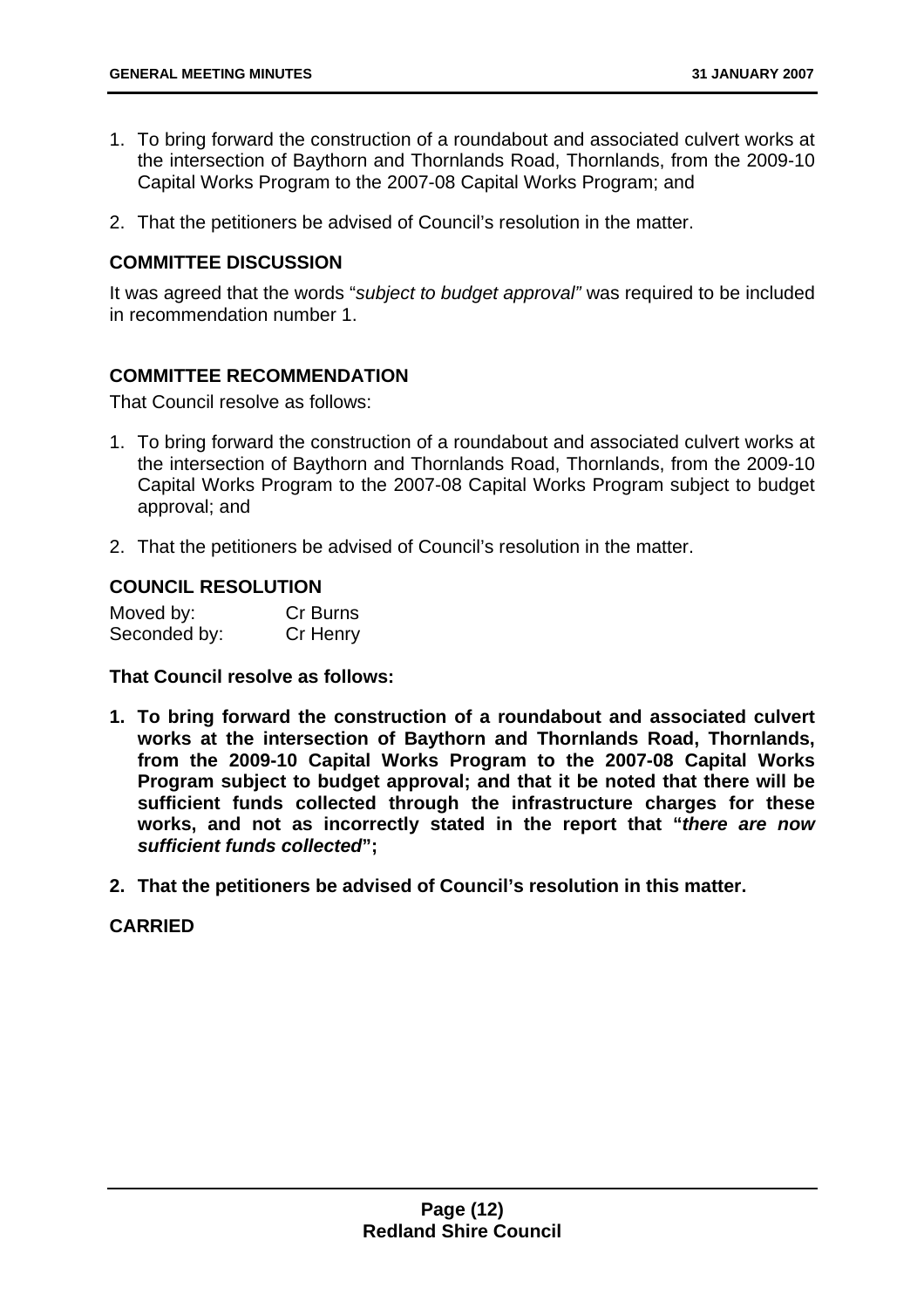- 1. To bring forward the construction of a roundabout and associated culvert works at the intersection of Baythorn and Thornlands Road, Thornlands, from the 2009-10 Capital Works Program to the 2007-08 Capital Works Program; and
- 2. That the petitioners be advised of Council's resolution in the matter.

#### **COMMITTEE DISCUSSION**

It was agreed that the words "*subject to budget approval"* was required to be included in recommendation number 1.

#### **COMMITTEE RECOMMENDATION**

That Council resolve as follows:

- 1. To bring forward the construction of a roundabout and associated culvert works at the intersection of Baythorn and Thornlands Road, Thornlands, from the 2009-10 Capital Works Program to the 2007-08 Capital Works Program subject to budget approval; and
- 2. That the petitioners be advised of Council's resolution in the matter.

#### **COUNCIL RESOLUTION**

| Moved by:    | Cr Burns |
|--------------|----------|
| Seconded by: | Cr Henry |

**That Council resolve as follows:** 

- **1. To bring forward the construction of a roundabout and associated culvert works at the intersection of Baythorn and Thornlands Road, Thornlands, from the 2009-10 Capital Works Program to the 2007-08 Capital Works Program subject to budget approval; and that it be noted that there will be sufficient funds collected through the infrastructure charges for these works, and not as incorrectly stated in the report that "***there are now sufficient funds collected***";**
- **2. That the petitioners be advised of Council's resolution in this matter.**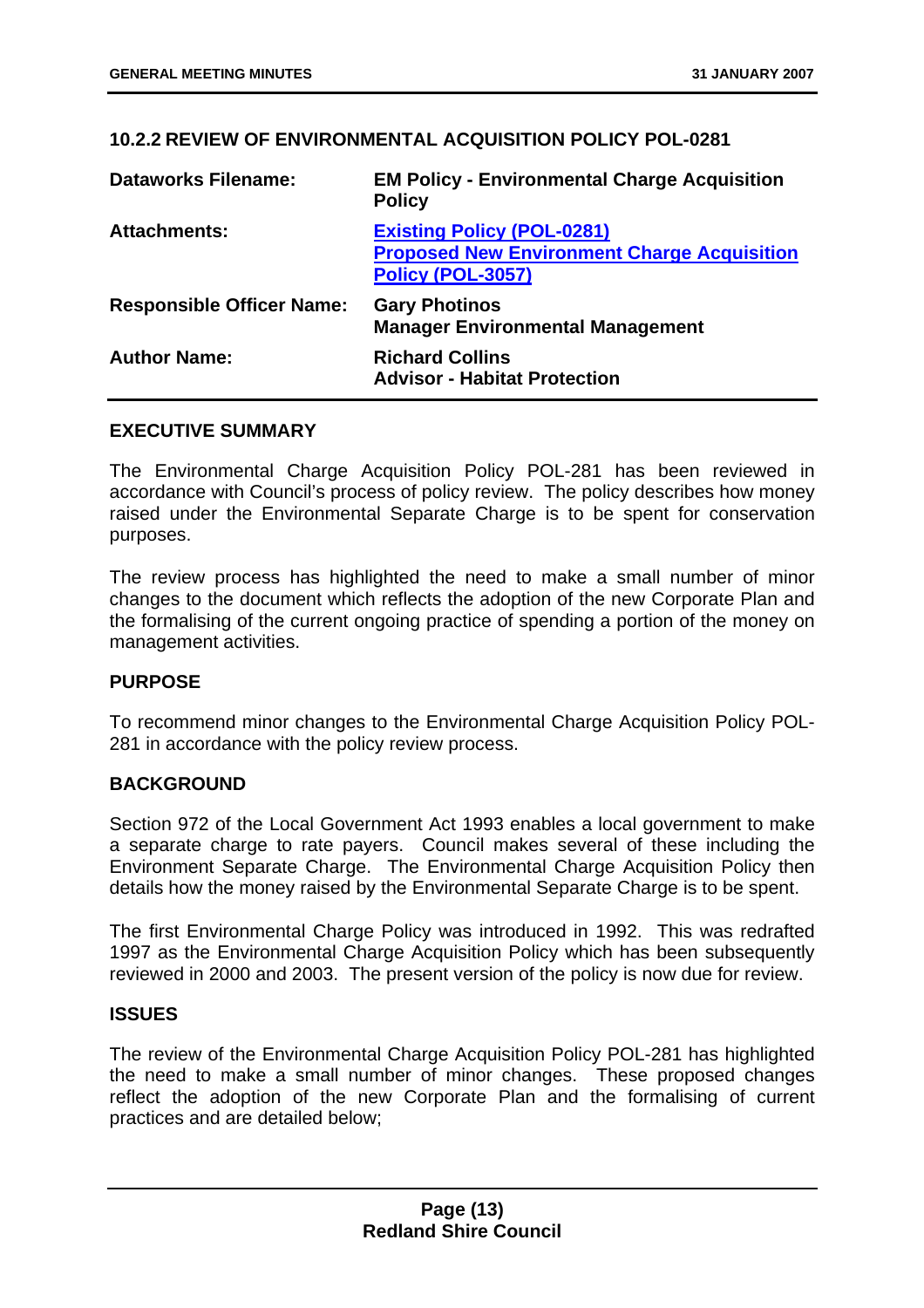#### **10.2.2 REVIEW OF ENVIRONMENTAL ACQUISITION POLICY POL-0281**

| <b>Dataworks Filename:</b>       | <b>EM Policy - Environmental Charge Acquisition</b><br><b>Policy</b>                                                |
|----------------------------------|---------------------------------------------------------------------------------------------------------------------|
| <b>Attachments:</b>              | <b>Existing Policy (POL-0281)</b><br><b>Proposed New Environment Charge Acquisition</b><br><b>Policy (POL-3057)</b> |
| <b>Responsible Officer Name:</b> | <b>Gary Photinos</b><br><b>Manager Environmental Management</b>                                                     |
| <b>Author Name:</b>              | <b>Richard Collins</b><br><b>Advisor - Habitat Protection</b>                                                       |

#### **EXECUTIVE SUMMARY**

The Environmental Charge Acquisition Policy POL-281 has been reviewed in accordance with Council's process of policy review. The policy describes how money raised under the Environmental Separate Charge is to be spent for conservation purposes.

The review process has highlighted the need to make a small number of minor changes to the document which reflects the adoption of the new Corporate Plan and the formalising of the current ongoing practice of spending a portion of the money on management activities.

#### **PURPOSE**

To recommend minor changes to the Environmental Charge Acquisition Policy POL-281 in accordance with the policy review process.

#### **BACKGROUND**

Section 972 of the Local Government Act 1993 enables a local government to make a separate charge to rate payers. Council makes several of these including the Environment Separate Charge. The Environmental Charge Acquisition Policy then details how the money raised by the Environmental Separate Charge is to be spent.

The first Environmental Charge Policy was introduced in 1992. This was redrafted 1997 as the Environmental Charge Acquisition Policy which has been subsequently reviewed in 2000 and 2003. The present version of the policy is now due for review.

#### **ISSUES**

The review of the Environmental Charge Acquisition Policy POL-281 has highlighted the need to make a small number of minor changes. These proposed changes reflect the adoption of the new Corporate Plan and the formalising of current practices and are detailed below;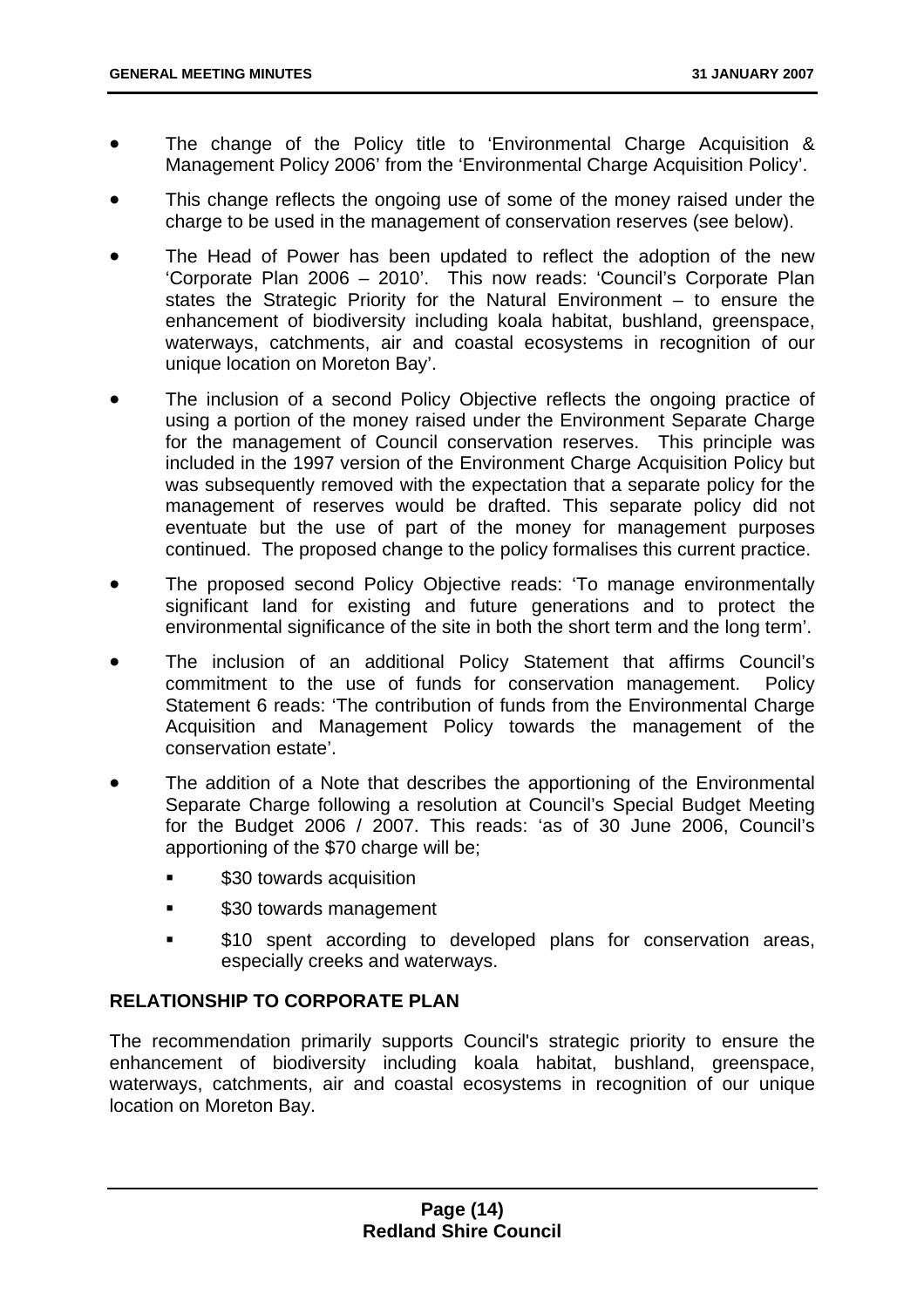- The change of the Policy title to 'Environmental Charge Acquisition & Management Policy 2006' from the 'Environmental Charge Acquisition Policy'.
- This change reflects the ongoing use of some of the money raised under the charge to be used in the management of conservation reserves (see below).
- The Head of Power has been updated to reflect the adoption of the new 'Corporate Plan 2006 – 2010'. This now reads: 'Council's Corporate Plan states the Strategic Priority for the Natural Environment – to ensure the enhancement of biodiversity including koala habitat, bushland, greenspace, waterways, catchments, air and coastal ecosystems in recognition of our unique location on Moreton Bay'.
- The inclusion of a second Policy Objective reflects the ongoing practice of using a portion of the money raised under the Environment Separate Charge for the management of Council conservation reserves. This principle was included in the 1997 version of the Environment Charge Acquisition Policy but was subsequently removed with the expectation that a separate policy for the management of reserves would be drafted. This separate policy did not eventuate but the use of part of the money for management purposes continued. The proposed change to the policy formalises this current practice.
- The proposed second Policy Objective reads: 'To manage environmentally significant land for existing and future generations and to protect the environmental significance of the site in both the short term and the long term'.
- The inclusion of an additional Policy Statement that affirms Council's commitment to the use of funds for conservation management. Policy Statement 6 reads: 'The contribution of funds from the Environmental Charge Acquisition and Management Policy towards the management of the conservation estate'.
- The addition of a Note that describes the apportioning of the Environmental Separate Charge following a resolution at Council's Special Budget Meeting for the Budget 2006 / 2007. This reads: 'as of 30 June 2006, Council's apportioning of the \$70 charge will be;
	- **530 towards acquisition**
	- \$30 towards management
	- **510** spent according to developed plans for conservation areas, especially creeks and waterways.

#### **RELATIONSHIP TO CORPORATE PLAN**

The recommendation primarily supports Council's strategic priority to ensure the enhancement of biodiversity including koala habitat, bushland, greenspace, waterways, catchments, air and coastal ecosystems in recognition of our unique location on Moreton Bay.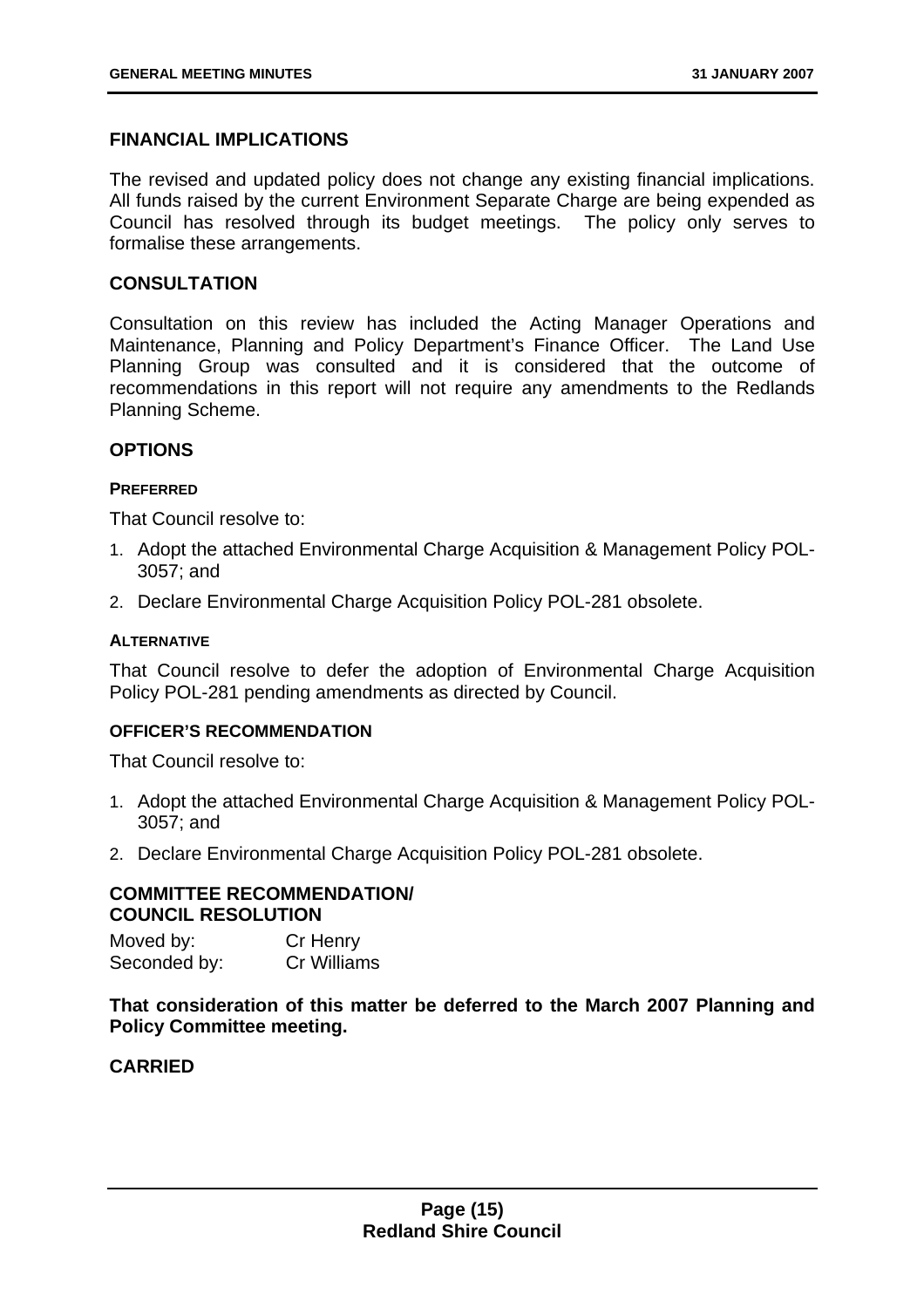#### **FINANCIAL IMPLICATIONS**

The revised and updated policy does not change any existing financial implications. All funds raised by the current Environment Separate Charge are being expended as Council has resolved through its budget meetings. The policy only serves to formalise these arrangements.

#### **CONSULTATION**

Consultation on this review has included the Acting Manager Operations and Maintenance, Planning and Policy Department's Finance Officer. The Land Use Planning Group was consulted and it is considered that the outcome of recommendations in this report will not require any amendments to the Redlands Planning Scheme.

#### **OPTIONS**

#### **PREFERRED**

That Council resolve to:

- 1. Adopt the attached Environmental Charge Acquisition & Management Policy POL-3057; and
- 2. Declare Environmental Charge Acquisition Policy POL-281 obsolete.

#### **ALTERNATIVE**

That Council resolve to defer the adoption of Environmental Charge Acquisition Policy POL-281 pending amendments as directed by Council.

#### **OFFICER'S RECOMMENDATION**

That Council resolve to:

- 1. Adopt the attached Environmental Charge Acquisition & Management Policy POL-3057; and
- 2. Declare Environmental Charge Acquisition Policy POL-281 obsolete.

#### **COMMITTEE RECOMMENDATION/ COUNCIL RESOLUTION**

Moved by: Cr Henry Seconded by: Cr Williams

**That consideration of this matter be deferred to the March 2007 Planning and Policy Committee meeting.**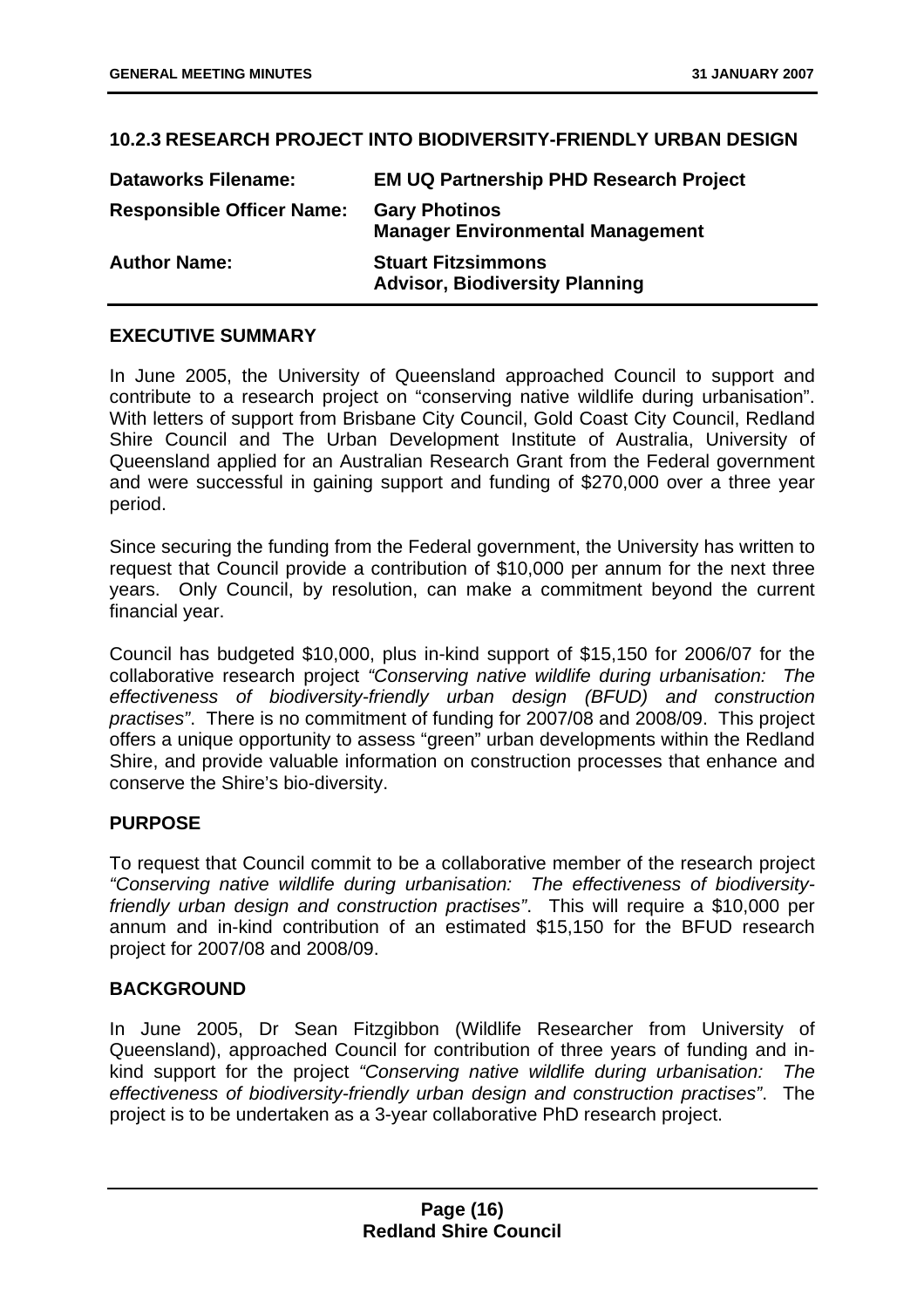#### **10.2.3 RESEARCH PROJECT INTO BIODIVERSITY-FRIENDLY URBAN DESIGN**

| <b>Dataworks Filename:</b>       | <b>EM UQ Partnership PHD Research Project</b>                      |
|----------------------------------|--------------------------------------------------------------------|
| <b>Responsible Officer Name:</b> | <b>Gary Photinos</b><br><b>Manager Environmental Management</b>    |
| <b>Author Name:</b>              | <b>Stuart Fitzsimmons</b><br><b>Advisor, Biodiversity Planning</b> |

#### **EXECUTIVE SUMMARY**

In June 2005, the University of Queensland approached Council to support and contribute to a research project on "conserving native wildlife during urbanisation". With letters of support from Brisbane City Council, Gold Coast City Council, Redland Shire Council and The Urban Development Institute of Australia, University of Queensland applied for an Australian Research Grant from the Federal government and were successful in gaining support and funding of \$270,000 over a three year period.

Since securing the funding from the Federal government, the University has written to request that Council provide a contribution of \$10,000 per annum for the next three years. Only Council, by resolution, can make a commitment beyond the current financial year.

Council has budgeted \$10,000, plus in-kind support of \$15,150 for 2006/07 for the collaborative research project *"Conserving native wildlife during urbanisation: The effectiveness of biodiversity-friendly urban design (BFUD) and construction practises"*. There is no commitment of funding for 2007/08 and 2008/09. This project offers a unique opportunity to assess "green" urban developments within the Redland Shire, and provide valuable information on construction processes that enhance and conserve the Shire's bio-diversity.

#### **PURPOSE**

To request that Council commit to be a collaborative member of the research project *"Conserving native wildlife during urbanisation: The effectiveness of biodiversityfriendly urban design and construction practises"*. This will require a \$10,000 per annum and in-kind contribution of an estimated \$15,150 for the BFUD research project for 2007/08 and 2008/09.

#### **BACKGROUND**

In June 2005, Dr Sean Fitzgibbon (Wildlife Researcher from University of Queensland), approached Council for contribution of three years of funding and inkind support for the project *"Conserving native wildlife during urbanisation: The effectiveness of biodiversity-friendly urban design and construction practises"*. The project is to be undertaken as a 3-year collaborative PhD research project.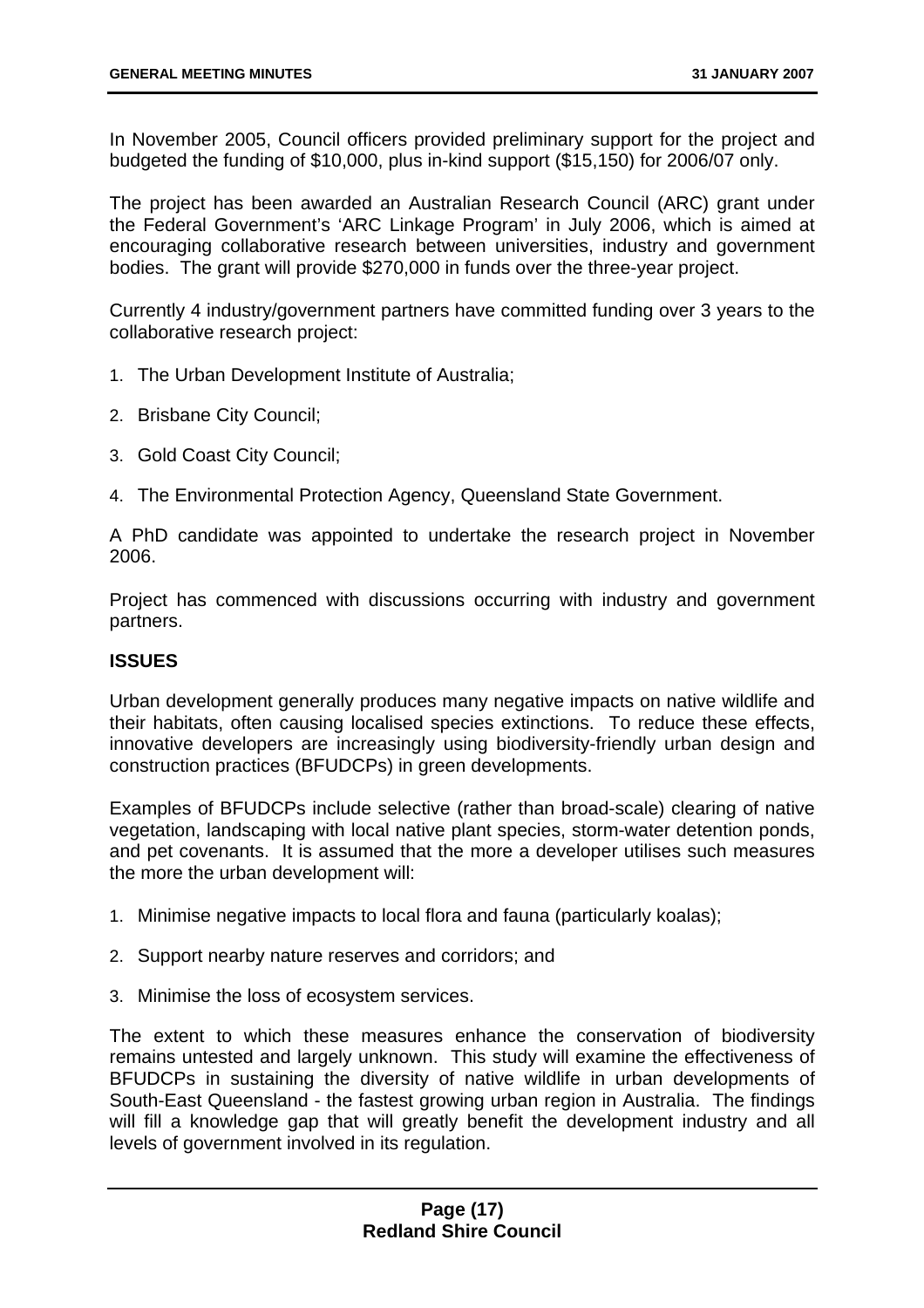In November 2005, Council officers provided preliminary support for the project and budgeted the funding of \$10,000, plus in-kind support (\$15,150) for 2006/07 only.

The project has been awarded an Australian Research Council (ARC) grant under the Federal Government's 'ARC Linkage Program' in July 2006, which is aimed at encouraging collaborative research between universities, industry and government bodies. The grant will provide \$270,000 in funds over the three-year project.

Currently 4 industry/government partners have committed funding over 3 years to the collaborative research project:

- 1. The Urban Development Institute of Australia;
- 2. Brisbane City Council;
- 3. Gold Coast City Council;
- 4. The Environmental Protection Agency, Queensland State Government.

A PhD candidate was appointed to undertake the research project in November 2006.

Project has commenced with discussions occurring with industry and government partners.

#### **ISSUES**

Urban development generally produces many negative impacts on native wildlife and their habitats, often causing localised species extinctions. To reduce these effects, innovative developers are increasingly using biodiversity-friendly urban design and construction practices (BFUDCPs) in green developments.

Examples of BFUDCPs include selective (rather than broad-scale) clearing of native vegetation, landscaping with local native plant species, storm-water detention ponds, and pet covenants. It is assumed that the more a developer utilises such measures the more the urban development will:

- 1. Minimise negative impacts to local flora and fauna (particularly koalas);
- 2. Support nearby nature reserves and corridors; and
- 3. Minimise the loss of ecosystem services.

The extent to which these measures enhance the conservation of biodiversity remains untested and largely unknown. This study will examine the effectiveness of BFUDCPs in sustaining the diversity of native wildlife in urban developments of South-East Queensland - the fastest growing urban region in Australia. The findings will fill a knowledge gap that will greatly benefit the development industry and all levels of government involved in its regulation.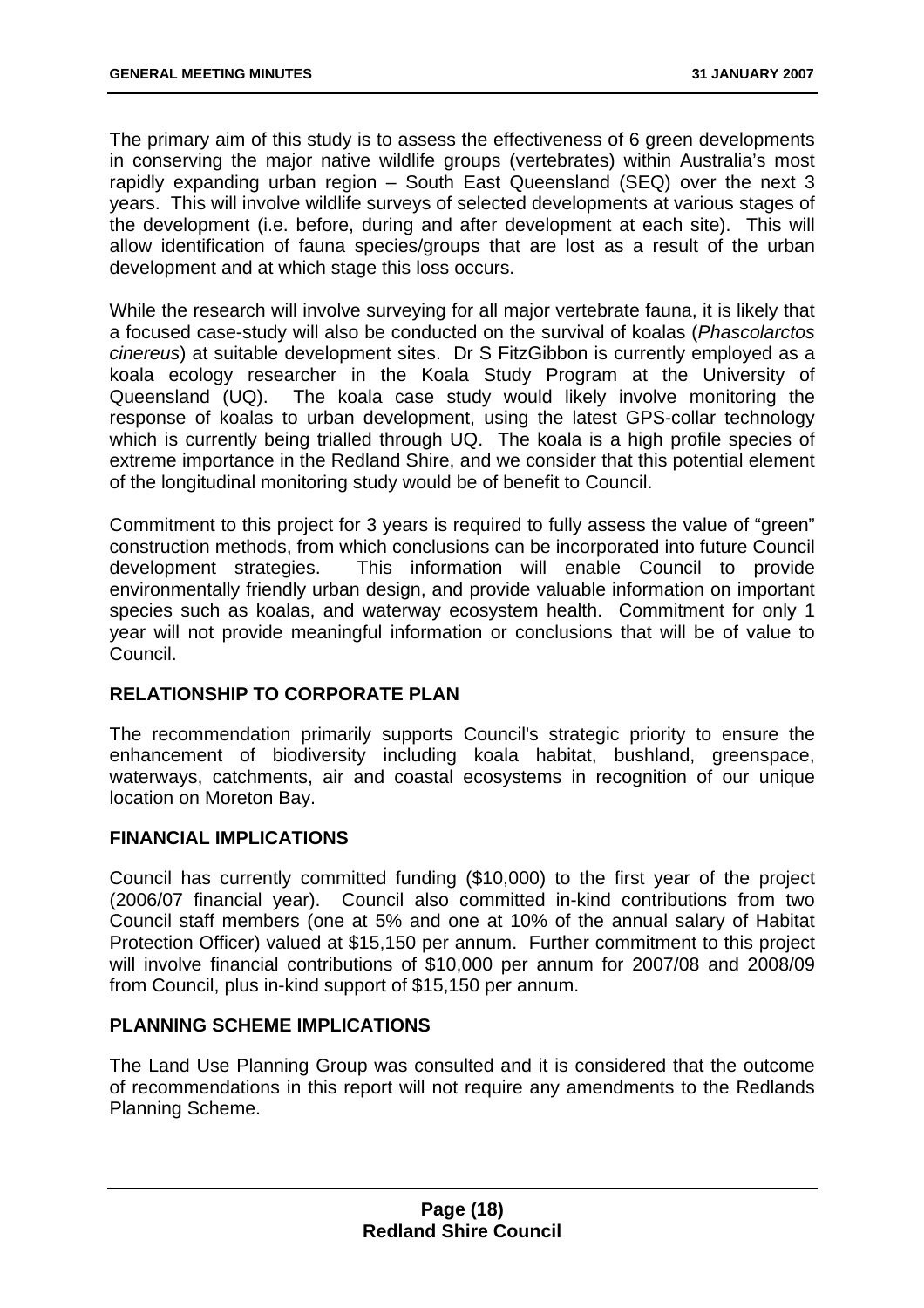The primary aim of this study is to assess the effectiveness of 6 green developments in conserving the major native wildlife groups (vertebrates) within Australia's most rapidly expanding urban region – South East Queensland (SEQ) over the next 3 years. This will involve wildlife surveys of selected developments at various stages of the development (i.e. before, during and after development at each site). This will allow identification of fauna species/groups that are lost as a result of the urban development and at which stage this loss occurs.

While the research will involve surveying for all major vertebrate fauna, it is likely that a focused case-study will also be conducted on the survival of koalas (*Phascolarctos cinereus*) at suitable development sites. Dr S FitzGibbon is currently employed as a koala ecology researcher in the Koala Study Program at the University of Queensland (UQ). The koala case study would likely involve monitoring the response of koalas to urban development, using the latest GPS-collar technology which is currently being trialled through UQ. The koala is a high profile species of extreme importance in the Redland Shire, and we consider that this potential element of the longitudinal monitoring study would be of benefit to Council.

Commitment to this project for 3 years is required to fully assess the value of "green" construction methods, from which conclusions can be incorporated into future Council development strategies. This information will enable Council to provide environmentally friendly urban design, and provide valuable information on important species such as koalas, and waterway ecosystem health. Commitment for only 1 year will not provide meaningful information or conclusions that will be of value to Council.

#### **RELATIONSHIP TO CORPORATE PLAN**

The recommendation primarily supports Council's strategic priority to ensure the enhancement of biodiversity including koala habitat, bushland, greenspace, waterways, catchments, air and coastal ecosystems in recognition of our unique location on Moreton Bay.

#### **FINANCIAL IMPLICATIONS**

Council has currently committed funding (\$10,000) to the first year of the project (2006/07 financial year). Council also committed in-kind contributions from two Council staff members (one at 5% and one at 10% of the annual salary of Habitat Protection Officer) valued at \$15,150 per annum. Further commitment to this project will involve financial contributions of \$10,000 per annum for 2007/08 and 2008/09 from Council, plus in-kind support of \$15,150 per annum.

#### **PLANNING SCHEME IMPLICATIONS**

The Land Use Planning Group was consulted and it is considered that the outcome of recommendations in this report will not require any amendments to the Redlands Planning Scheme.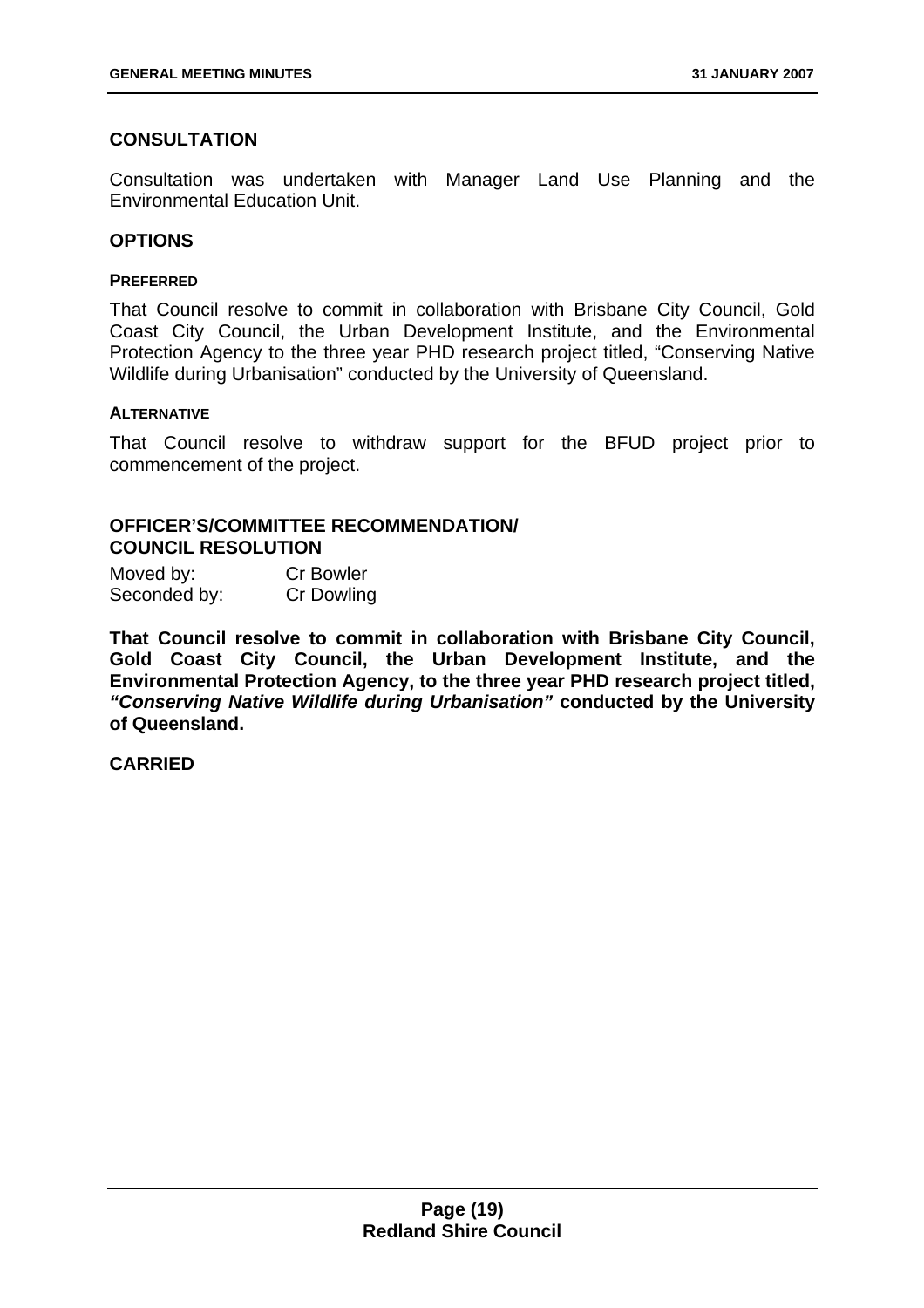#### **CONSULTATION**

Consultation was undertaken with Manager Land Use Planning and the Environmental Education Unit.

#### **OPTIONS**

#### **PREFERRED**

That Council resolve to commit in collaboration with Brisbane City Council, Gold Coast City Council, the Urban Development Institute, and the Environmental Protection Agency to the three year PHD research project titled, "Conserving Native Wildlife during Urbanisation" conducted by the University of Queensland.

#### **ALTERNATIVE**

That Council resolve to withdraw support for the BFUD project prior to commencement of the project.

#### **OFFICER'S/COMMITTEE RECOMMENDATION/ COUNCIL RESOLUTION**

Moved by: Cr Bowler Seconded by: Cr Dowling

**That Council resolve to commit in collaboration with Brisbane City Council, Gold Coast City Council, the Urban Development Institute, and the Environmental Protection Agency, to the three year PHD research project titled,**  *"Conserving Native Wildlife during Urbanisation"* **conducted by the University of Queensland.**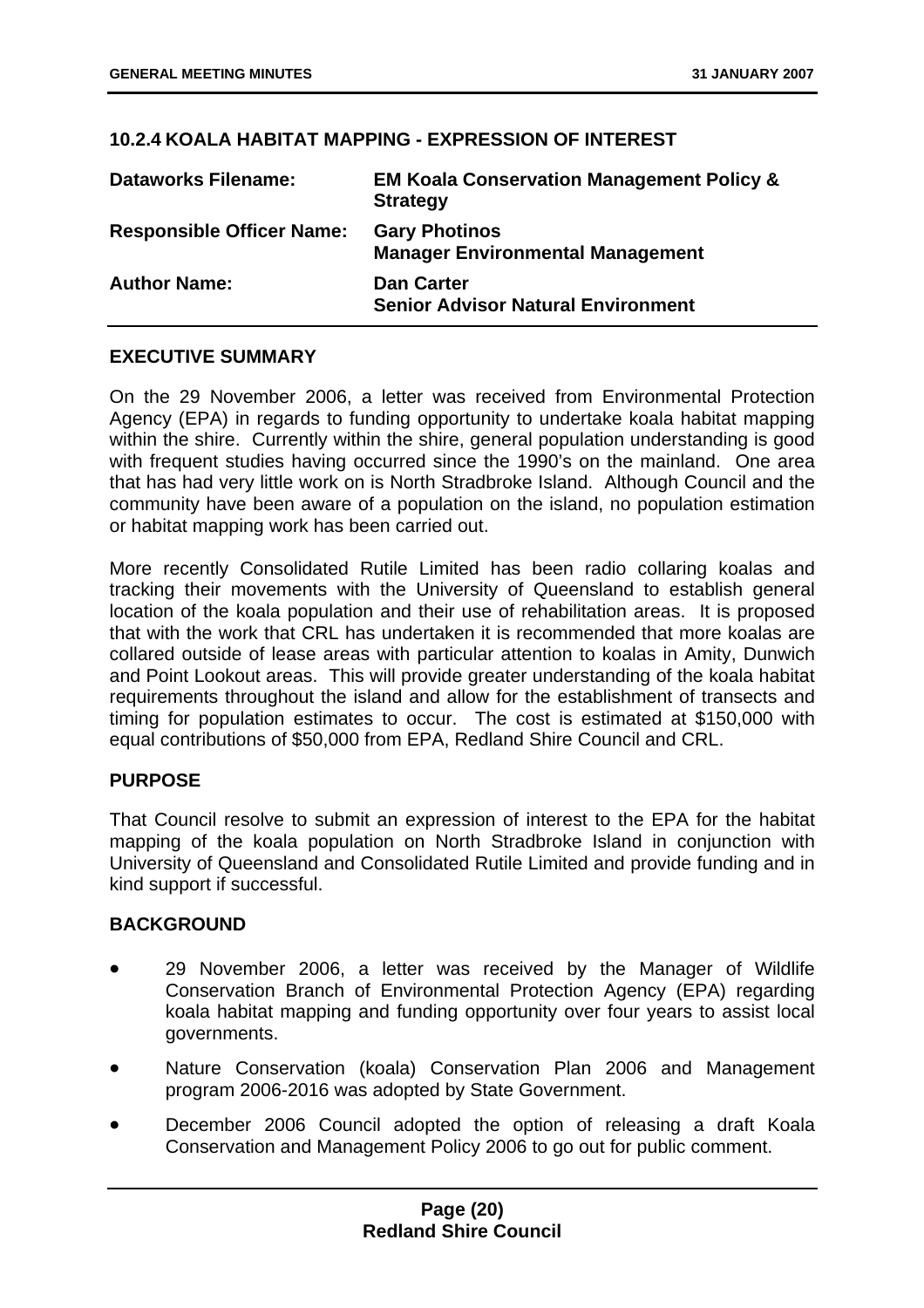#### **10.2.4 KOALA HABITAT MAPPING - EXPRESSION OF INTEREST**

| <b>Dataworks Filename:</b>       | <b>EM Koala Conservation Management Policy &amp;</b><br><b>Strategy</b> |
|----------------------------------|-------------------------------------------------------------------------|
| <b>Responsible Officer Name:</b> | <b>Gary Photinos</b><br><b>Manager Environmental Management</b>         |
| <b>Author Name:</b>              | <b>Dan Carter</b><br><b>Senior Advisor Natural Environment</b>          |

#### **EXECUTIVE SUMMARY**

On the 29 November 2006, a letter was received from Environmental Protection Agency (EPA) in regards to funding opportunity to undertake koala habitat mapping within the shire. Currently within the shire, general population understanding is good with frequent studies having occurred since the 1990's on the mainland. One area that has had very little work on is North Stradbroke Island. Although Council and the community have been aware of a population on the island, no population estimation or habitat mapping work has been carried out.

More recently Consolidated Rutile Limited has been radio collaring koalas and tracking their movements with the University of Queensland to establish general location of the koala population and their use of rehabilitation areas. It is proposed that with the work that CRL has undertaken it is recommended that more koalas are collared outside of lease areas with particular attention to koalas in Amity, Dunwich and Point Lookout areas. This will provide greater understanding of the koala habitat requirements throughout the island and allow for the establishment of transects and timing for population estimates to occur. The cost is estimated at \$150,000 with equal contributions of \$50,000 from EPA, Redland Shire Council and CRL.

#### **PURPOSE**

That Council resolve to submit an expression of interest to the EPA for the habitat mapping of the koala population on North Stradbroke Island in conjunction with University of Queensland and Consolidated Rutile Limited and provide funding and in kind support if successful.

#### **BACKGROUND**

- 29 November 2006, a letter was received by the Manager of Wildlife Conservation Branch of Environmental Protection Agency (EPA) regarding koala habitat mapping and funding opportunity over four years to assist local governments.
- Nature Conservation (koala) Conservation Plan 2006 and Management program 2006-2016 was adopted by State Government.
- December 2006 Council adopted the option of releasing a draft Koala Conservation and Management Policy 2006 to go out for public comment.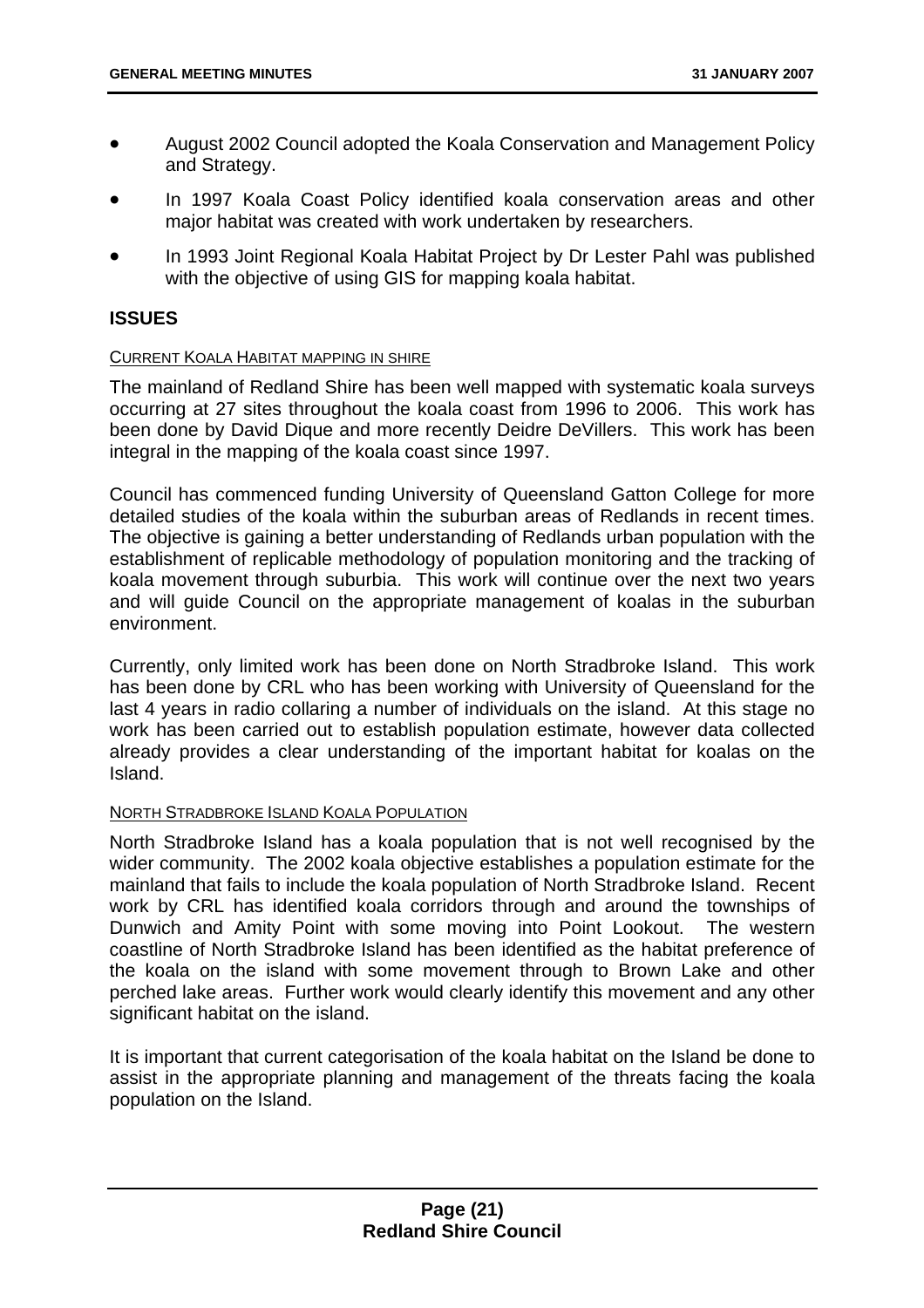- August 2002 Council adopted the Koala Conservation and Management Policy and Strategy.
- In 1997 Koala Coast Policy identified koala conservation areas and other major habitat was created with work undertaken by researchers.
- In 1993 Joint Regional Koala Habitat Project by Dr Lester Pahl was published with the objective of using GIS for mapping koala habitat.

#### **ISSUES**

#### CURRENT KOALA HABITAT MAPPING IN SHIRE

The mainland of Redland Shire has been well mapped with systematic koala surveys occurring at 27 sites throughout the koala coast from 1996 to 2006. This work has been done by David Dique and more recently Deidre DeVillers. This work has been integral in the mapping of the koala coast since 1997.

Council has commenced funding University of Queensland Gatton College for more detailed studies of the koala within the suburban areas of Redlands in recent times. The objective is gaining a better understanding of Redlands urban population with the establishment of replicable methodology of population monitoring and the tracking of koala movement through suburbia. This work will continue over the next two years and will guide Council on the appropriate management of koalas in the suburban environment.

Currently, only limited work has been done on North Stradbroke Island. This work has been done by CRL who has been working with University of Queensland for the last 4 years in radio collaring a number of individuals on the island. At this stage no work has been carried out to establish population estimate, however data collected already provides a clear understanding of the important habitat for koalas on the Island.

#### NORTH STRADBROKE ISLAND KOALA POPULATION

North Stradbroke Island has a koala population that is not well recognised by the wider community. The 2002 koala objective establishes a population estimate for the mainland that fails to include the koala population of North Stradbroke Island. Recent work by CRL has identified koala corridors through and around the townships of Dunwich and Amity Point with some moving into Point Lookout. The western coastline of North Stradbroke Island has been identified as the habitat preference of the koala on the island with some movement through to Brown Lake and other perched lake areas. Further work would clearly identify this movement and any other significant habitat on the island.

It is important that current categorisation of the koala habitat on the Island be done to assist in the appropriate planning and management of the threats facing the koala population on the Island.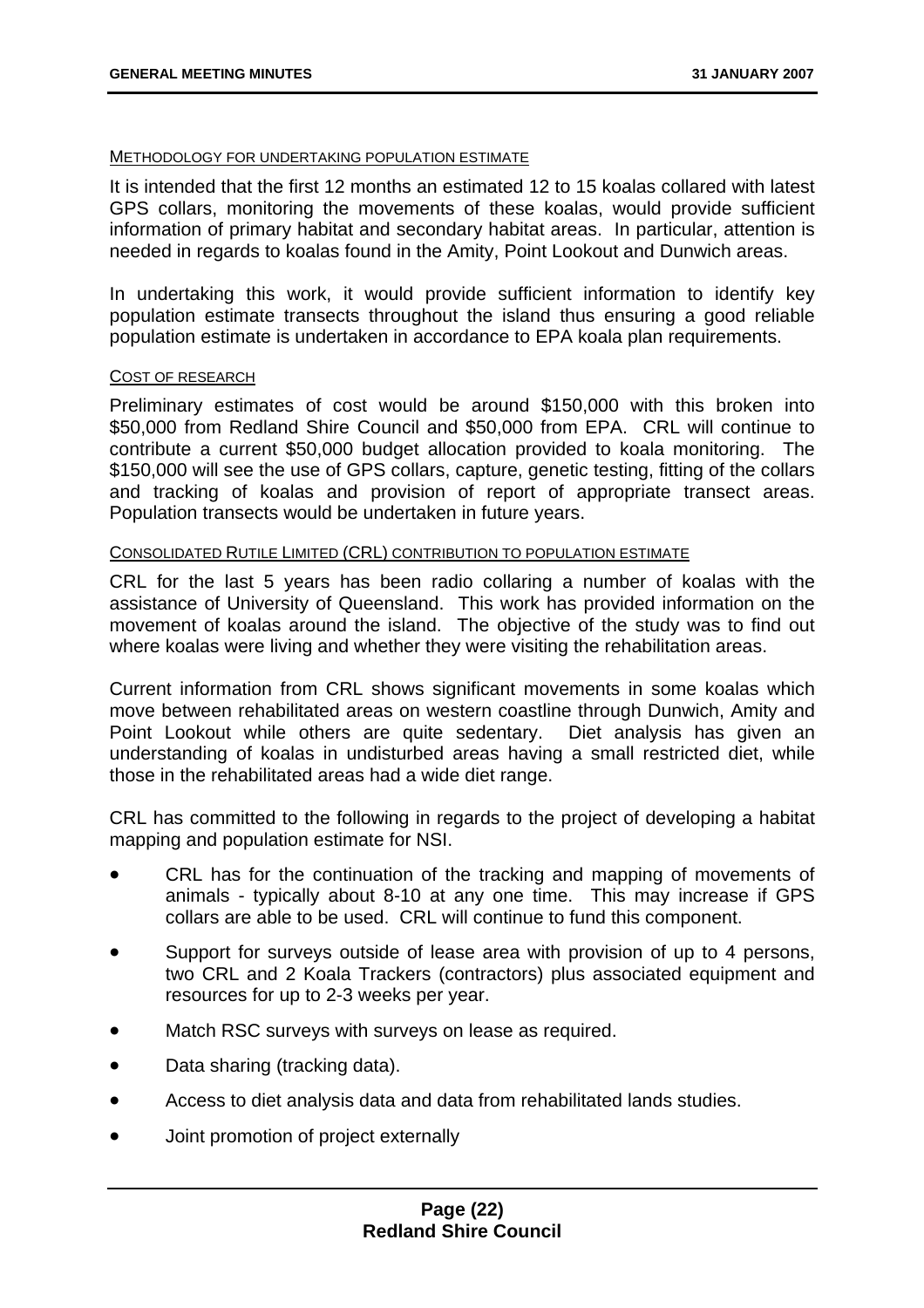#### METHODOLOGY FOR UNDERTAKING POPULATION ESTIMATE

It is intended that the first 12 months an estimated 12 to 15 koalas collared with latest GPS collars, monitoring the movements of these koalas, would provide sufficient information of primary habitat and secondary habitat areas. In particular, attention is needed in regards to koalas found in the Amity, Point Lookout and Dunwich areas.

In undertaking this work, it would provide sufficient information to identify key population estimate transects throughout the island thus ensuring a good reliable population estimate is undertaken in accordance to EPA koala plan requirements.

#### COST OF RESEARCH

Preliminary estimates of cost would be around \$150,000 with this broken into \$50,000 from Redland Shire Council and \$50,000 from EPA. CRL will continue to contribute a current \$50,000 budget allocation provided to koala monitoring. The \$150,000 will see the use of GPS collars, capture, genetic testing, fitting of the collars and tracking of koalas and provision of report of appropriate transect areas. Population transects would be undertaken in future years.

#### CONSOLIDATED RUTILE LIMITED (CRL) CONTRIBUTION TO POPULATION ESTIMATE

CRL for the last 5 years has been radio collaring a number of koalas with the assistance of University of Queensland. This work has provided information on the movement of koalas around the island. The objective of the study was to find out where koalas were living and whether they were visiting the rehabilitation areas.

Current information from CRL shows significant movements in some koalas which move between rehabilitated areas on western coastline through Dunwich, Amity and Point Lookout while others are quite sedentary. Diet analysis has given an understanding of koalas in undisturbed areas having a small restricted diet, while those in the rehabilitated areas had a wide diet range.

CRL has committed to the following in regards to the project of developing a habitat mapping and population estimate for NSI.

- CRL has for the continuation of the tracking and mapping of movements of animals - typically about 8-10 at any one time. This may increase if GPS collars are able to be used. CRL will continue to fund this component.
- Support for surveys outside of lease area with provision of up to 4 persons, two CRL and 2 Koala Trackers (contractors) plus associated equipment and resources for up to 2-3 weeks per year.
- Match RSC surveys with surveys on lease as required.
- Data sharing (tracking data).
- Access to diet analysis data and data from rehabilitated lands studies.
- Joint promotion of project externally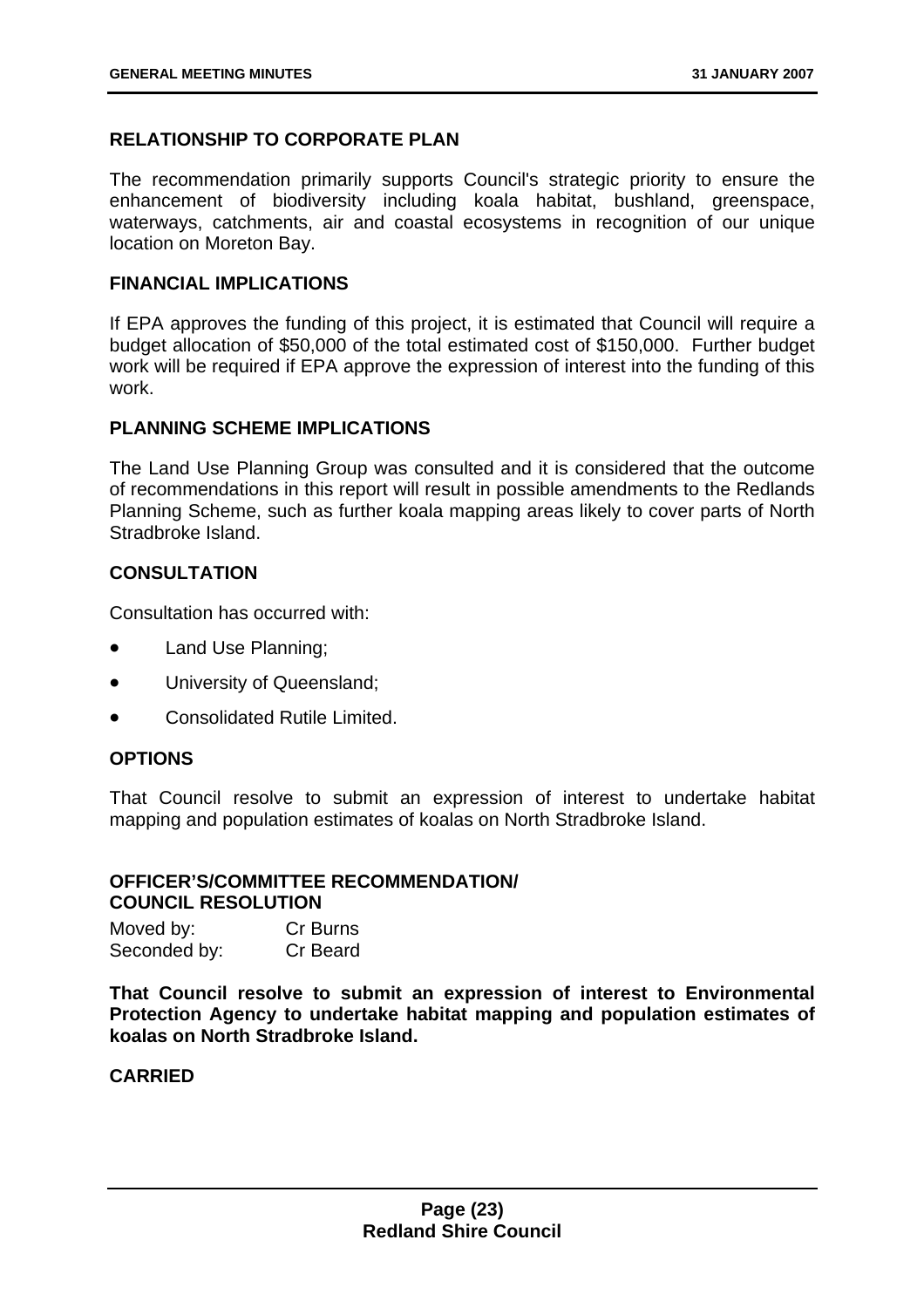#### **RELATIONSHIP TO CORPORATE PLAN**

The recommendation primarily supports Council's strategic priority to ensure the enhancement of biodiversity including koala habitat, bushland, greenspace, waterways, catchments, air and coastal ecosystems in recognition of our unique location on Moreton Bay.

#### **FINANCIAL IMPLICATIONS**

If EPA approves the funding of this project, it is estimated that Council will require a budget allocation of \$50,000 of the total estimated cost of \$150,000. Further budget work will be required if EPA approve the expression of interest into the funding of this work.

#### **PLANNING SCHEME IMPLICATIONS**

The Land Use Planning Group was consulted and it is considered that the outcome of recommendations in this report will result in possible amendments to the Redlands Planning Scheme, such as further koala mapping areas likely to cover parts of North Stradbroke Island.

#### **CONSULTATION**

Consultation has occurred with:

- Land Use Planning;
- University of Queensland;
- Consolidated Rutile Limited.

#### **OPTIONS**

That Council resolve to submit an expression of interest to undertake habitat mapping and population estimates of koalas on North Stradbroke Island.

#### **OFFICER'S/COMMITTEE RECOMMENDATION/ COUNCIL RESOLUTION**

| Moved by:    | Cr Burns |
|--------------|----------|
| Seconded by: | Cr Beard |

**That Council resolve to submit an expression of interest to Environmental Protection Agency to undertake habitat mapping and population estimates of koalas on North Stradbroke Island.**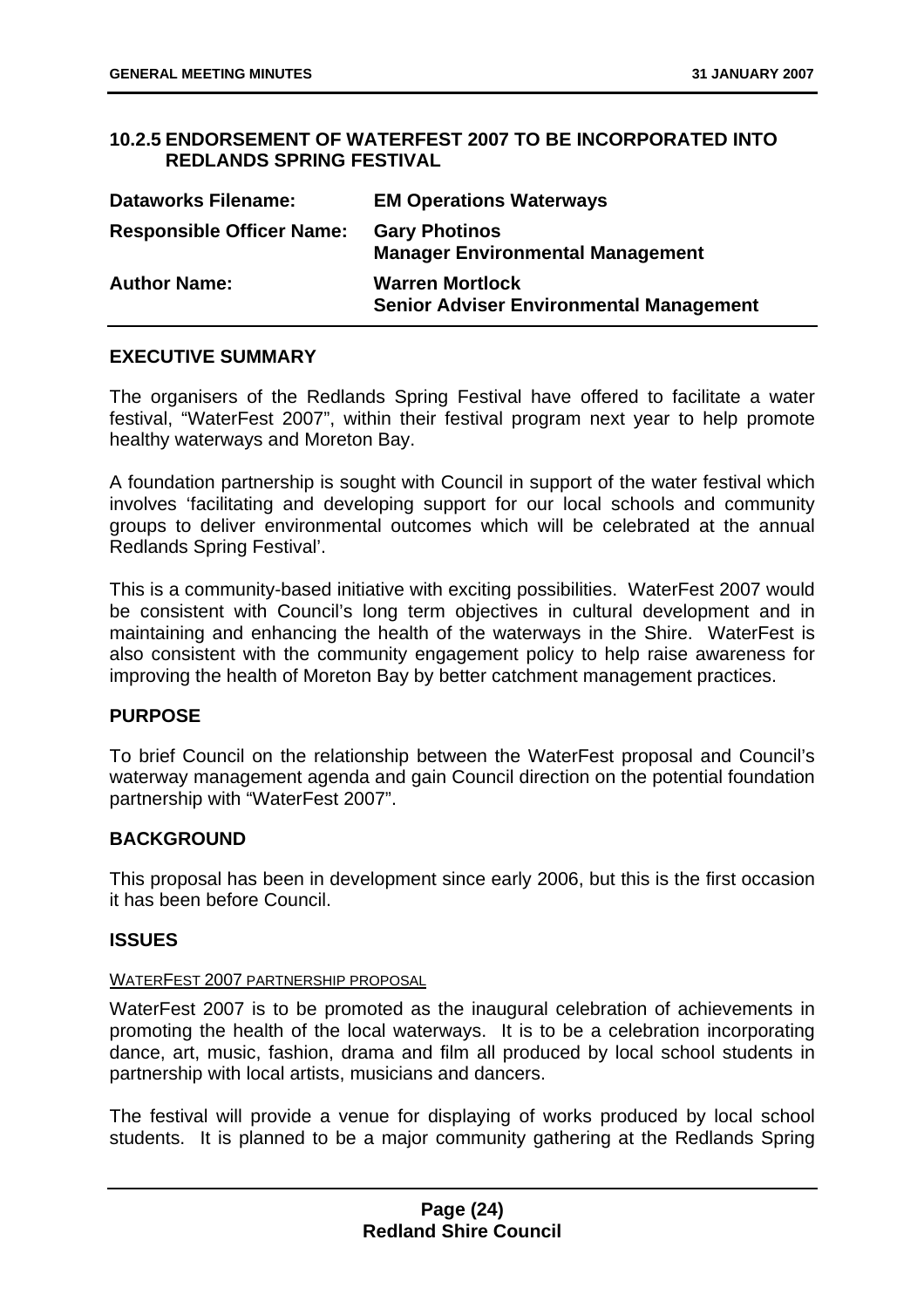#### **10.2.5 ENDORSEMENT OF WATERFEST 2007 TO BE INCORPORATED INTO REDLANDS SPRING FESTIVAL**

| <b>Dataworks Filename:</b>       | <b>EM Operations Waterways</b>                                           |
|----------------------------------|--------------------------------------------------------------------------|
| <b>Responsible Officer Name:</b> | <b>Gary Photinos</b><br><b>Manager Environmental Management</b>          |
| <b>Author Name:</b>              | <b>Warren Mortlock</b><br><b>Senior Adviser Environmental Management</b> |

#### **EXECUTIVE SUMMARY**

The organisers of the Redlands Spring Festival have offered to facilitate a water festival, "WaterFest 2007", within their festival program next year to help promote healthy waterways and Moreton Bay.

A foundation partnership is sought with Council in support of the water festival which involves 'facilitating and developing support for our local schools and community groups to deliver environmental outcomes which will be celebrated at the annual Redlands Spring Festival'.

This is a community-based initiative with exciting possibilities. WaterFest 2007 would be consistent with Council's long term objectives in cultural development and in maintaining and enhancing the health of the waterways in the Shire. WaterFest is also consistent with the community engagement policy to help raise awareness for improving the health of Moreton Bay by better catchment management practices.

#### **PURPOSE**

To brief Council on the relationship between the WaterFest proposal and Council's waterway management agenda and gain Council direction on the potential foundation partnership with "WaterFest 2007".

#### **BACKGROUND**

This proposal has been in development since early 2006, but this is the first occasion it has been before Council.

#### **ISSUES**

#### WATERFEST 2007 PARTNERSHIP PROPOSAL

WaterFest 2007 is to be promoted as the inaugural celebration of achievements in promoting the health of the local waterways. It is to be a celebration incorporating dance, art, music, fashion, drama and film all produced by local school students in partnership with local artists, musicians and dancers.

The festival will provide a venue for displaying of works produced by local school students. It is planned to be a major community gathering at the Redlands Spring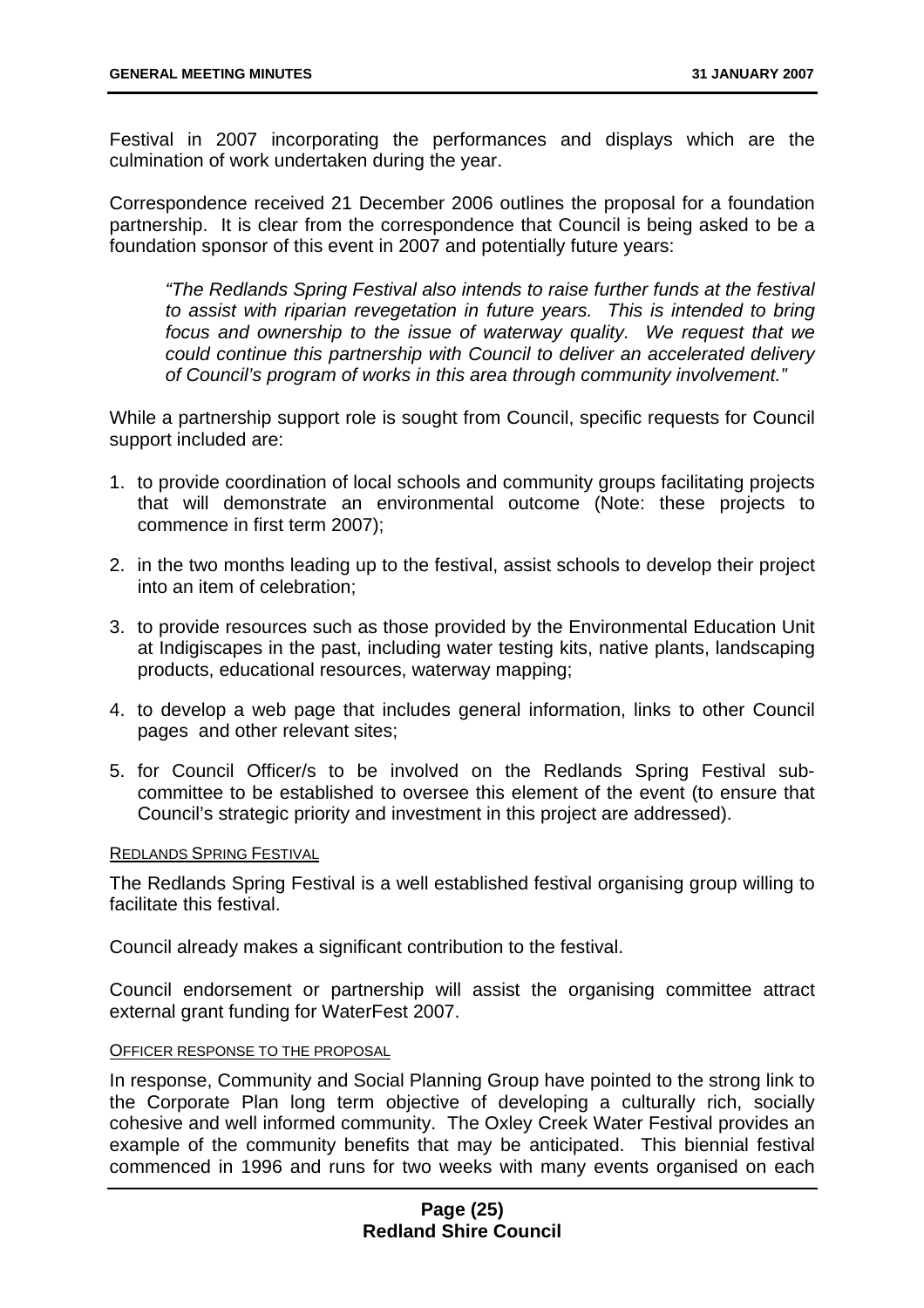Festival in 2007 incorporating the performances and displays which are the culmination of work undertaken during the year.

Correspondence received 21 December 2006 outlines the proposal for a foundation partnership. It is clear from the correspondence that Council is being asked to be a foundation sponsor of this event in 2007 and potentially future years:

*"The Redlands Spring Festival also intends to raise further funds at the festival to assist with riparian revegetation in future years. This is intended to bring focus and ownership to the issue of waterway quality. We request that we could continue this partnership with Council to deliver an accelerated delivery of Council's program of works in this area through community involvement."* 

While a partnership support role is sought from Council, specific requests for Council support included are:

- 1. to provide coordination of local schools and community groups facilitating projects that will demonstrate an environmental outcome (Note: these projects to commence in first term 2007);
- 2. in the two months leading up to the festival, assist schools to develop their project into an item of celebration;
- 3. to provide resources such as those provided by the Environmental Education Unit at Indigiscapes in the past, including water testing kits, native plants, landscaping products, educational resources, waterway mapping;
- 4. to develop a web page that includes general information, links to other Council pages and other relevant sites;
- 5. for Council Officer/s to be involved on the Redlands Spring Festival subcommittee to be established to oversee this element of the event (to ensure that Council's strategic priority and investment in this project are addressed).

#### REDLANDS SPRING FESTIVAL

The Redlands Spring Festival is a well established festival organising group willing to facilitate this festival.

Council already makes a significant contribution to the festival.

Council endorsement or partnership will assist the organising committee attract external grant funding for WaterFest 2007.

#### OFFICER RESPONSE TO THE PROPOSAL

In response, Community and Social Planning Group have pointed to the strong link to the Corporate Plan long term objective of developing a culturally rich, socially cohesive and well informed community. The Oxley Creek Water Festival provides an example of the community benefits that may be anticipated. This biennial festival commenced in 1996 and runs for two weeks with many events organised on each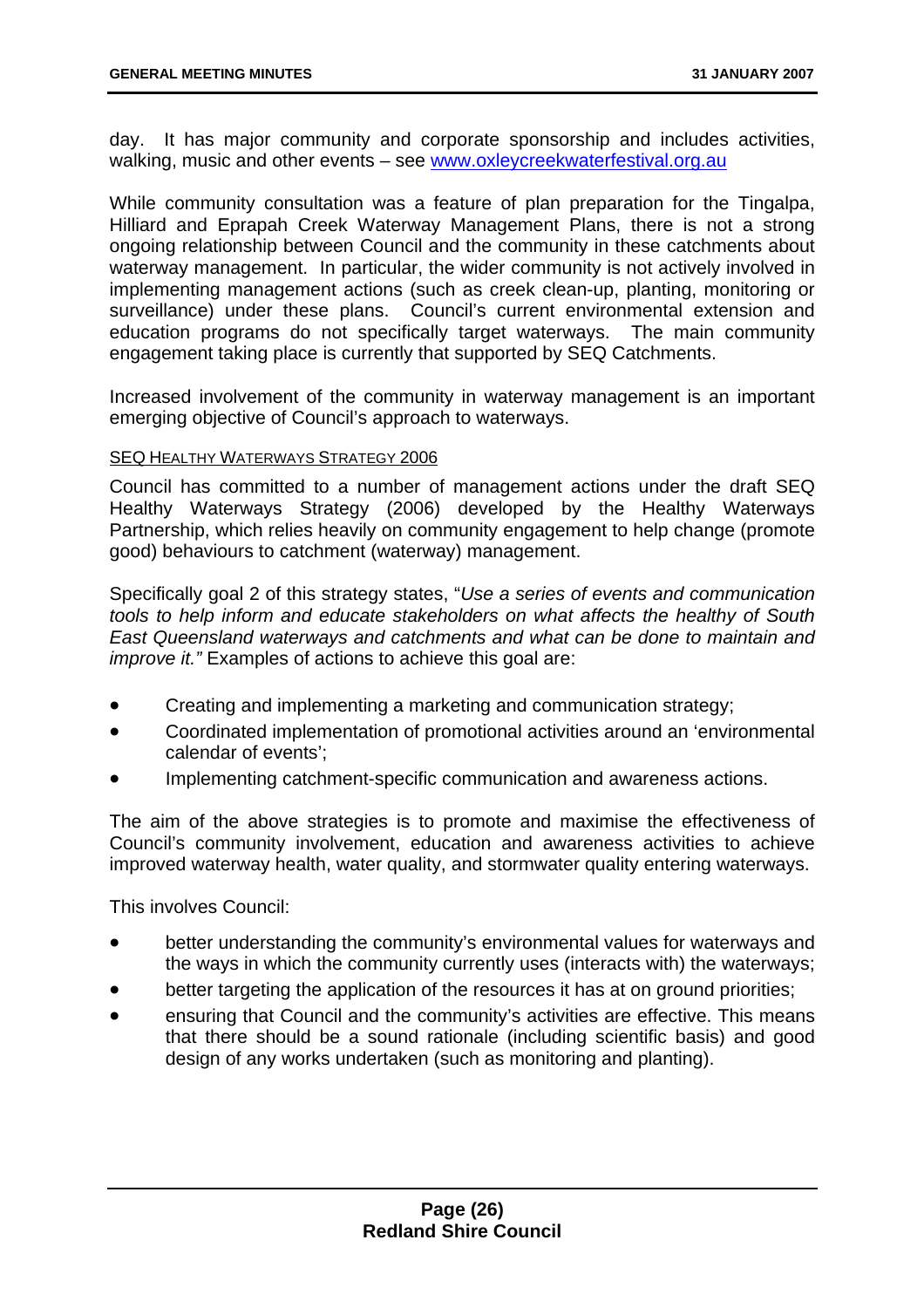day. It has major community and corporate sponsorship and includes activities, walking, music and other events – see www.oxleycreekwaterfestival.org.au

While community consultation was a feature of plan preparation for the Tingalpa, Hilliard and Eprapah Creek Waterway Management Plans, there is not a strong ongoing relationship between Council and the community in these catchments about waterway management. In particular, the wider community is not actively involved in implementing management actions (such as creek clean-up, planting, monitoring or surveillance) under these plans. Council's current environmental extension and education programs do not specifically target waterways. The main community engagement taking place is currently that supported by SEQ Catchments.

Increased involvement of the community in waterway management is an important emerging objective of Council's approach to waterways.

#### SEQ HEALTHY WATERWAYS STRATEGY 2006

Council has committed to a number of management actions under the draft SEQ Healthy Waterways Strategy (2006) developed by the Healthy Waterways Partnership, which relies heavily on community engagement to help change (promote good) behaviours to catchment (waterway) management.

Specifically goal 2 of this strategy states, "*Use a series of events and communication tools to help inform and educate stakeholders on what affects the healthy of South East Queensland waterways and catchments and what can be done to maintain and improve it.*" Examples of actions to achieve this goal are:

- Creating and implementing a marketing and communication strategy;
- Coordinated implementation of promotional activities around an 'environmental calendar of events';
- Implementing catchment-specific communication and awareness actions.

The aim of the above strategies is to promote and maximise the effectiveness of Council's community involvement, education and awareness activities to achieve improved waterway health, water quality, and stormwater quality entering waterways.

This involves Council:

- better understanding the community's environmental values for waterways and the ways in which the community currently uses (interacts with) the waterways;
- better targeting the application of the resources it has at on ground priorities;
- ensuring that Council and the community's activities are effective. This means that there should be a sound rationale (including scientific basis) and good design of any works undertaken (such as monitoring and planting).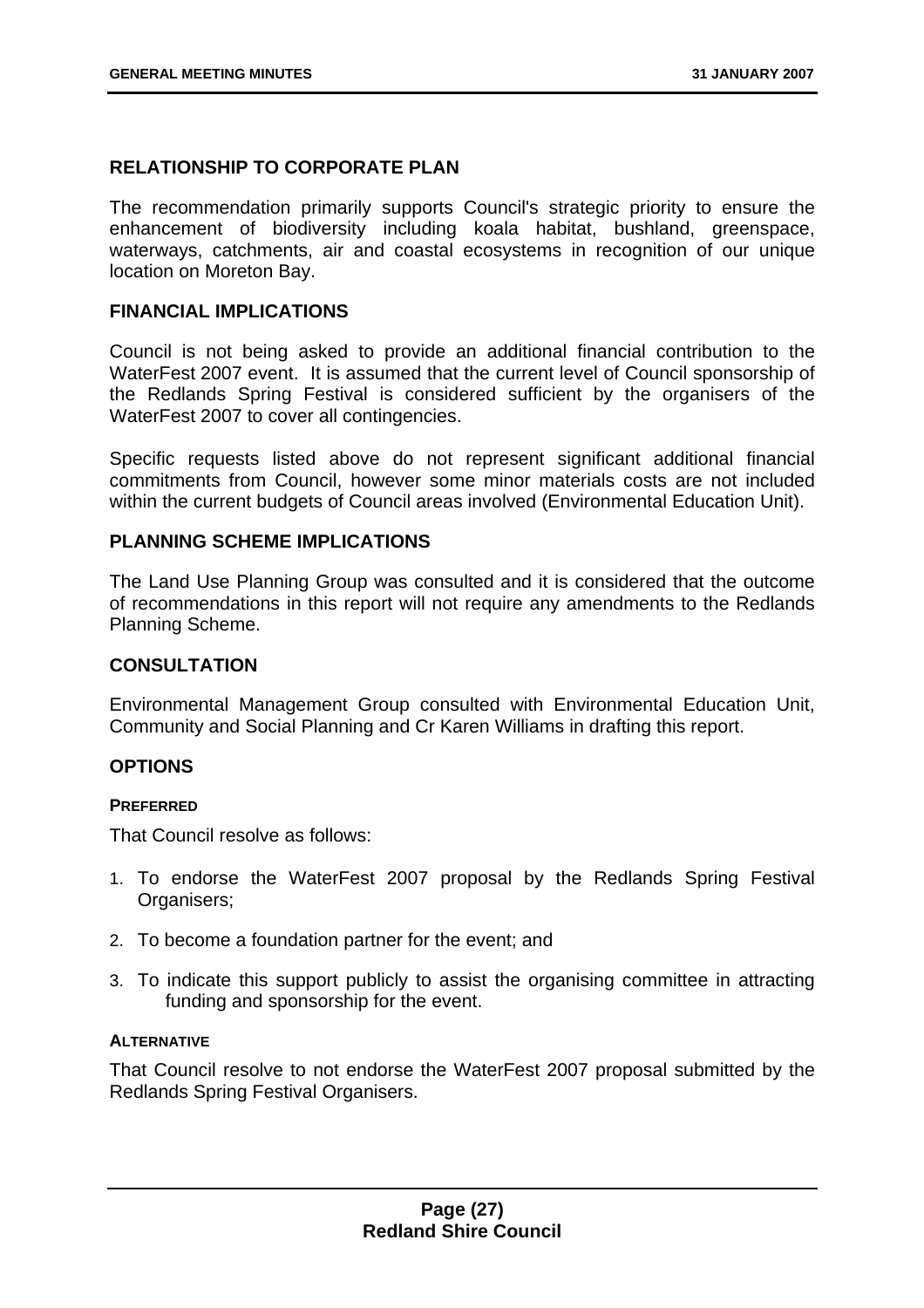#### **RELATIONSHIP TO CORPORATE PLAN**

The recommendation primarily supports Council's strategic priority to ensure the enhancement of biodiversity including koala habitat, bushland, greenspace, waterways, catchments, air and coastal ecosystems in recognition of our unique location on Moreton Bay.

#### **FINANCIAL IMPLICATIONS**

Council is not being asked to provide an additional financial contribution to the WaterFest 2007 event. It is assumed that the current level of Council sponsorship of the Redlands Spring Festival is considered sufficient by the organisers of the WaterFest 2007 to cover all contingencies.

Specific requests listed above do not represent significant additional financial commitments from Council, however some minor materials costs are not included within the current budgets of Council areas involved (Environmental Education Unit).

#### **PLANNING SCHEME IMPLICATIONS**

The Land Use Planning Group was consulted and it is considered that the outcome of recommendations in this report will not require any amendments to the Redlands Planning Scheme.

#### **CONSULTATION**

Environmental Management Group consulted with Environmental Education Unit, Community and Social Planning and Cr Karen Williams in drafting this report.

#### **OPTIONS**

#### **PREFERRED**

That Council resolve as follows:

- 1. To endorse the WaterFest 2007 proposal by the Redlands Spring Festival Organisers;
- 2. To become a foundation partner for the event; and
- 3. To indicate this support publicly to assist the organising committee in attracting funding and sponsorship for the event.

#### **ALTERNATIVE**

That Council resolve to not endorse the WaterFest 2007 proposal submitted by the Redlands Spring Festival Organisers.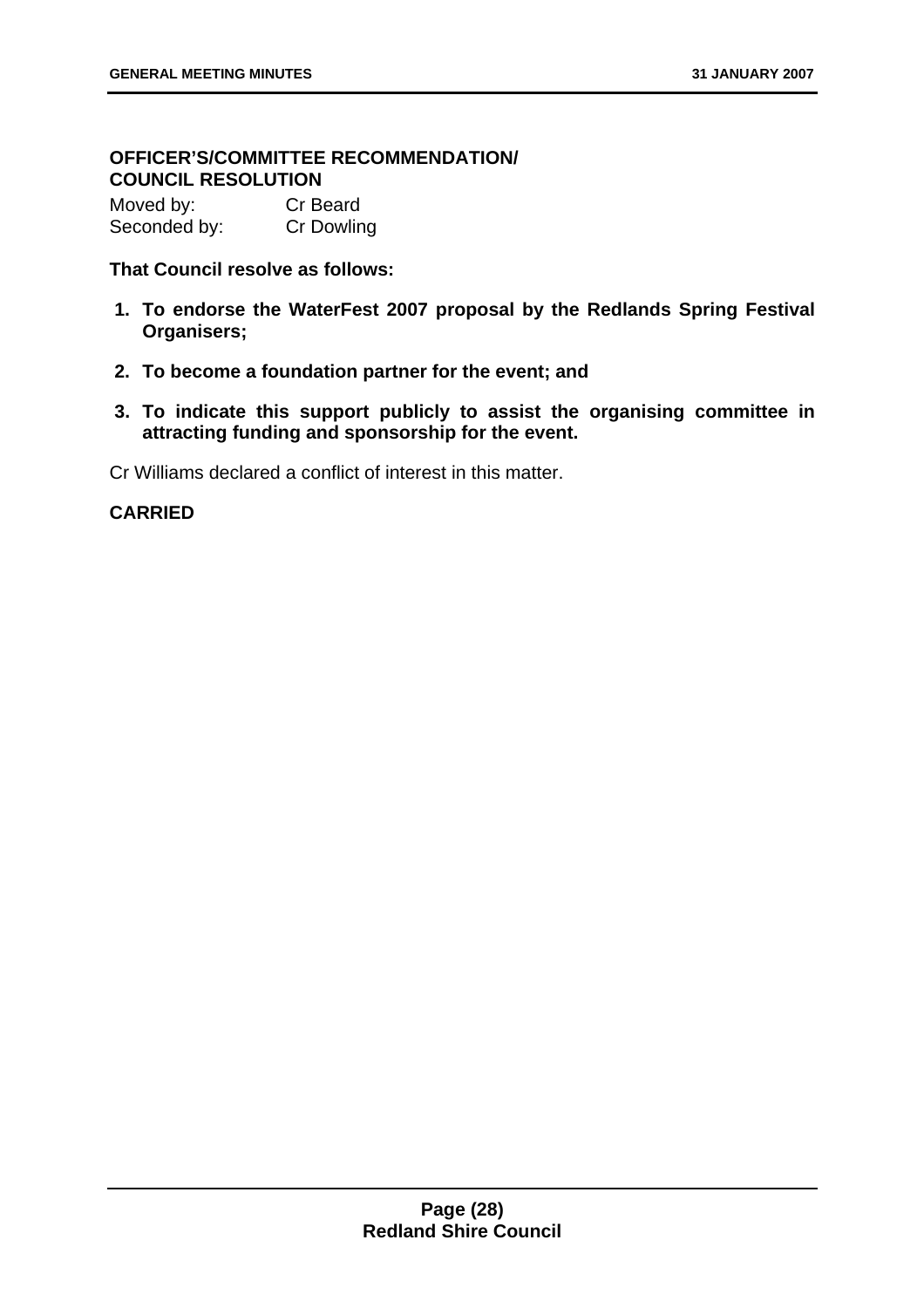#### **OFFICER'S/COMMITTEE RECOMMENDATION/ COUNCIL RESOLUTION**

| Moved by:    | Cr Beard          |
|--------------|-------------------|
| Seconded by: | <b>Cr Dowling</b> |

#### **That Council resolve as follows:**

- **1. To endorse the WaterFest 2007 proposal by the Redlands Spring Festival Organisers;**
- **2. To become a foundation partner for the event; and**
- **3. To indicate this support publicly to assist the organising committee in attracting funding and sponsorship for the event.**

Cr Williams declared a conflict of interest in this matter.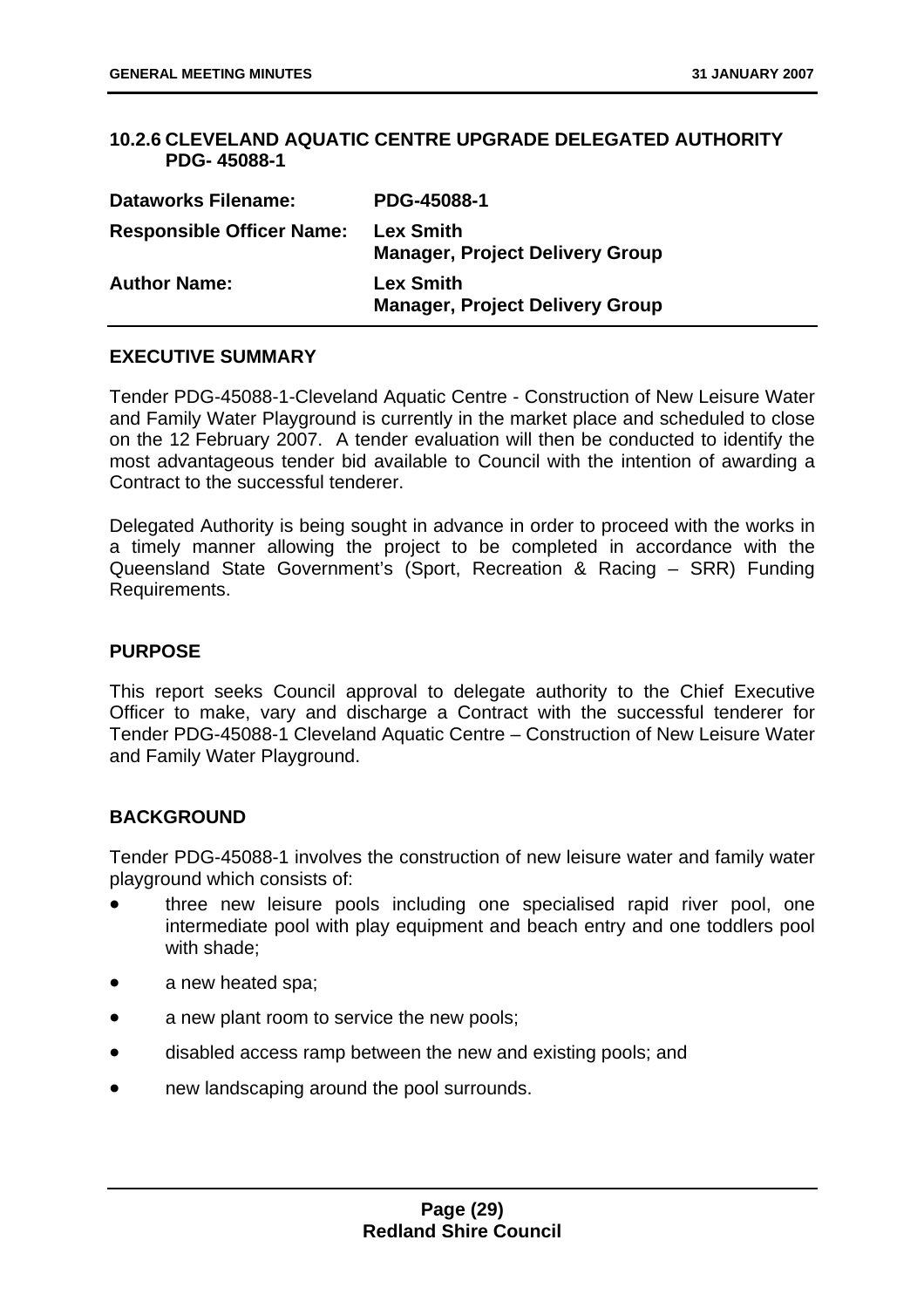#### **10.2.6 CLEVELAND AQUATIC CENTRE UPGRADE DELEGATED AUTHORITY PDG- 45088-1**

| <b>Dataworks Filename:</b>       | PDG-45088-1                                                |
|----------------------------------|------------------------------------------------------------|
| <b>Responsible Officer Name:</b> | <b>Lex Smith</b><br><b>Manager, Project Delivery Group</b> |
| <b>Author Name:</b>              | <b>Lex Smith</b><br><b>Manager, Project Delivery Group</b> |

#### **EXECUTIVE SUMMARY**

Tender PDG-45088-1-Cleveland Aquatic Centre - Construction of New Leisure Water and Family Water Playground is currently in the market place and scheduled to close on the 12 February 2007. A tender evaluation will then be conducted to identify the most advantageous tender bid available to Council with the intention of awarding a Contract to the successful tenderer.

Delegated Authority is being sought in advance in order to proceed with the works in a timely manner allowing the project to be completed in accordance with the Queensland State Government's (Sport, Recreation & Racing – SRR) Funding Requirements.

#### **PURPOSE**

This report seeks Council approval to delegate authority to the Chief Executive Officer to make, vary and discharge a Contract with the successful tenderer for Tender PDG-45088-1 Cleveland Aquatic Centre – Construction of New Leisure Water and Family Water Playground.

#### **BACKGROUND**

Tender PDG-45088-1 involves the construction of new leisure water and family water playground which consists of:

- three new leisure pools including one specialised rapid river pool, one intermediate pool with play equipment and beach entry and one toddlers pool with shade;
- a new heated spa;
- a new plant room to service the new pools;
- disabled access ramp between the new and existing pools; and
- new landscaping around the pool surrounds.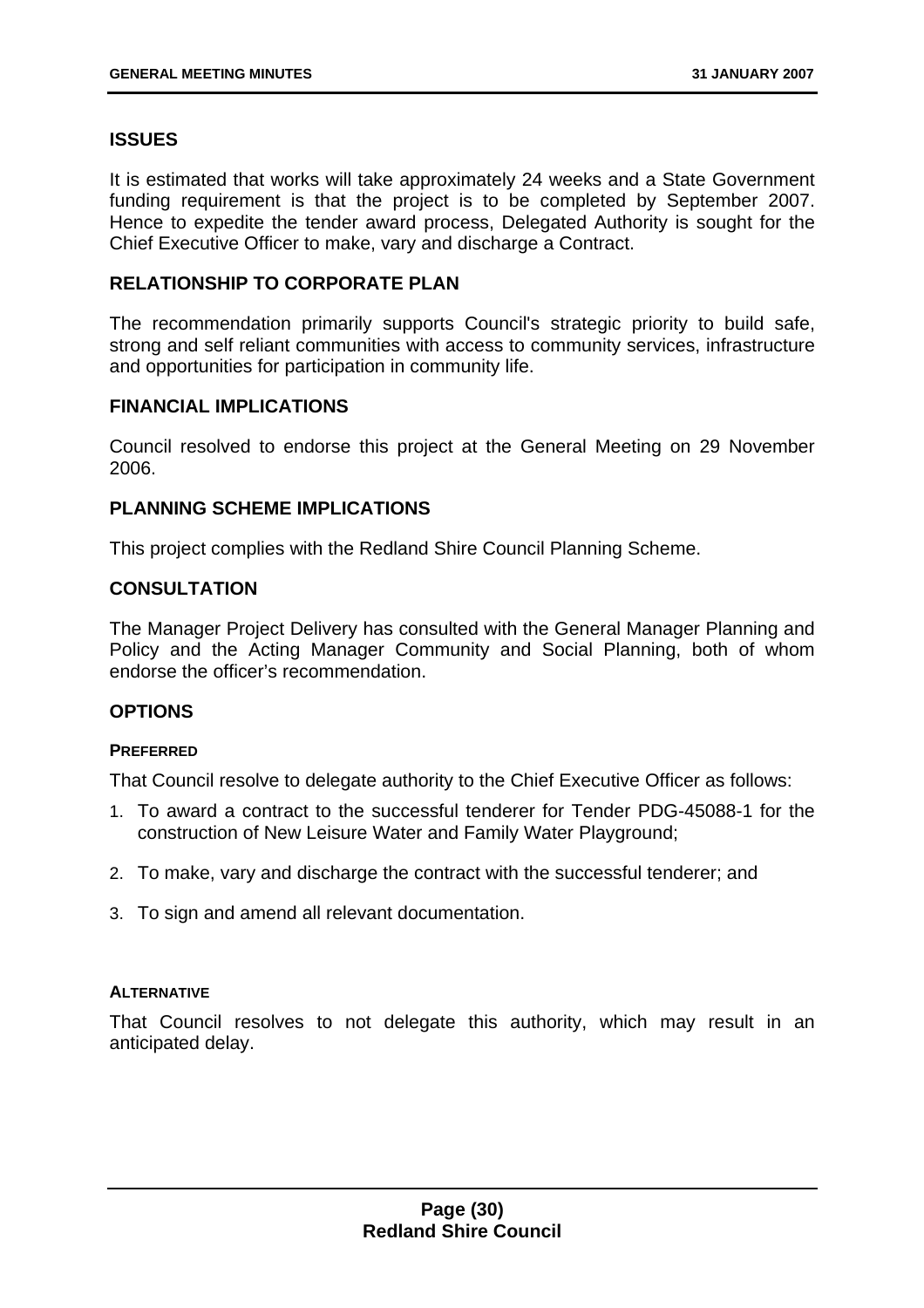#### **ISSUES**

It is estimated that works will take approximately 24 weeks and a State Government funding requirement is that the project is to be completed by September 2007. Hence to expedite the tender award process, Delegated Authority is sought for the Chief Executive Officer to make, vary and discharge a Contract.

#### **RELATIONSHIP TO CORPORATE PLAN**

The recommendation primarily supports Council's strategic priority to build safe, strong and self reliant communities with access to community services, infrastructure and opportunities for participation in community life.

#### **FINANCIAL IMPLICATIONS**

Council resolved to endorse this project at the General Meeting on 29 November 2006.

#### **PLANNING SCHEME IMPLICATIONS**

This project complies with the Redland Shire Council Planning Scheme.

#### **CONSULTATION**

The Manager Project Delivery has consulted with the General Manager Planning and Policy and the Acting Manager Community and Social Planning, both of whom endorse the officer's recommendation.

#### **OPTIONS**

#### **PREFERRED**

That Council resolve to delegate authority to the Chief Executive Officer as follows:

- 1. To award a contract to the successful tenderer for Tender PDG-45088-1 for the construction of New Leisure Water and Family Water Playground;
- 2. To make, vary and discharge the contract with the successful tenderer; and
- 3. To sign and amend all relevant documentation.

#### **ALTERNATIVE**

That Council resolves to not delegate this authority, which may result in an anticipated delay.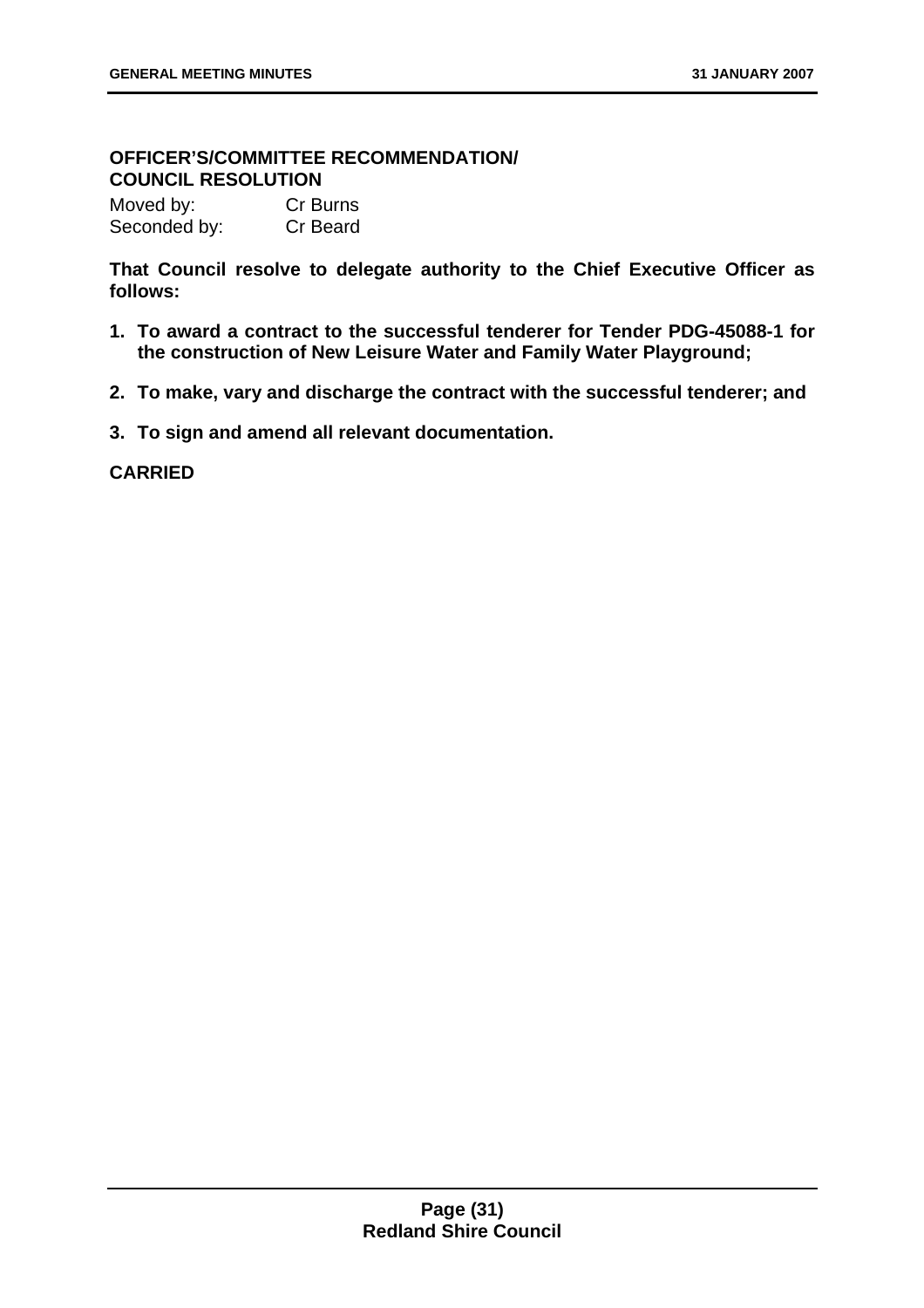#### **OFFICER'S/COMMITTEE RECOMMENDATION/ COUNCIL RESOLUTION**

Moved by: Cr Burns Seconded by: Cr Beard

**That Council resolve to delegate authority to the Chief Executive Officer as follows:** 

- **1. To award a contract to the successful tenderer for Tender PDG-45088-1 for the construction of New Leisure Water and Family Water Playground;**
- **2. To make, vary and discharge the contract with the successful tenderer; and**
- **3. To sign and amend all relevant documentation.**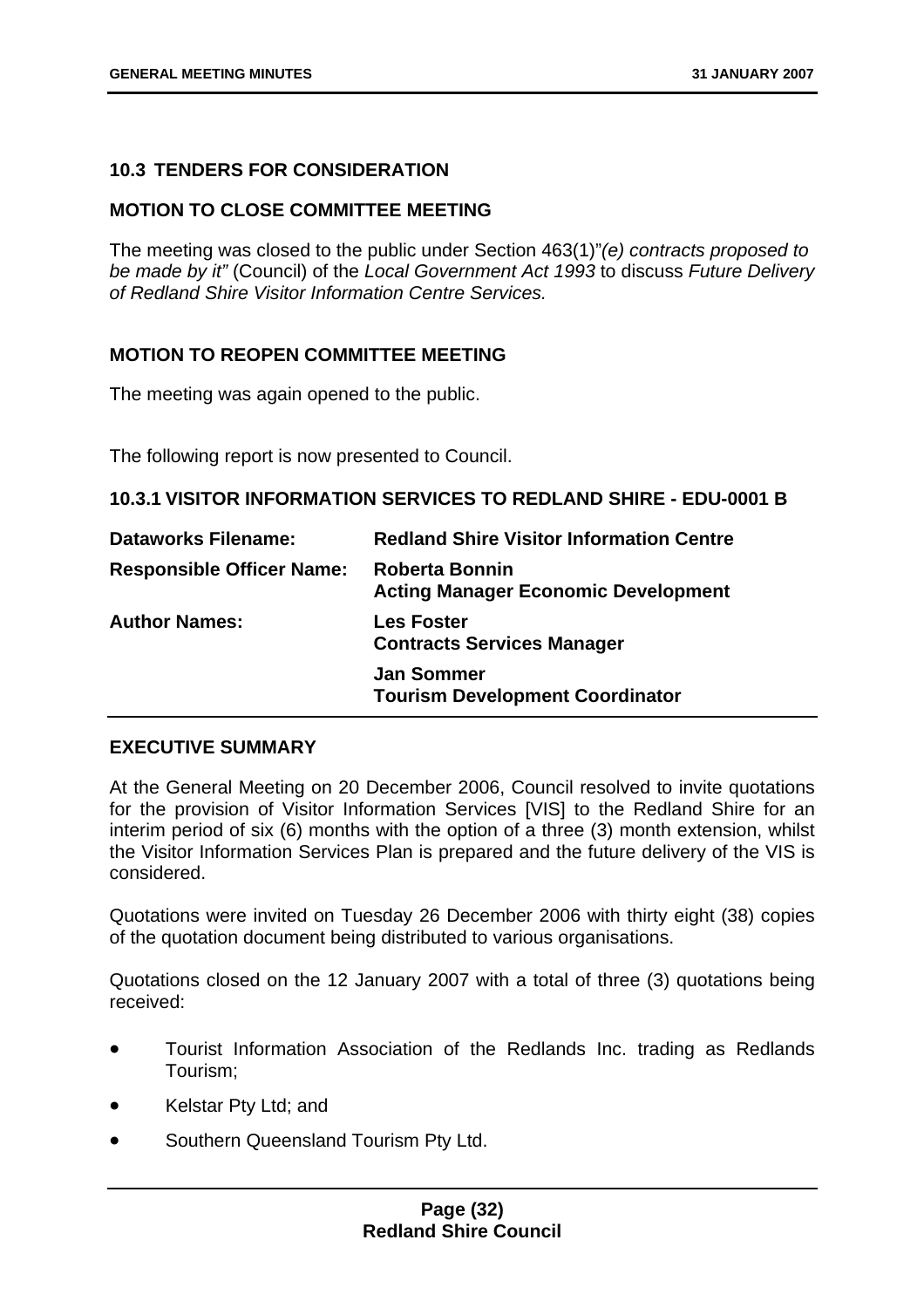#### **10.3 TENDERS FOR CONSIDERATION**

#### **MOTION TO CLOSE COMMITTEE MEETING**

The meeting was closed to the public under Section 463(1)"*(e) contracts proposed to be made by it"* (Council) of the *Local Government Act 1993* to discuss *Future Delivery of Redland Shire Visitor Information Centre Services.* 

#### **MOTION TO REOPEN COMMITTEE MEETING**

The meeting was again opened to the public.

The following report is now presented to Council.

**10.3.1 VISITOR INFORMATION SERVICES TO REDLAND SHIRE - EDU-0001 B** 

| <b>Dataworks Filename:</b>       | <b>Redland Shire Visitor Information Centre</b>                     |
|----------------------------------|---------------------------------------------------------------------|
| <b>Responsible Officer Name:</b> | <b>Roberta Bonnin</b><br><b>Acting Manager Economic Development</b> |
| <b>Author Names:</b>             | <b>Les Foster</b><br><b>Contracts Services Manager</b>              |
|                                  | <b>Jan Sommer</b><br><b>Tourism Development Coordinator</b>         |

#### **EXECUTIVE SUMMARY**

At the General Meeting on 20 December 2006, Council resolved to invite quotations for the provision of Visitor Information Services [VIS] to the Redland Shire for an interim period of six (6) months with the option of a three (3) month extension, whilst the Visitor Information Services Plan is prepared and the future delivery of the VIS is considered.

Quotations were invited on Tuesday 26 December 2006 with thirty eight (38) copies of the quotation document being distributed to various organisations.

Quotations closed on the 12 January 2007 with a total of three (3) quotations being received:

- Tourist Information Association of the Redlands Inc. trading as Redlands Tourism;
- Kelstar Pty Ltd; and
- Southern Queensland Tourism Pty Ltd.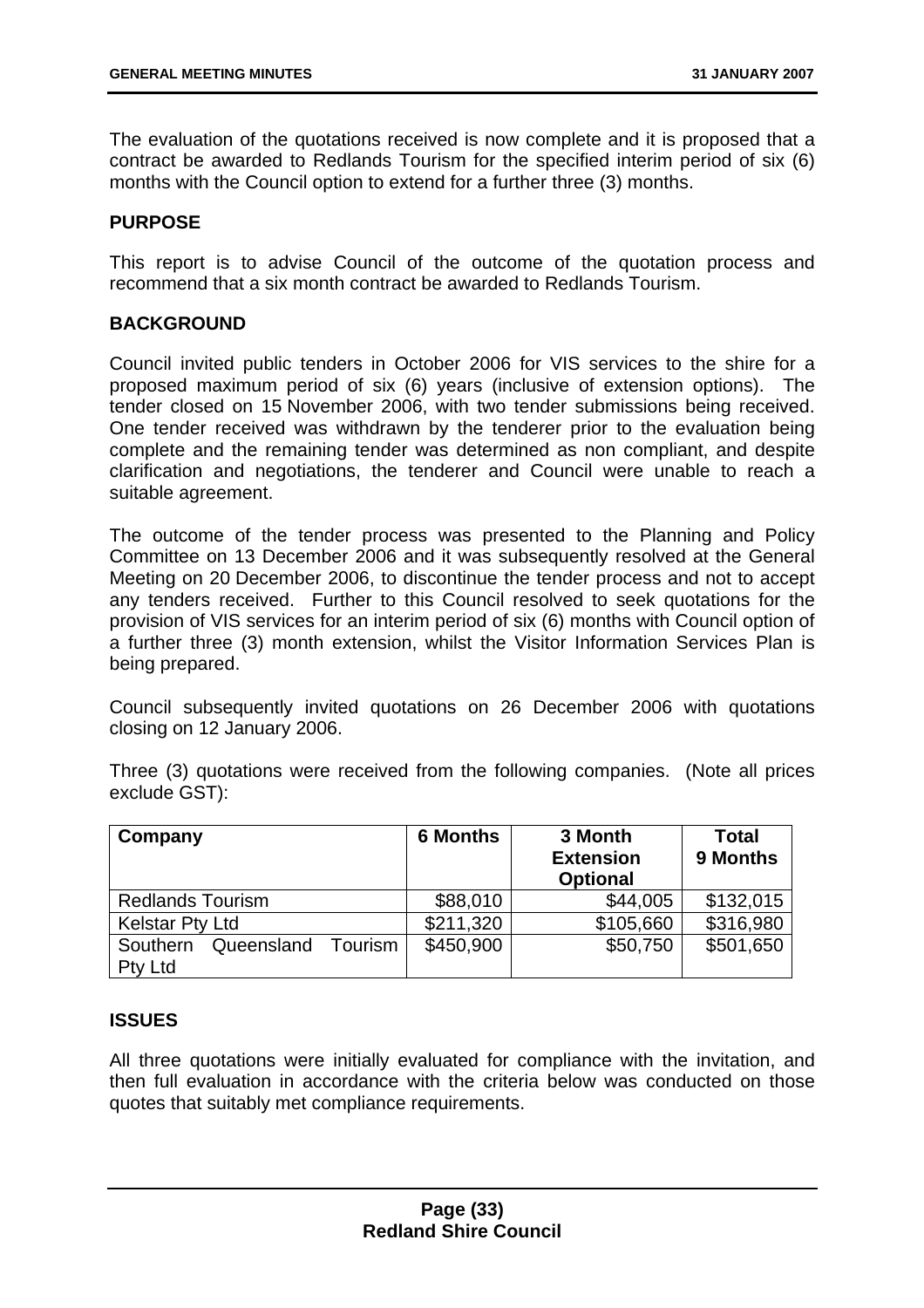The evaluation of the quotations received is now complete and it is proposed that a contract be awarded to Redlands Tourism for the specified interim period of six (6) months with the Council option to extend for a further three (3) months.

#### **PURPOSE**

This report is to advise Council of the outcome of the quotation process and recommend that a six month contract be awarded to Redlands Tourism.

#### **BACKGROUND**

Council invited public tenders in October 2006 for VIS services to the shire for a proposed maximum period of six (6) years (inclusive of extension options). The tender closed on 15 November 2006, with two tender submissions being received. One tender received was withdrawn by the tenderer prior to the evaluation being complete and the remaining tender was determined as non compliant, and despite clarification and negotiations, the tenderer and Council were unable to reach a suitable agreement.

The outcome of the tender process was presented to the Planning and Policy Committee on 13 December 2006 and it was subsequently resolved at the General Meeting on 20 December 2006, to discontinue the tender process and not to accept any tenders received. Further to this Council resolved to seek quotations for the provision of VIS services for an interim period of six (6) months with Council option of a further three (3) month extension, whilst the Visitor Information Services Plan is being prepared.

Council subsequently invited quotations on 26 December 2006 with quotations closing on 12 January 2006.

Three (3) quotations were received from the following companies. (Note all prices exclude GST):

| Company                                             | <b>6 Months</b> | 3 Month<br><b>Extension</b><br><b>Optional</b> | <b>Total</b><br>9 Months |
|-----------------------------------------------------|-----------------|------------------------------------------------|--------------------------|
| <b>Redlands Tourism</b>                             | \$88,010        | \$44,005                                       | \$132,015                |
| <b>Kelstar Pty Ltd</b>                              | \$211,320       | \$105,660                                      | \$316,980                |
| Tourism<br>Southern<br>Queensland<br><b>Pty Ltd</b> | \$450,900       | \$50,750                                       | \$501,650                |

#### **ISSUES**

All three quotations were initially evaluated for compliance with the invitation, and then full evaluation in accordance with the criteria below was conducted on those quotes that suitably met compliance requirements.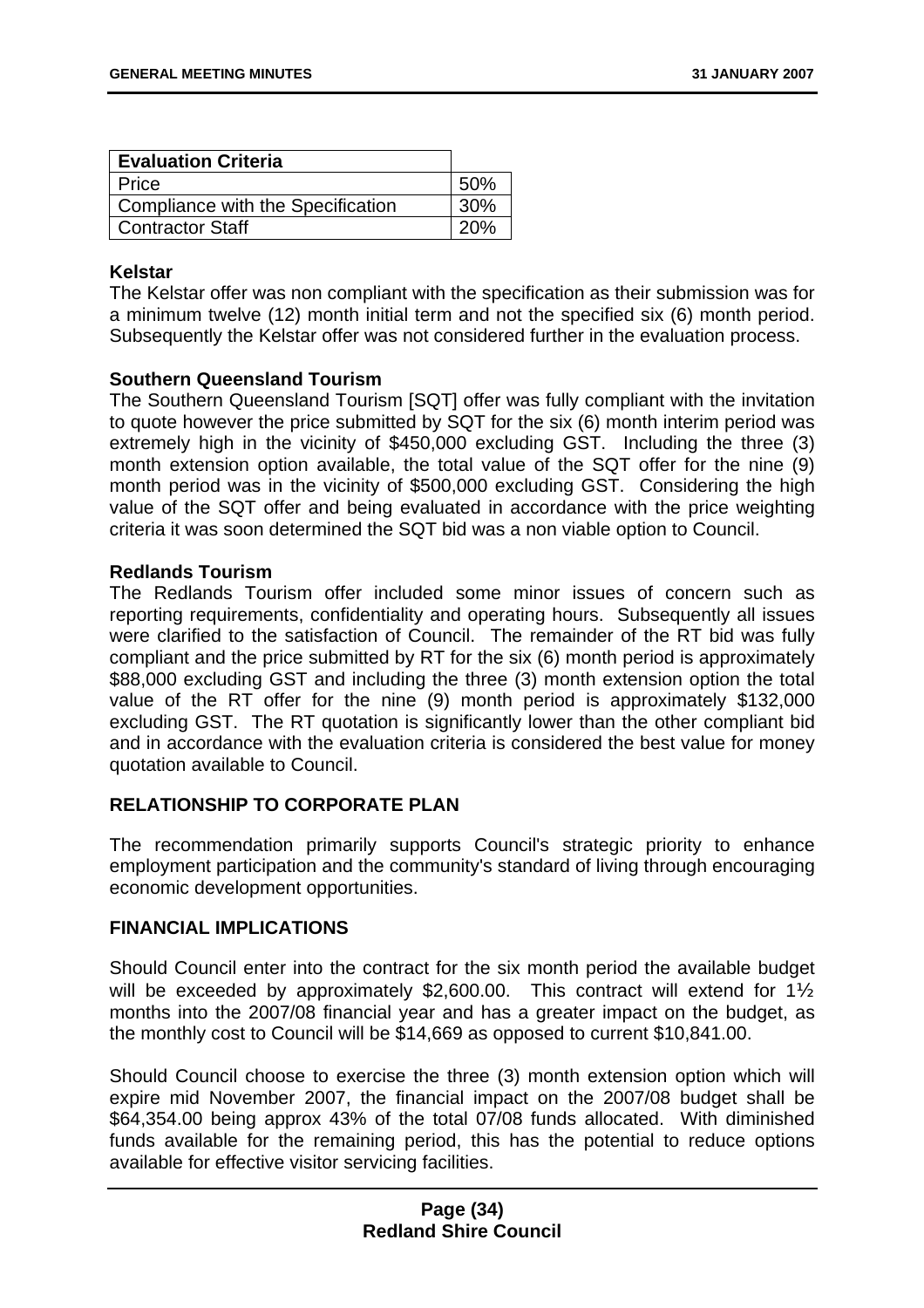| <b>Evaluation Criteria</b>        |     |
|-----------------------------------|-----|
| Price                             | 50% |
| Compliance with the Specification | 30% |
| <b>Contractor Staff</b>           | 20% |

#### **Kelstar**

The Kelstar offer was non compliant with the specification as their submission was for a minimum twelve (12) month initial term and not the specified six (6) month period. Subsequently the Kelstar offer was not considered further in the evaluation process.

#### **Southern Queensland Tourism**

The Southern Queensland Tourism [SQT] offer was fully compliant with the invitation to quote however the price submitted by SQT for the six (6) month interim period was extremely high in the vicinity of \$450,000 excluding GST. Including the three (3) month extension option available, the total value of the SQT offer for the nine (9) month period was in the vicinity of \$500,000 excluding GST. Considering the high value of the SQT offer and being evaluated in accordance with the price weighting criteria it was soon determined the SQT bid was a non viable option to Council.

#### **Redlands Tourism**

The Redlands Tourism offer included some minor issues of concern such as reporting requirements, confidentiality and operating hours. Subsequently all issues were clarified to the satisfaction of Council. The remainder of the RT bid was fully compliant and the price submitted by RT for the six (6) month period is approximately \$88,000 excluding GST and including the three (3) month extension option the total value of the RT offer for the nine (9) month period is approximately \$132,000 excluding GST. The RT quotation is significantly lower than the other compliant bid and in accordance with the evaluation criteria is considered the best value for money quotation available to Council.

#### **RELATIONSHIP TO CORPORATE PLAN**

The recommendation primarily supports Council's strategic priority to enhance employment participation and the community's standard of living through encouraging economic development opportunities.

#### **FINANCIAL IMPLICATIONS**

Should Council enter into the contract for the six month period the available budget will be exceeded by approximately \$2,600.00. This contract will extend for 1<sup>1/2</sup> months into the 2007/08 financial year and has a greater impact on the budget, as the monthly cost to Council will be \$14,669 as opposed to current \$10,841.00.

Should Council choose to exercise the three (3) month extension option which will expire mid November 2007, the financial impact on the 2007/08 budget shall be \$64,354.00 being approx 43% of the total 07/08 funds allocated. With diminished funds available for the remaining period, this has the potential to reduce options available for effective visitor servicing facilities.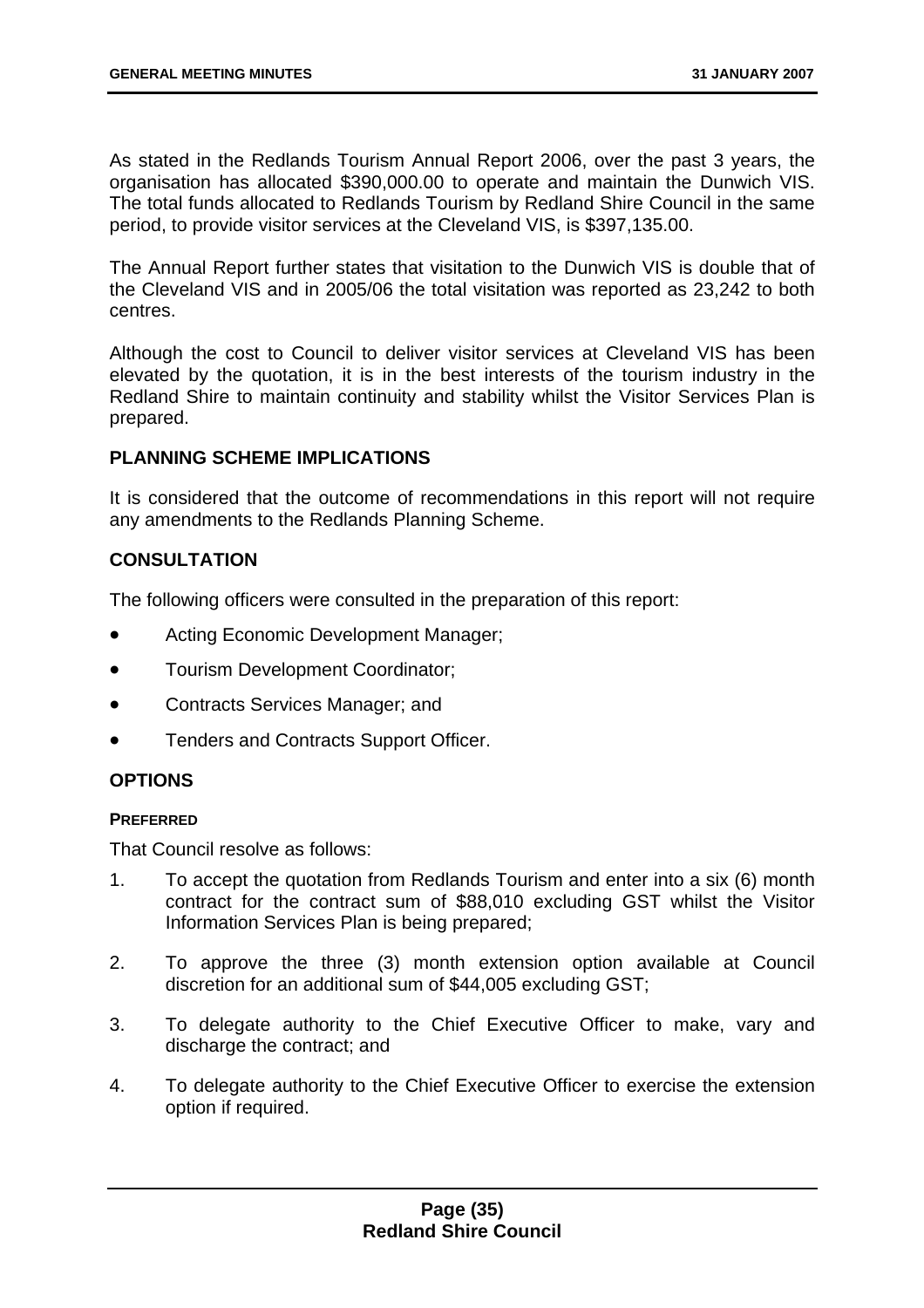As stated in the Redlands Tourism Annual Report 2006, over the past 3 years, the organisation has allocated \$390,000.00 to operate and maintain the Dunwich VIS. The total funds allocated to Redlands Tourism by Redland Shire Council in the same period, to provide visitor services at the Cleveland VIS, is \$397,135.00.

The Annual Report further states that visitation to the Dunwich VIS is double that of the Cleveland VIS and in 2005/06 the total visitation was reported as 23,242 to both centres.

Although the cost to Council to deliver visitor services at Cleveland VIS has been elevated by the quotation, it is in the best interests of the tourism industry in the Redland Shire to maintain continuity and stability whilst the Visitor Services Plan is prepared.

#### **PLANNING SCHEME IMPLICATIONS**

It is considered that the outcome of recommendations in this report will not require any amendments to the Redlands Planning Scheme.

#### **CONSULTATION**

The following officers were consulted in the preparation of this report:

- Acting Economic Development Manager;
- Tourism Development Coordinator;
- Contracts Services Manager; and
- Tenders and Contracts Support Officer.

#### **OPTIONS**

#### **PREFERRED**

That Council resolve as follows:

- 1. To accept the quotation from Redlands Tourism and enter into a six (6) month contract for the contract sum of \$88,010 excluding GST whilst the Visitor Information Services Plan is being prepared;
- 2. To approve the three (3) month extension option available at Council discretion for an additional sum of \$44,005 excluding GST;
- 3. To delegate authority to the Chief Executive Officer to make, vary and discharge the contract; and
- 4. To delegate authority to the Chief Executive Officer to exercise the extension option if required.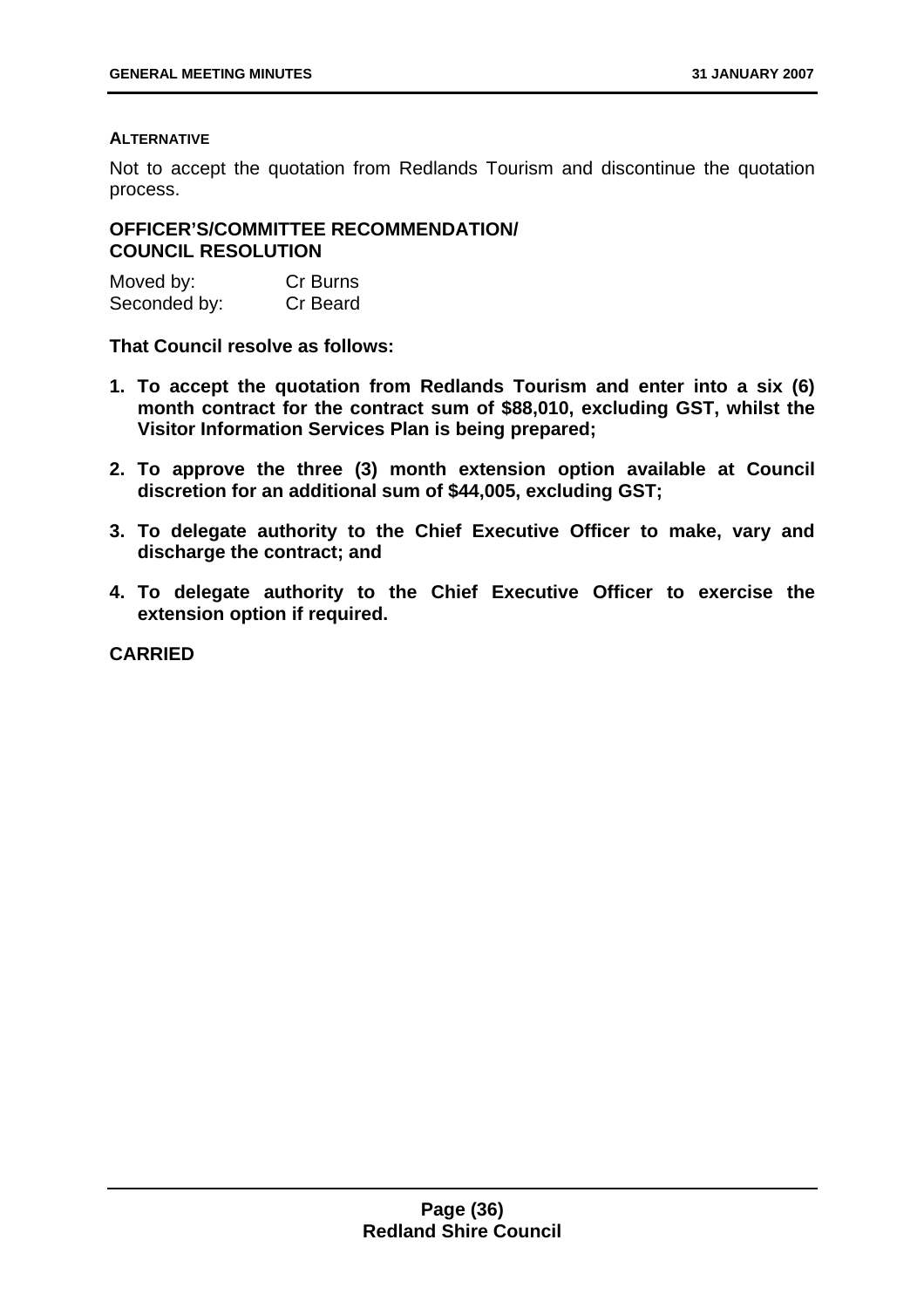### **ALTERNATIVE**

Not to accept the quotation from Redlands Tourism and discontinue the quotation process.

## **OFFICER'S/COMMITTEE RECOMMENDATION/ COUNCIL RESOLUTION**

| Moved by:    | Cr Burns |
|--------------|----------|
| Seconded by: | Cr Beard |

**That Council resolve as follows:** 

- **1. To accept the quotation from Redlands Tourism and enter into a six (6) month contract for the contract sum of \$88,010, excluding GST, whilst the Visitor Information Services Plan is being prepared;**
- **2. To approve the three (3) month extension option available at Council discretion for an additional sum of \$44,005, excluding GST;**
- **3. To delegate authority to the Chief Executive Officer to make, vary and discharge the contract; and**
- **4. To delegate authority to the Chief Executive Officer to exercise the extension option if required.**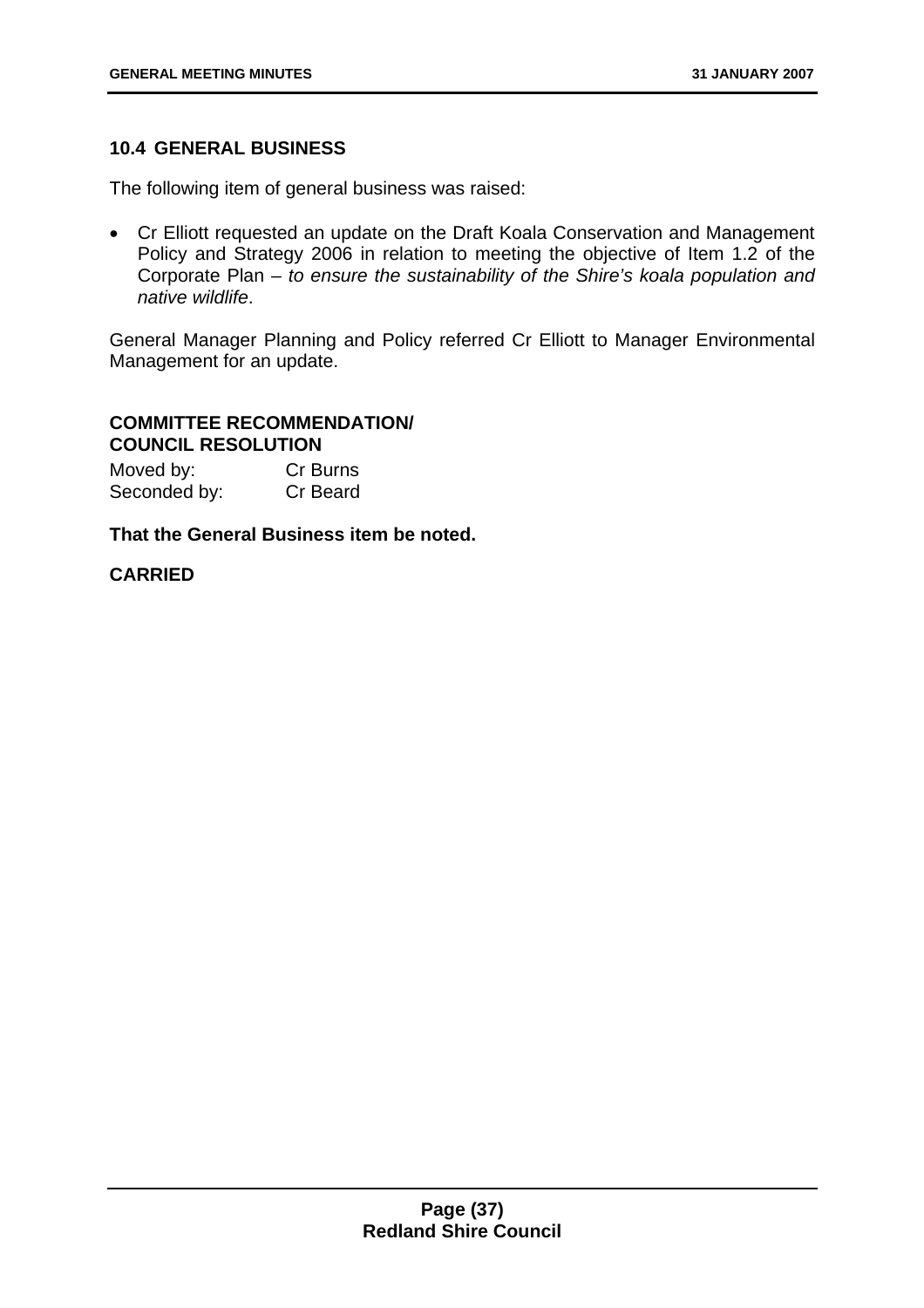# **10.4 GENERAL BUSINESS**

The following item of general business was raised:

• Cr Elliott requested an update on the Draft Koala Conservation and Management Policy and Strategy 2006 in relation to meeting the objective of Item 1.2 of the Corporate Plan – *to ensure the sustainability of the Shire's koala population and native wildlife*.

General Manager Planning and Policy referred Cr Elliott to Manager Environmental Management for an update.

# **COMMITTEE RECOMMENDATION/ COUNCIL RESOLUTION**

| Moved by:    | Cr Burns |
|--------------|----------|
| Seconded by: | Cr Beard |

# **That the General Business item be noted.**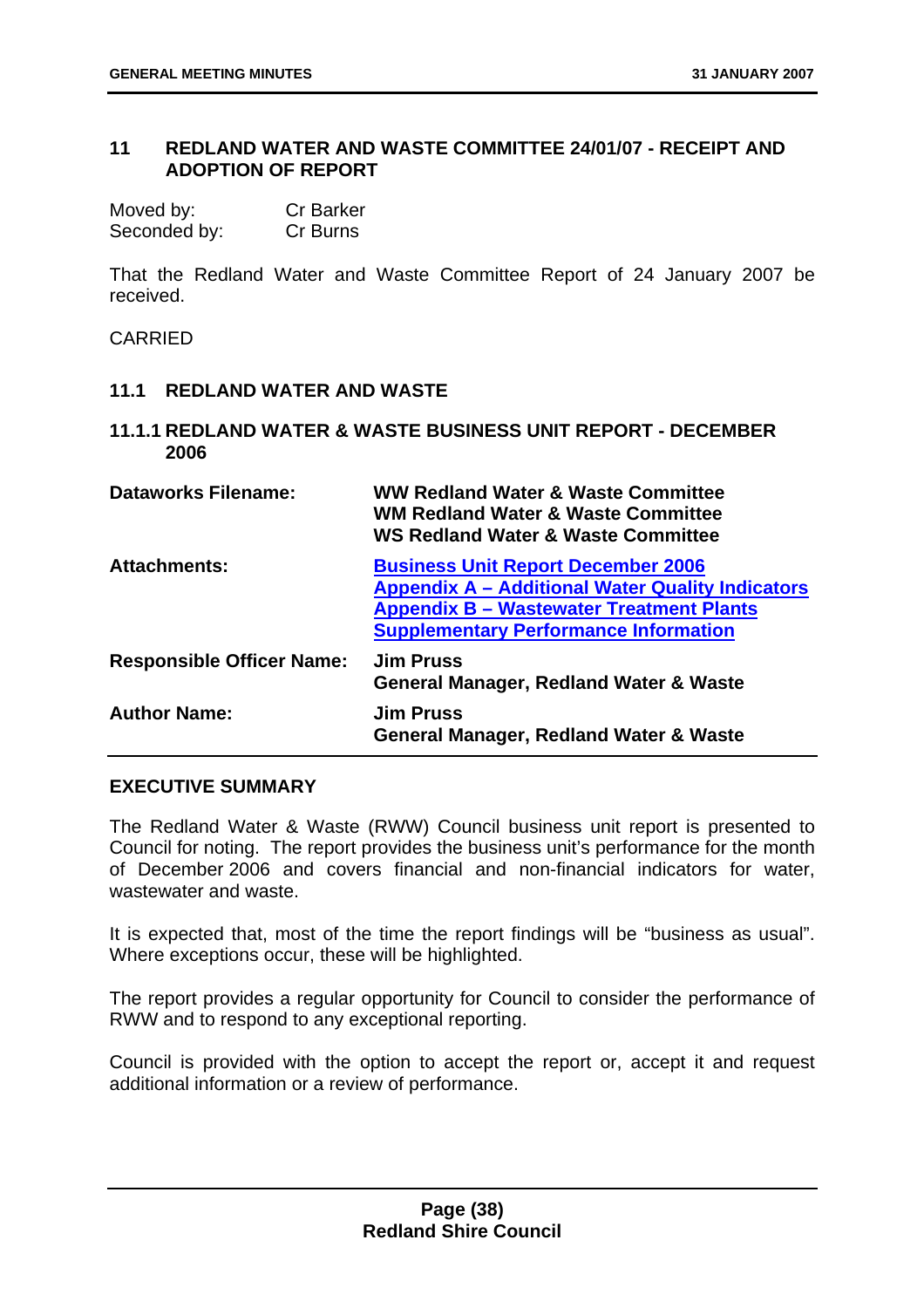# **11 REDLAND WATER AND WASTE COMMITTEE 24/01/07 - RECEIPT AND ADOPTION OF REPORT**

| Moved by:    | <b>Cr Barker</b> |
|--------------|------------------|
| Seconded by: | Cr Burns         |

That the Redland Water and Waste Committee Report of 24 January 2007 be received.

CARRIED

- **11.1 REDLAND WATER AND WASTE**
- **11.1.1 REDLAND WATER & WASTE BUSINESS UNIT REPORT DECEMBER 2006**

| <b>Dataworks Filename:</b>       | <b>WW Redland Water &amp; Waste Committee</b><br><b>WM Redland Water &amp; Waste Committee</b><br><b>WS Redland Water &amp; Waste Committee</b>                                                         |
|----------------------------------|---------------------------------------------------------------------------------------------------------------------------------------------------------------------------------------------------------|
| <b>Attachments:</b>              | <b>Business Unit Report December 2006</b><br><b>Appendix A - Additional Water Quality Indicators</b><br><b>Appendix B - Wastewater Treatment Plants</b><br><b>Supplementary Performance Information</b> |
| <b>Responsible Officer Name:</b> | <b>Jim Pruss</b><br><b>General Manager, Redland Water &amp; Waste</b>                                                                                                                                   |
| <b>Author Name:</b>              | <b>Jim Pruss</b><br><b>General Manager, Redland Water &amp; Waste</b>                                                                                                                                   |

## **EXECUTIVE SUMMARY**

The Redland Water & Waste (RWW) Council business unit report is presented to Council for noting. The report provides the business unit's performance for the month of December 2006 and covers financial and non-financial indicators for water, wastewater and waste.

It is expected that, most of the time the report findings will be "business as usual". Where exceptions occur, these will be highlighted.

The report provides a regular opportunity for Council to consider the performance of RWW and to respond to any exceptional reporting.

Council is provided with the option to accept the report or, accept it and request additional information or a review of performance.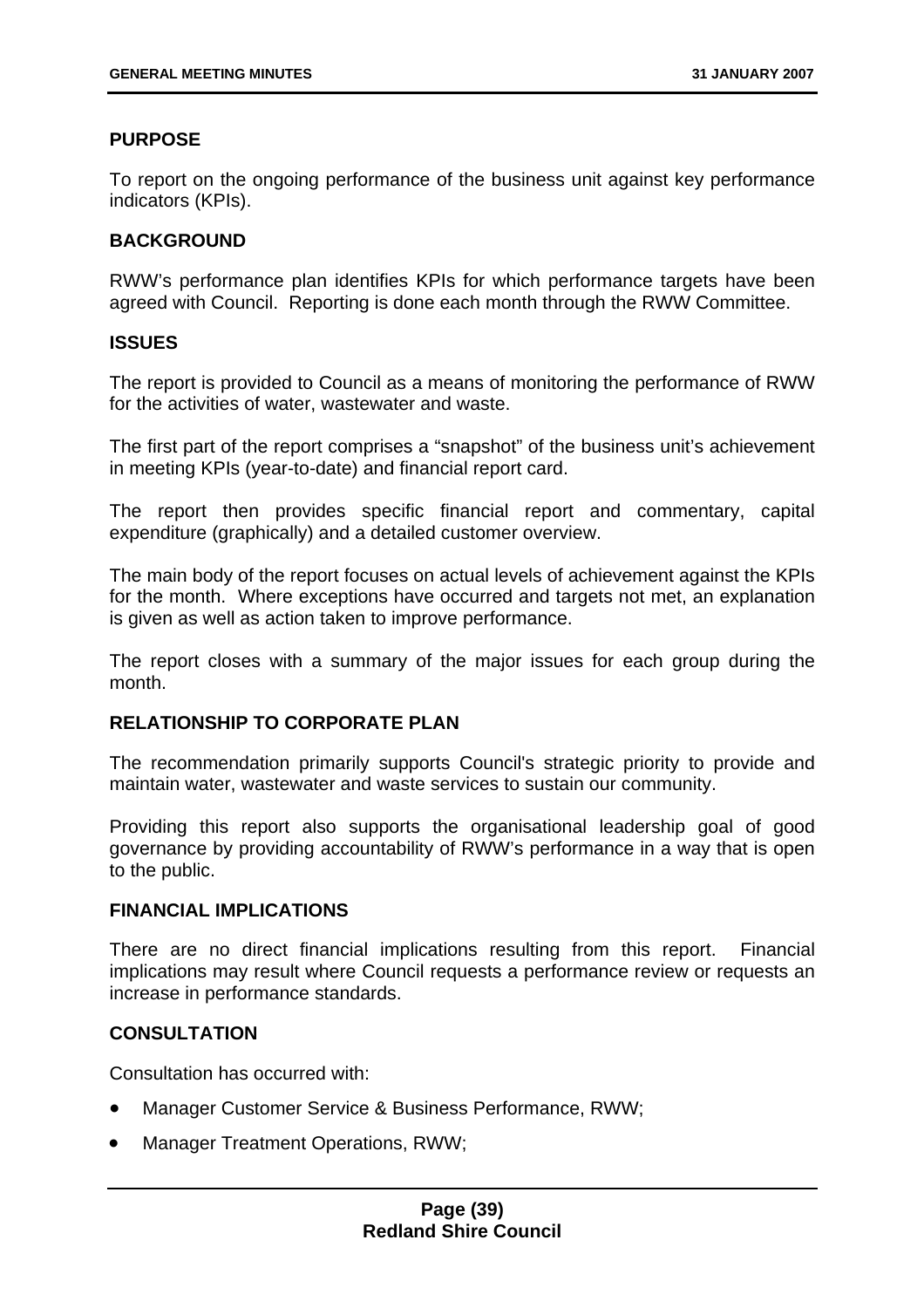# **PURPOSE**

To report on the ongoing performance of the business unit against key performance indicators (KPIs).

## **BACKGROUND**

RWW's performance plan identifies KPIs for which performance targets have been agreed with Council. Reporting is done each month through the RWW Committee.

#### **ISSUES**

The report is provided to Council as a means of monitoring the performance of RWW for the activities of water, wastewater and waste.

The first part of the report comprises a "snapshot" of the business unit's achievement in meeting KPIs (year-to-date) and financial report card.

The report then provides specific financial report and commentary, capital expenditure (graphically) and a detailed customer overview.

The main body of the report focuses on actual levels of achievement against the KPIs for the month. Where exceptions have occurred and targets not met, an explanation is given as well as action taken to improve performance.

The report closes with a summary of the major issues for each group during the month.

## **RELATIONSHIP TO CORPORATE PLAN**

The recommendation primarily supports Council's strategic priority to provide and maintain water, wastewater and waste services to sustain our community.

Providing this report also supports the organisational leadership goal of good governance by providing accountability of RWW's performance in a way that is open to the public.

### **FINANCIAL IMPLICATIONS**

There are no direct financial implications resulting from this report. Financial implications may result where Council requests a performance review or requests an increase in performance standards.

### **CONSULTATION**

Consultation has occurred with:

- Manager Customer Service & Business Performance, RWW;
- Manager Treatment Operations, RWW;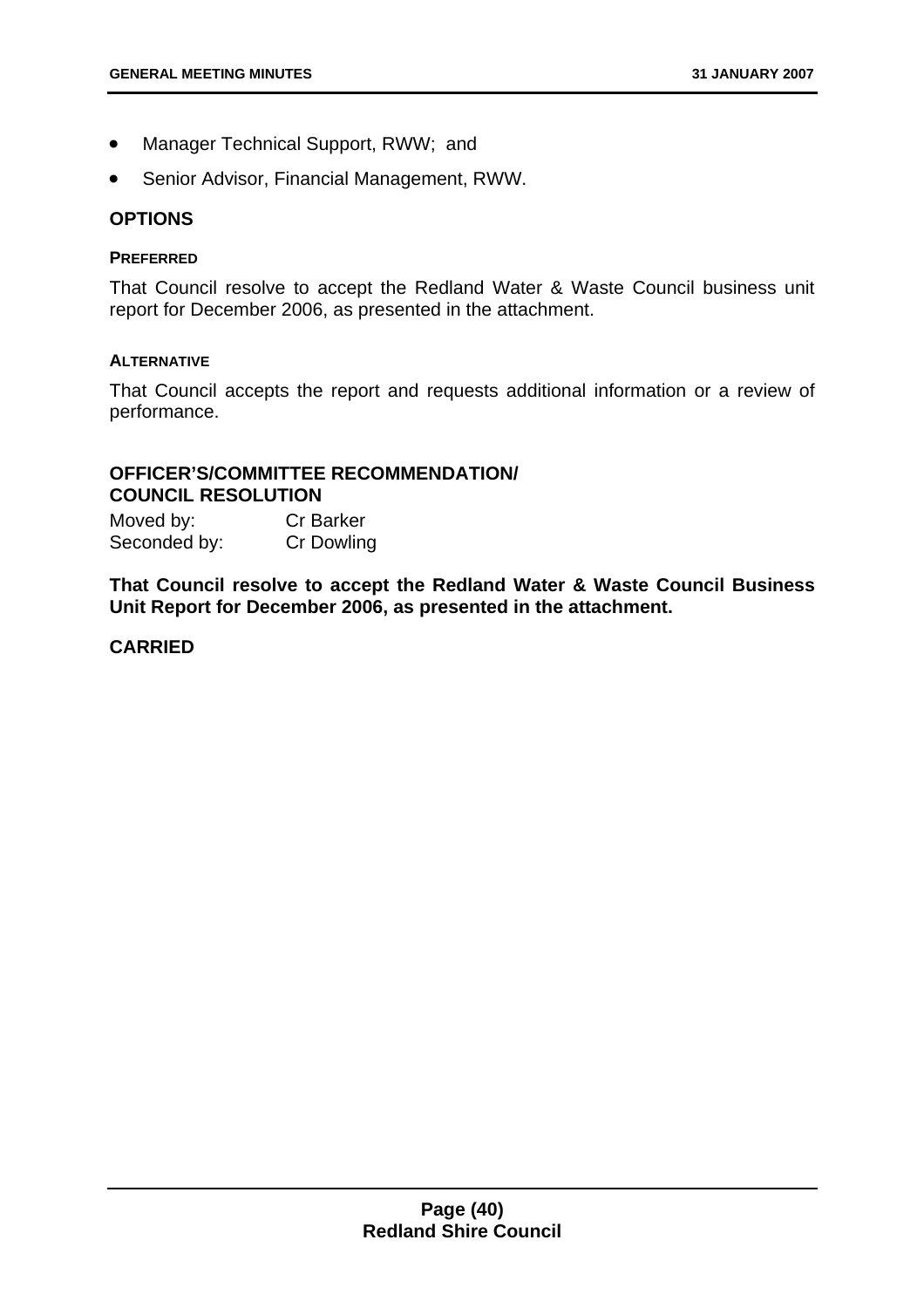- Manager Technical Support, RWW; and
- Senior Advisor, Financial Management, RWW.

#### **OPTIONS**

#### **PREFERRED**

That Council resolve to accept the Redland Water & Waste Council business unit report for December 2006, as presented in the attachment.

#### **ALTERNATIVE**

That Council accepts the report and requests additional information or a review of performance.

# **OFFICER'S/COMMITTEE RECOMMENDATION/ COUNCIL RESOLUTION**

Moved by: Cr Barker Seconded by: Cr Dowling

**That Council resolve to accept the Redland Water & Waste Council Business Unit Report for December 2006, as presented in the attachment.**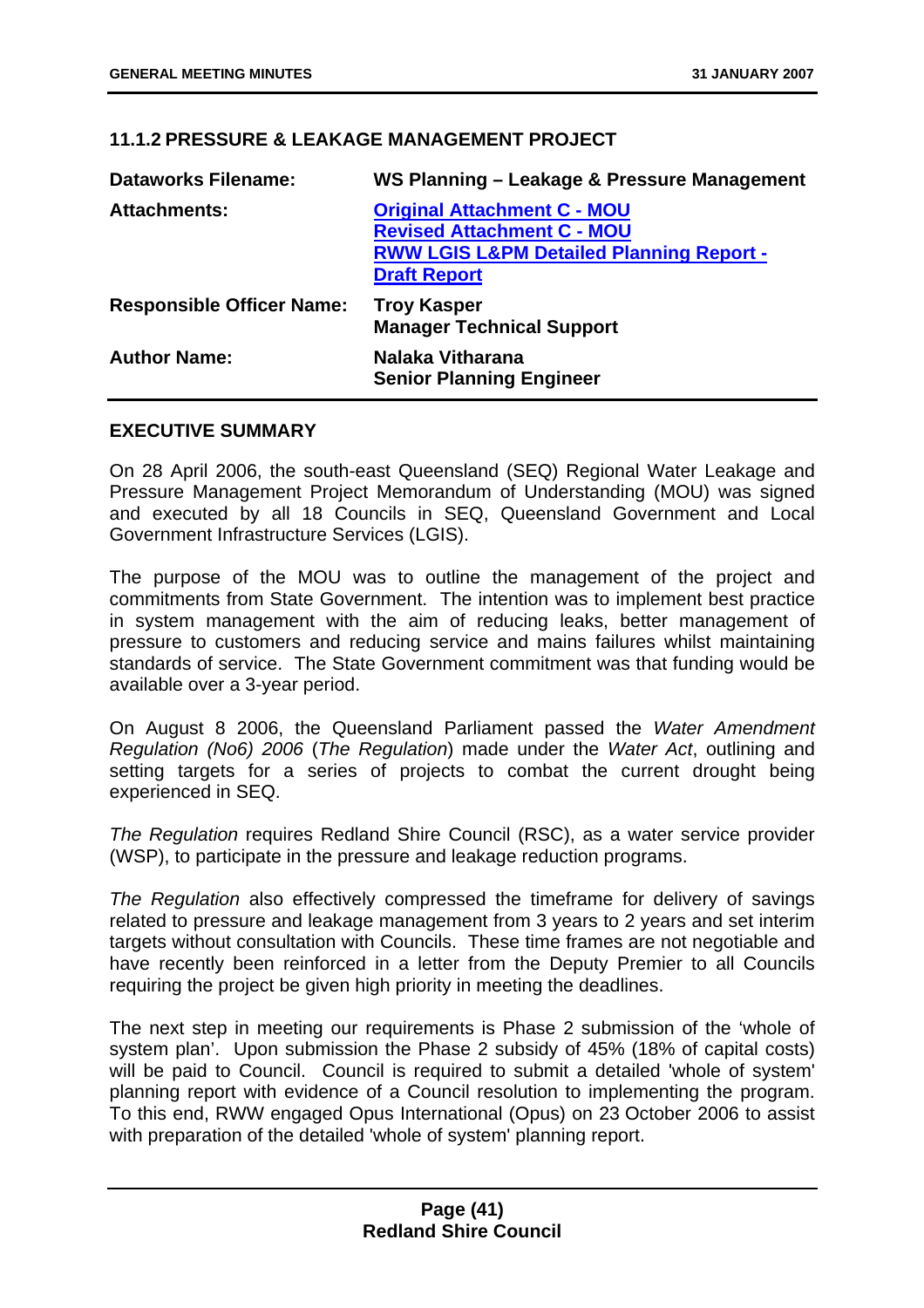# **11.1.2 PRESSURE & LEAKAGE MANAGEMENT PROJECT**

| <b>Dataworks Filename:</b>       | WS Planning - Leakage & Pressure Management                                                                                                           |
|----------------------------------|-------------------------------------------------------------------------------------------------------------------------------------------------------|
| <b>Attachments:</b>              | <b>Original Attachment C - MOU</b><br><b>Revised Attachment C - MOU</b><br><b>RWW LGIS L&amp;PM Detailed Planning Report -</b><br><b>Draft Report</b> |
| <b>Responsible Officer Name:</b> | <b>Troy Kasper</b><br><b>Manager Technical Support</b>                                                                                                |
| <b>Author Name:</b>              | Nalaka Vitharana<br><b>Senior Planning Engineer</b>                                                                                                   |

#### **EXECUTIVE SUMMARY**

On 28 April 2006, the south-east Queensland (SEQ) Regional Water Leakage and Pressure Management Project Memorandum of Understanding (MOU) was signed and executed by all 18 Councils in SEQ, Queensland Government and Local Government Infrastructure Services (LGIS).

The purpose of the MOU was to outline the management of the project and commitments from State Government. The intention was to implement best practice in system management with the aim of reducing leaks, better management of pressure to customers and reducing service and mains failures whilst maintaining standards of service. The State Government commitment was that funding would be available over a 3-year period.

On August 8 2006, the Queensland Parliament passed the *Water Amendment Regulation (No6) 2006* (*The Regulation*) made under the *Water Act*, outlining and setting targets for a series of projects to combat the current drought being experienced in SEQ.

*The Regulation* requires Redland Shire Council (RSC), as a water service provider (WSP), to participate in the pressure and leakage reduction programs.

*The Regulation* also effectively compressed the timeframe for delivery of savings related to pressure and leakage management from 3 years to 2 years and set interim targets without consultation with Councils. These time frames are not negotiable and have recently been reinforced in a letter from the Deputy Premier to all Councils requiring the project be given high priority in meeting the deadlines.

The next step in meeting our requirements is Phase 2 submission of the 'whole of system plan'. Upon submission the Phase 2 subsidy of 45% (18% of capital costs) will be paid to Council. Council is required to submit a detailed 'whole of system' planning report with evidence of a Council resolution to implementing the program. To this end, RWW engaged Opus International (Opus) on 23 October 2006 to assist with preparation of the detailed 'whole of system' planning report.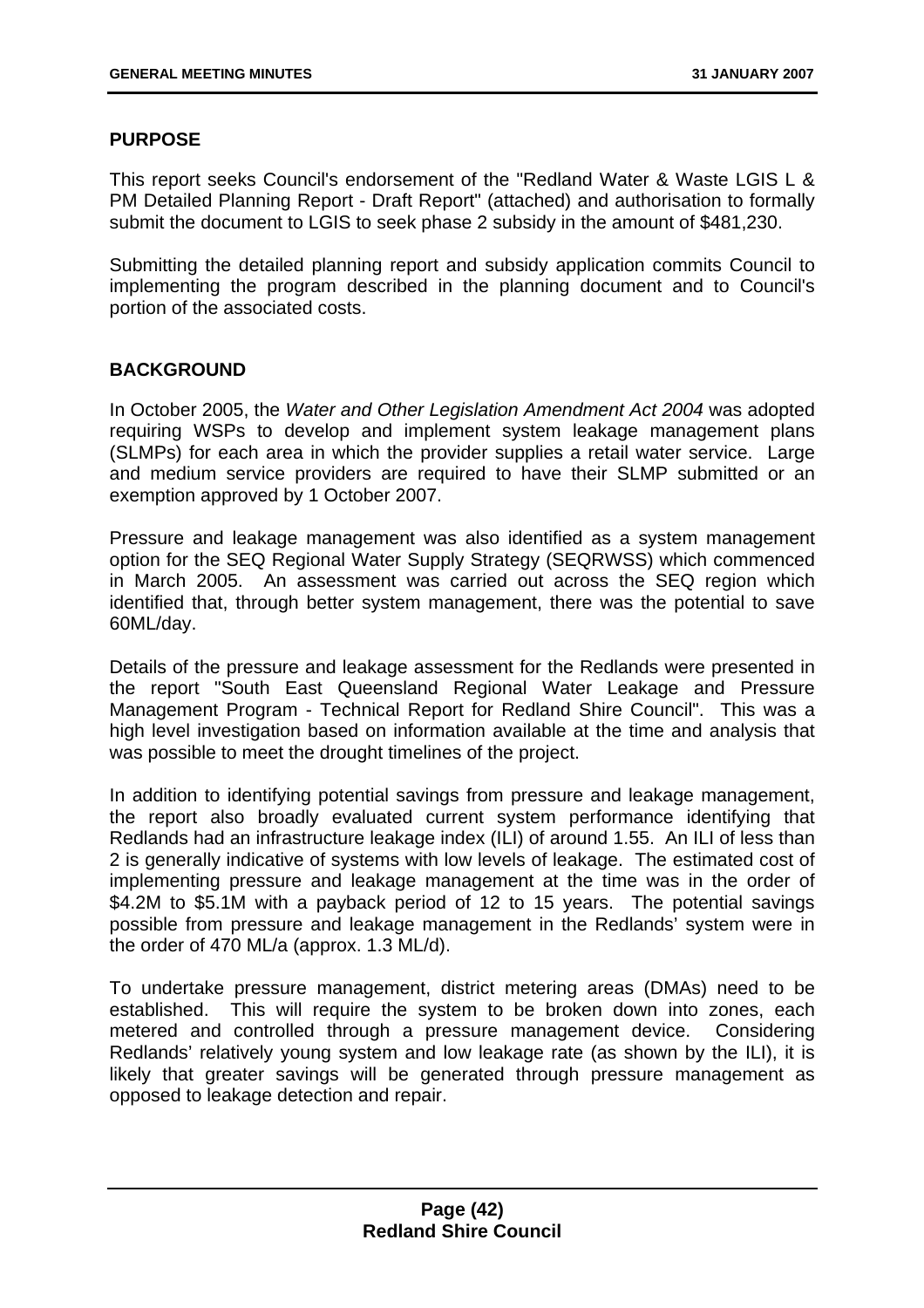# **PURPOSE**

This report seeks Council's endorsement of the "Redland Water & Waste LGIS L & PM Detailed Planning Report - Draft Report" (attached) and authorisation to formally submit the document to LGIS to seek phase 2 subsidy in the amount of \$481,230.

Submitting the detailed planning report and subsidy application commits Council to implementing the program described in the planning document and to Council's portion of the associated costs.

# **BACKGROUND**

In October 2005, the *Water and Other Legislation Amendment Act 2004* was adopted requiring WSPs to develop and implement system leakage management plans (SLMPs) for each area in which the provider supplies a retail water service. Large and medium service providers are required to have their SLMP submitted or an exemption approved by 1 October 2007.

Pressure and leakage management was also identified as a system management option for the SEQ Regional Water Supply Strategy (SEQRWSS) which commenced in March 2005. An assessment was carried out across the SEQ region which identified that, through better system management, there was the potential to save 60ML/day.

Details of the pressure and leakage assessment for the Redlands were presented in the report "South East Queensland Regional Water Leakage and Pressure Management Program - Technical Report for Redland Shire Council". This was a high level investigation based on information available at the time and analysis that was possible to meet the drought timelines of the project.

In addition to identifying potential savings from pressure and leakage management, the report also broadly evaluated current system performance identifying that Redlands had an infrastructure leakage index (ILI) of around 1.55. An ILI of less than 2 is generally indicative of systems with low levels of leakage. The estimated cost of implementing pressure and leakage management at the time was in the order of \$4.2M to \$5.1M with a payback period of 12 to 15 years. The potential savings possible from pressure and leakage management in the Redlands' system were in the order of 470 ML/a (approx. 1.3 ML/d).

To undertake pressure management, district metering areas (DMAs) need to be established. This will require the system to be broken down into zones, each metered and controlled through a pressure management device. Considering Redlands' relatively young system and low leakage rate (as shown by the ILI), it is likely that greater savings will be generated through pressure management as opposed to leakage detection and repair.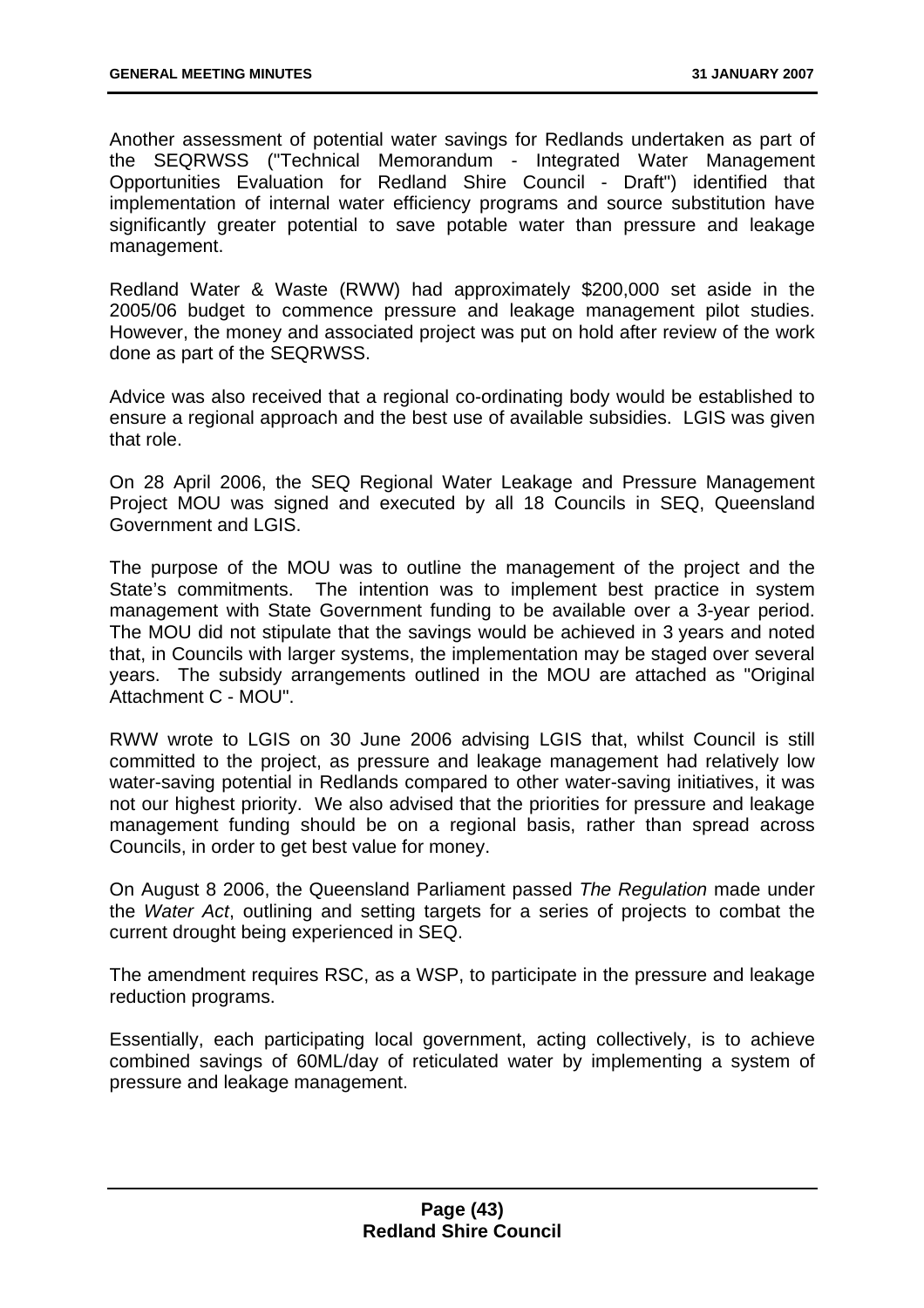Another assessment of potential water savings for Redlands undertaken as part of the SEQRWSS ("Technical Memorandum - Integrated Water Management Opportunities Evaluation for Redland Shire Council - Draft") identified that implementation of internal water efficiency programs and source substitution have significantly greater potential to save potable water than pressure and leakage management.

Redland Water & Waste (RWW) had approximately \$200,000 set aside in the 2005/06 budget to commence pressure and leakage management pilot studies. However, the money and associated project was put on hold after review of the work done as part of the SEQRWSS.

Advice was also received that a regional co-ordinating body would be established to ensure a regional approach and the best use of available subsidies. LGIS was given that role.

On 28 April 2006, the SEQ Regional Water Leakage and Pressure Management Project MOU was signed and executed by all 18 Councils in SEQ, Queensland Government and LGIS.

The purpose of the MOU was to outline the management of the project and the State's commitments. The intention was to implement best practice in system management with State Government funding to be available over a 3-year period. The MOU did not stipulate that the savings would be achieved in 3 years and noted that, in Councils with larger systems, the implementation may be staged over several years. The subsidy arrangements outlined in the MOU are attached as "Original Attachment C - MOU".

RWW wrote to LGIS on 30 June 2006 advising LGIS that, whilst Council is still committed to the project, as pressure and leakage management had relatively low water-saving potential in Redlands compared to other water-saving initiatives, it was not our highest priority. We also advised that the priorities for pressure and leakage management funding should be on a regional basis, rather than spread across Councils, in order to get best value for money.

On August 8 2006, the Queensland Parliament passed *The Regulation* made under the *Water Act*, outlining and setting targets for a series of projects to combat the current drought being experienced in SEQ.

The amendment requires RSC, as a WSP, to participate in the pressure and leakage reduction programs.

Essentially, each participating local government, acting collectively, is to achieve combined savings of 60ML/day of reticulated water by implementing a system of pressure and leakage management.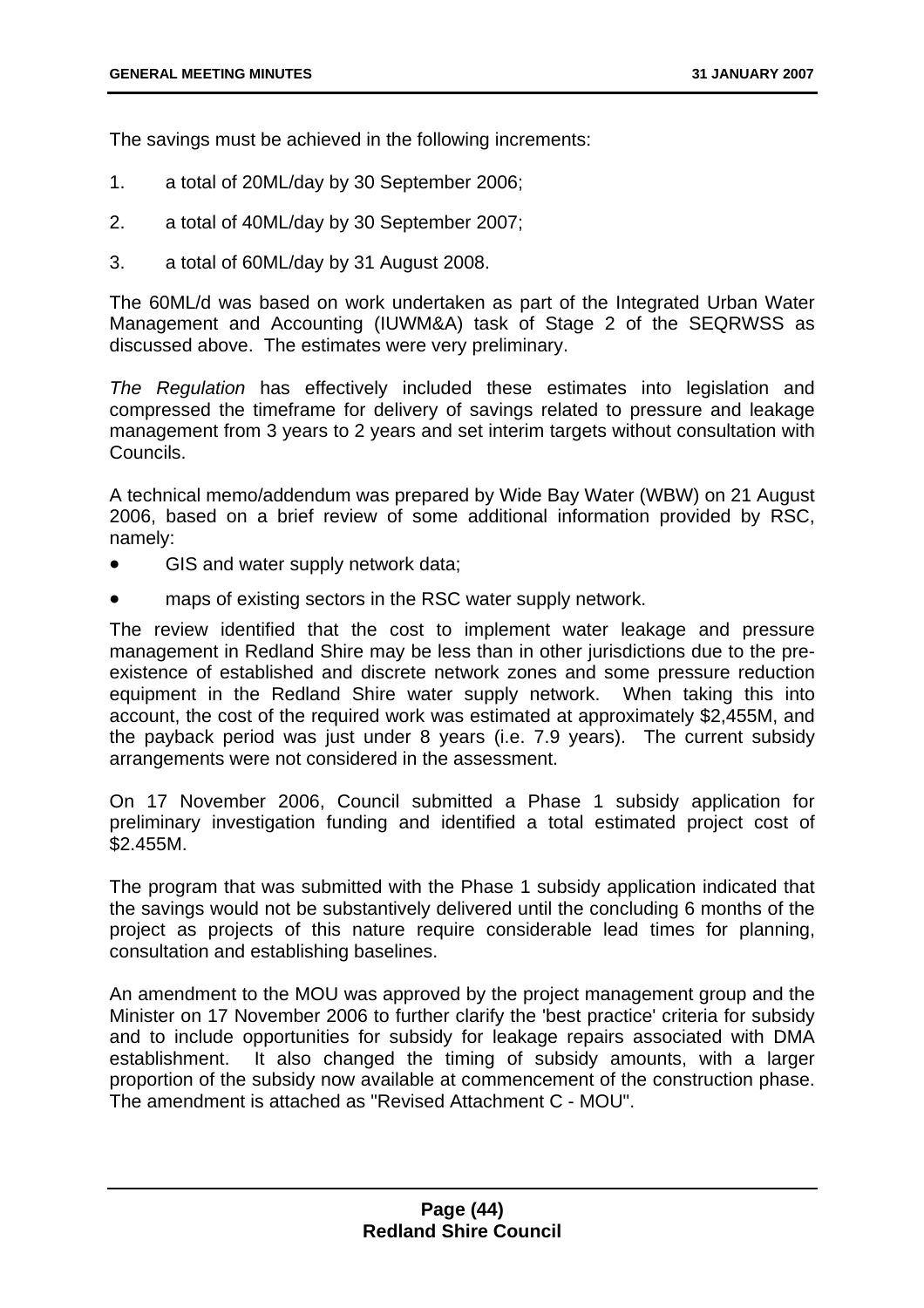The savings must be achieved in the following increments:

- 1. a total of 20ML/day by 30 September 2006;
- 2. a total of 40ML/day by 30 September 2007;
- 3. a total of 60ML/day by 31 August 2008.

The 60ML/d was based on work undertaken as part of the Integrated Urban Water Management and Accounting (IUWM&A) task of Stage 2 of the SEQRWSS as discussed above. The estimates were very preliminary.

*The Regulation* has effectively included these estimates into legislation and compressed the timeframe for delivery of savings related to pressure and leakage management from 3 years to 2 years and set interim targets without consultation with Councils.

A technical memo/addendum was prepared by Wide Bay Water (WBW) on 21 August 2006, based on a brief review of some additional information provided by RSC, namely:

- GIS and water supply network data;
- maps of existing sectors in the RSC water supply network.

The review identified that the cost to implement water leakage and pressure management in Redland Shire may be less than in other jurisdictions due to the preexistence of established and discrete network zones and some pressure reduction equipment in the Redland Shire water supply network. When taking this into account, the cost of the required work was estimated at approximately \$2,455M, and the payback period was just under 8 years (i.e. 7.9 years). The current subsidy arrangements were not considered in the assessment.

On 17 November 2006, Council submitted a Phase 1 subsidy application for preliminary investigation funding and identified a total estimated project cost of \$2.455M.

The program that was submitted with the Phase 1 subsidy application indicated that the savings would not be substantively delivered until the concluding 6 months of the project as projects of this nature require considerable lead times for planning, consultation and establishing baselines.

An amendment to the MOU was approved by the project management group and the Minister on 17 November 2006 to further clarify the 'best practice' criteria for subsidy and to include opportunities for subsidy for leakage repairs associated with DMA establishment. It also changed the timing of subsidy amounts, with a larger proportion of the subsidy now available at commencement of the construction phase. The amendment is attached as "Revised Attachment C - MOU".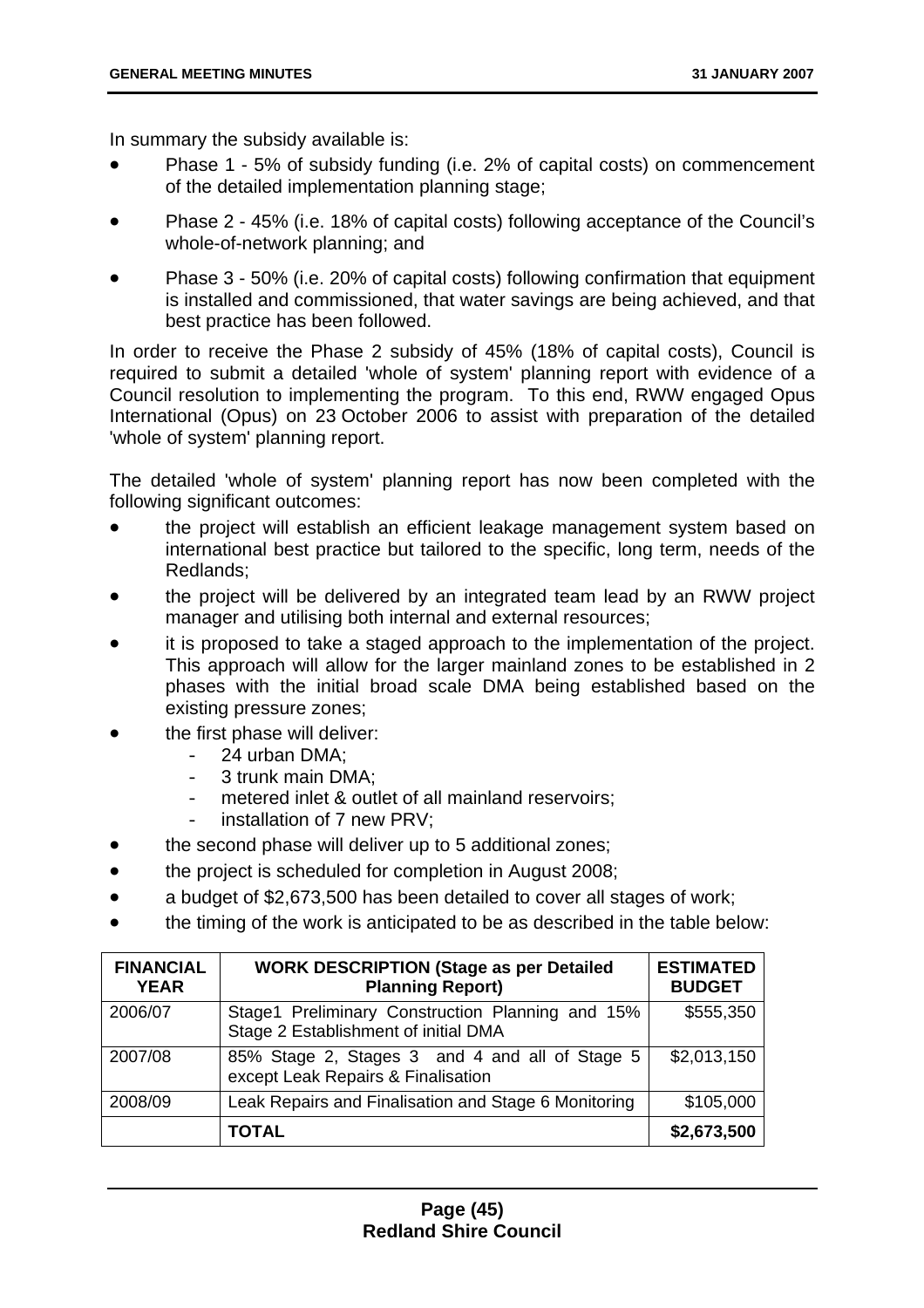In summary the subsidy available is:

- Phase 1 5% of subsidy funding (i.e. 2% of capital costs) on commencement of the detailed implementation planning stage;
- Phase 2 45% (i.e. 18% of capital costs) following acceptance of the Council's whole-of-network planning; and
- Phase 3 50% (i.e. 20% of capital costs) following confirmation that equipment is installed and commissioned, that water savings are being achieved, and that best practice has been followed.

In order to receive the Phase 2 subsidy of 45% (18% of capital costs), Council is required to submit a detailed 'whole of system' planning report with evidence of a Council resolution to implementing the program. To this end, RWW engaged Opus International (Opus) on 23 October 2006 to assist with preparation of the detailed 'whole of system' planning report.

The detailed 'whole of system' planning report has now been completed with the following significant outcomes:

- the project will establish an efficient leakage management system based on international best practice but tailored to the specific, long term, needs of the Redlands;
- the project will be delivered by an integrated team lead by an RWW project manager and utilising both internal and external resources;
- it is proposed to take a staged approach to the implementation of the project. This approach will allow for the larger mainland zones to be established in 2 phases with the initial broad scale DMA being established based on the existing pressure zones;
- the first phase will deliver:
	- 24 urban DMA;
		- 3 trunk main DMA;
		- metered inlet & outlet of all mainland reservoirs;
		- installation of 7 new PRV;
- the second phase will deliver up to 5 additional zones:
- the project is scheduled for completion in August 2008;
- a budget of \$2,673,500 has been detailed to cover all stages of work;
- the timing of the work is anticipated to be as described in the table below:

| <b>FINANCIAL</b><br><b>YEAR</b> | <b>WORK DESCRIPTION (Stage as per Detailed</b><br><b>Planning Report)</b>                | <b>ESTIMATED</b><br><b>BUDGET</b> |
|---------------------------------|------------------------------------------------------------------------------------------|-----------------------------------|
| 2006/07                         | Stage1 Preliminary Construction Planning and 15%<br>Stage 2 Establishment of initial DMA | \$555,350                         |
| 2007/08                         | 85% Stage 2, Stages 3 and 4 and all of Stage 5<br>except Leak Repairs & Finalisation     | \$2,013,150                       |
| 2008/09                         | Leak Repairs and Finalisation and Stage 6 Monitoring                                     | \$105,000                         |
|                                 | TOTAL                                                                                    | \$2,673,500                       |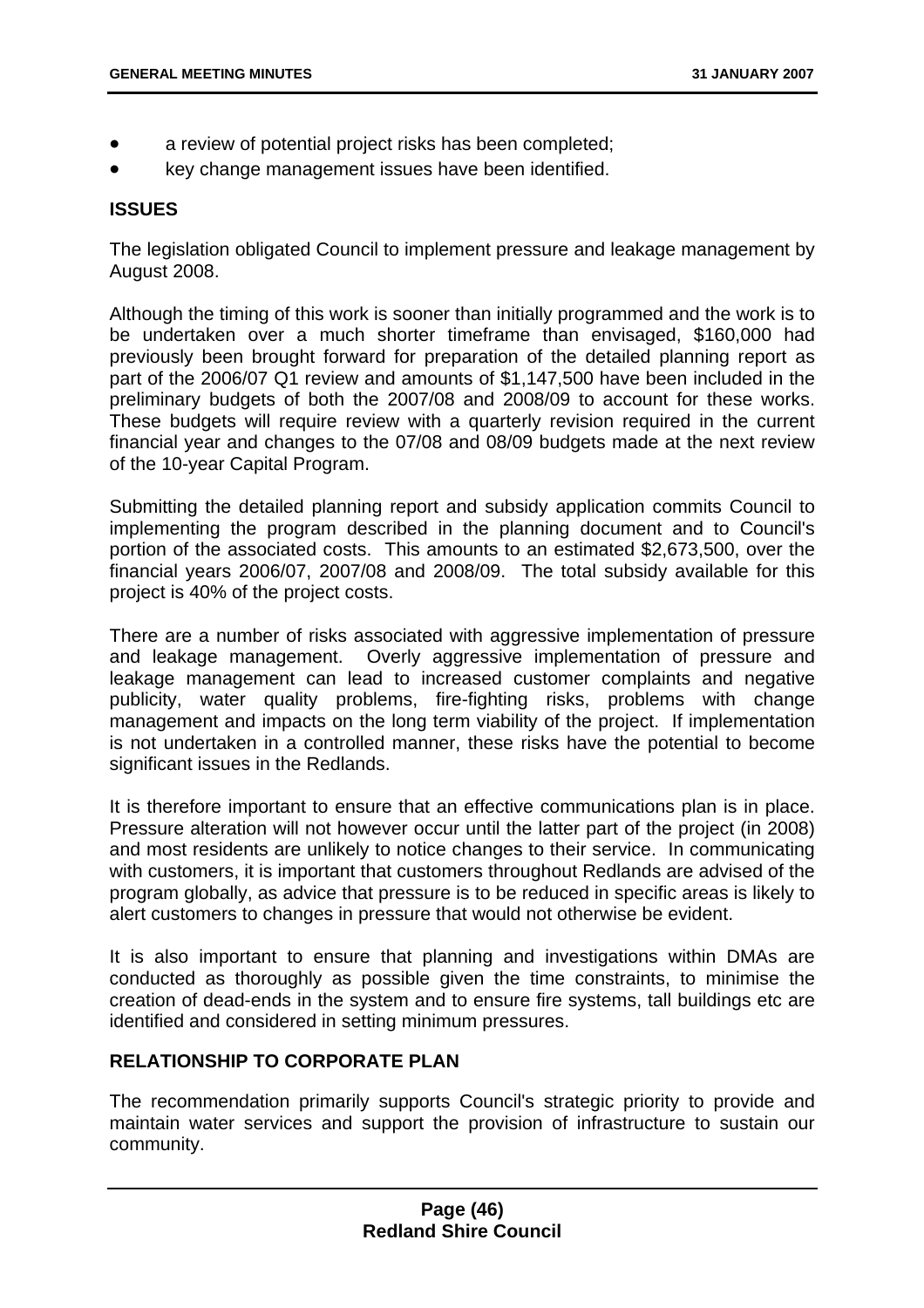- a review of potential project risks has been completed;
- key change management issues have been identified.

#### **ISSUES**

The legislation obligated Council to implement pressure and leakage management by August 2008.

Although the timing of this work is sooner than initially programmed and the work is to be undertaken over a much shorter timeframe than envisaged, \$160,000 had previously been brought forward for preparation of the detailed planning report as part of the 2006/07 Q1 review and amounts of \$1,147,500 have been included in the preliminary budgets of both the 2007/08 and 2008/09 to account for these works. These budgets will require review with a quarterly revision required in the current financial year and changes to the 07/08 and 08/09 budgets made at the next review of the 10-year Capital Program.

Submitting the detailed planning report and subsidy application commits Council to implementing the program described in the planning document and to Council's portion of the associated costs. This amounts to an estimated \$2,673,500, over the financial years 2006/07, 2007/08 and 2008/09. The total subsidy available for this project is 40% of the project costs.

There are a number of risks associated with aggressive implementation of pressure and leakage management. Overly aggressive implementation of pressure and leakage management can lead to increased customer complaints and negative publicity, water quality problems, fire-fighting risks, problems with change management and impacts on the long term viability of the project. If implementation is not undertaken in a controlled manner, these risks have the potential to become significant issues in the Redlands.

It is therefore important to ensure that an effective communications plan is in place. Pressure alteration will not however occur until the latter part of the project (in 2008) and most residents are unlikely to notice changes to their service. In communicating with customers, it is important that customers throughout Redlands are advised of the program globally, as advice that pressure is to be reduced in specific areas is likely to alert customers to changes in pressure that would not otherwise be evident.

It is also important to ensure that planning and investigations within DMAs are conducted as thoroughly as possible given the time constraints, to minimise the creation of dead-ends in the system and to ensure fire systems, tall buildings etc are identified and considered in setting minimum pressures.

## **RELATIONSHIP TO CORPORATE PLAN**

The recommendation primarily supports Council's strategic priority to provide and maintain water services and support the provision of infrastructure to sustain our community.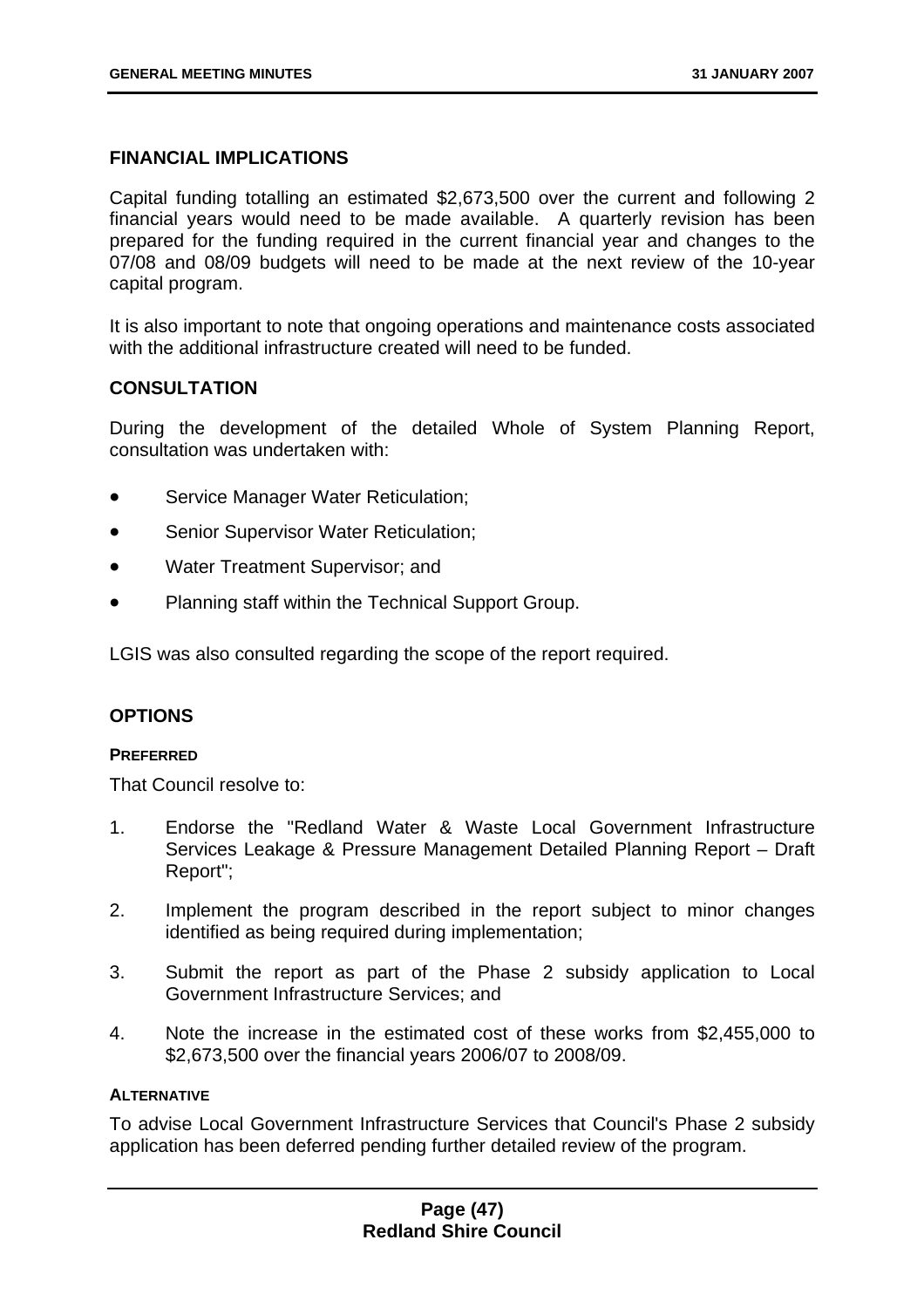## **FINANCIAL IMPLICATIONS**

Capital funding totalling an estimated \$2,673,500 over the current and following 2 financial years would need to be made available. A quarterly revision has been prepared for the funding required in the current financial year and changes to the 07/08 and 08/09 budgets will need to be made at the next review of the 10-year capital program.

It is also important to note that ongoing operations and maintenance costs associated with the additional infrastructure created will need to be funded.

# **CONSULTATION**

During the development of the detailed Whole of System Planning Report, consultation was undertaken with:

- Service Manager Water Reticulation;
- Senior Supervisor Water Reticulation;
- Water Treatment Supervisor; and
- Planning staff within the Technical Support Group.

LGIS was also consulted regarding the scope of the report required.

### **OPTIONS**

# **PREFERRED**

That Council resolve to:

- 1. Endorse the "Redland Water & Waste Local Government Infrastructure Services Leakage & Pressure Management Detailed Planning Report – Draft Report";
- 2. Implement the program described in the report subject to minor changes identified as being required during implementation;
- 3. Submit the report as part of the Phase 2 subsidy application to Local Government Infrastructure Services; and
- 4. Note the increase in the estimated cost of these works from \$2,455,000 to \$2,673,500 over the financial years 2006/07 to 2008/09.

#### **ALTERNATIVE**

To advise Local Government Infrastructure Services that Council's Phase 2 subsidy application has been deferred pending further detailed review of the program.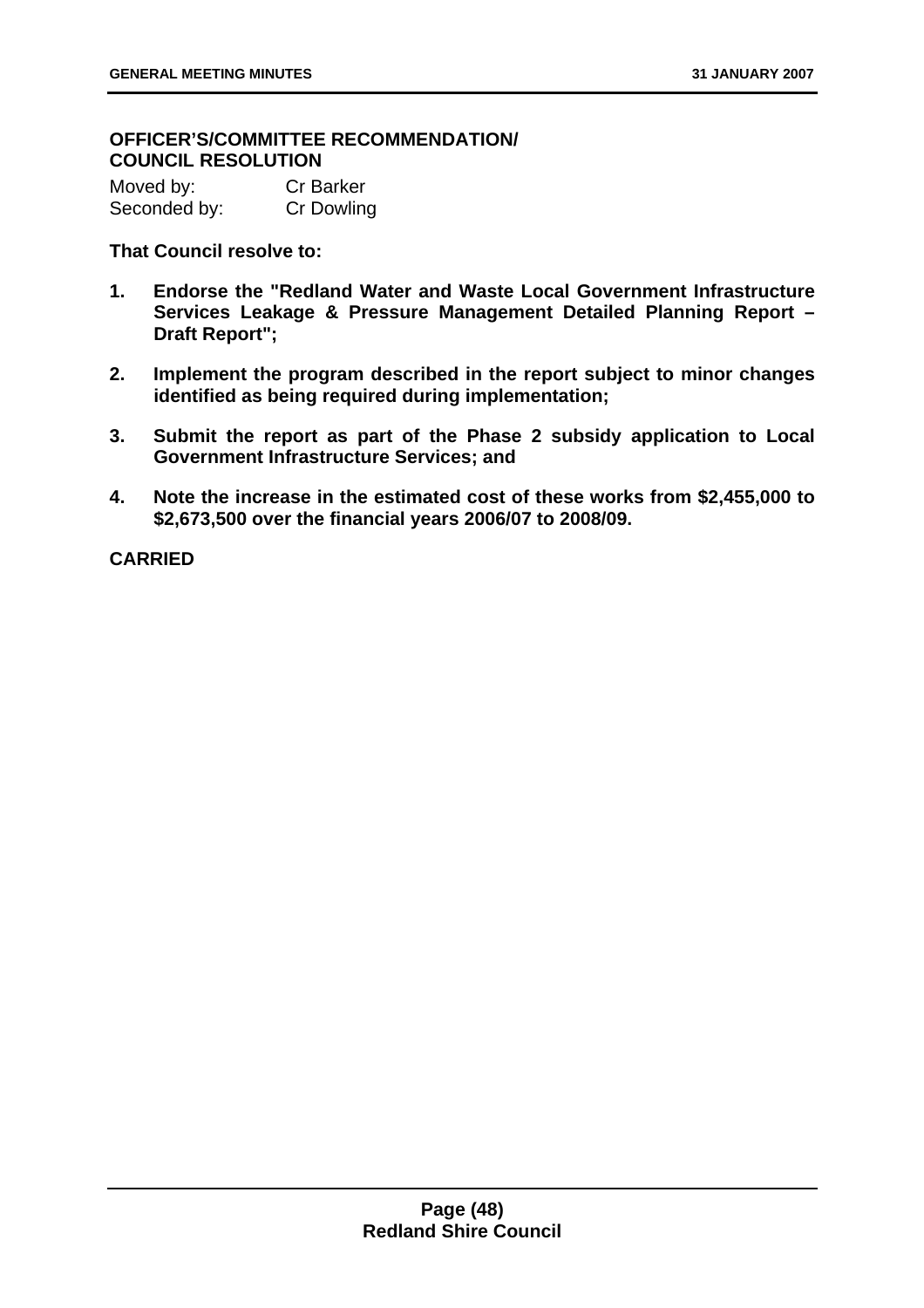# **OFFICER'S/COMMITTEE RECOMMENDATION/ COUNCIL RESOLUTION**

| Moved by:    | <b>Cr Barker</b> |
|--------------|------------------|
| Seconded by: | Cr Dowling       |

**That Council resolve to:** 

- **1. Endorse the "Redland Water and Waste Local Government Infrastructure Services Leakage & Pressure Management Detailed Planning Report – Draft Report";**
- **2. Implement the program described in the report subject to minor changes identified as being required during implementation;**
- **3. Submit the report as part of the Phase 2 subsidy application to Local Government Infrastructure Services; and**
- **4. Note the increase in the estimated cost of these works from \$2,455,000 to \$2,673,500 over the financial years 2006/07 to 2008/09.**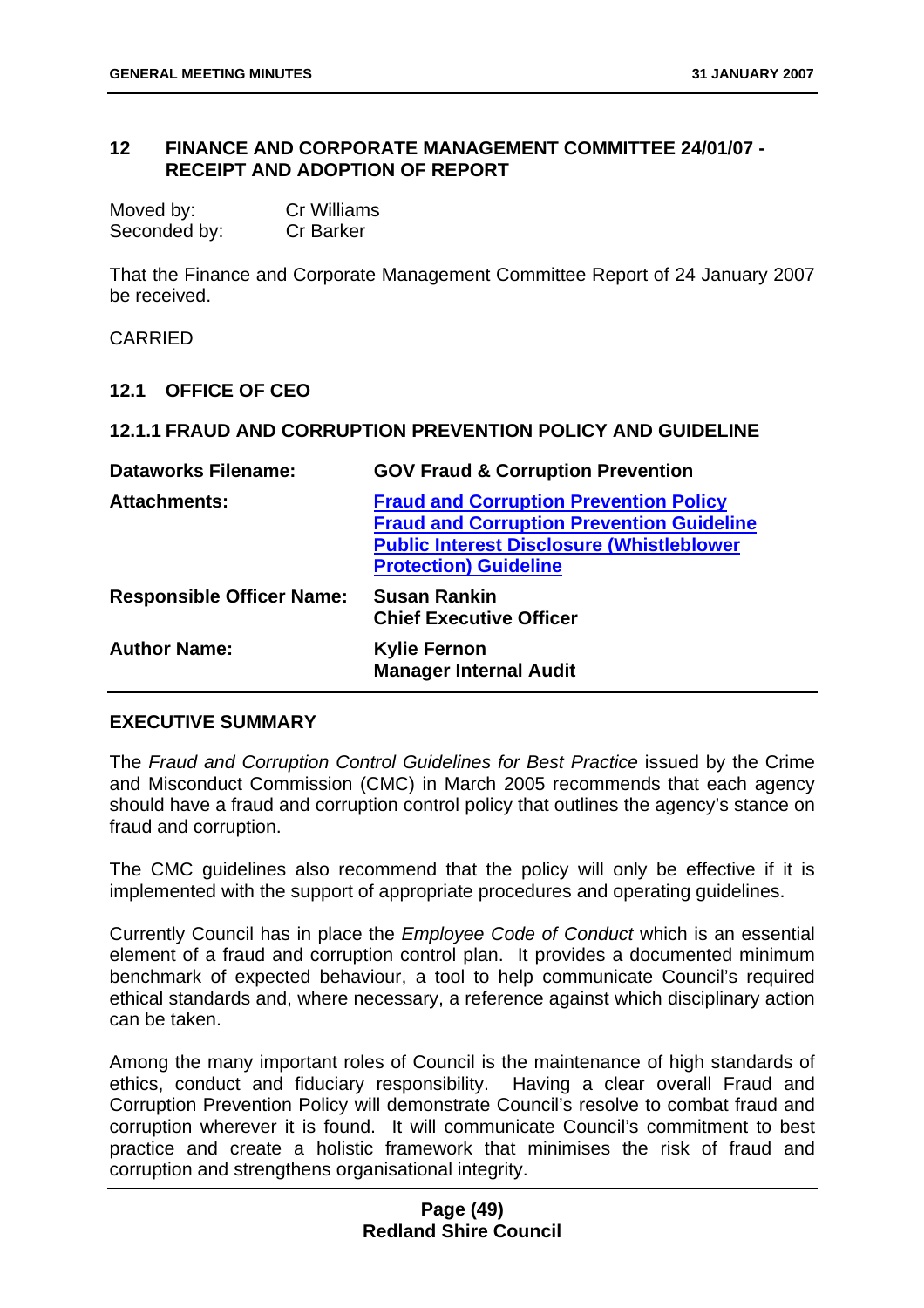# **12 FINANCE AND CORPORATE MANAGEMENT COMMITTEE 24/01/07 - RECEIPT AND ADOPTION OF REPORT**

| Moved by:    | <b>Cr Williams</b> |
|--------------|--------------------|
| Seconded by: | <b>Cr Barker</b>   |

That the Finance and Corporate Management Committee Report of 24 January 2007 be received.

CARRIED

#### **12.1 OFFICE OF CEO**

#### **12.1.1 FRAUD AND CORRUPTION PREVENTION POLICY AND GUIDELINE**

| <b>Dataworks Filename:</b>       | <b>GOV Fraud &amp; Corruption Prevention</b>                                                                                                                                          |
|----------------------------------|---------------------------------------------------------------------------------------------------------------------------------------------------------------------------------------|
| <b>Attachments:</b>              | <b>Fraud and Corruption Prevention Policy</b><br><b>Fraud and Corruption Prevention Guideline</b><br><b>Public Interest Disclosure (Whistleblower</b><br><b>Protection) Guideline</b> |
| <b>Responsible Officer Name:</b> | <b>Susan Rankin</b><br><b>Chief Executive Officer</b>                                                                                                                                 |
| <b>Author Name:</b>              | <b>Kylie Fernon</b><br><b>Manager Internal Audit</b>                                                                                                                                  |

### **EXECUTIVE SUMMARY**

The *Fraud and Corruption Control Guidelines for Best Practice* issued by the Crime and Misconduct Commission (CMC) in March 2005 recommends that each agency should have a fraud and corruption control policy that outlines the agency's stance on fraud and corruption.

The CMC guidelines also recommend that the policy will only be effective if it is implemented with the support of appropriate procedures and operating guidelines.

Currently Council has in place the *Employee Code of Conduct* which is an essential element of a fraud and corruption control plan. It provides a documented minimum benchmark of expected behaviour, a tool to help communicate Council's required ethical standards and, where necessary, a reference against which disciplinary action can be taken.

Among the many important roles of Council is the maintenance of high standards of ethics, conduct and fiduciary responsibility. Having a clear overall Fraud and Corruption Prevention Policy will demonstrate Council's resolve to combat fraud and corruption wherever it is found. It will communicate Council's commitment to best practice and create a holistic framework that minimises the risk of fraud and corruption and strengthens organisational integrity.

## **Page (49) Redland Shire Council**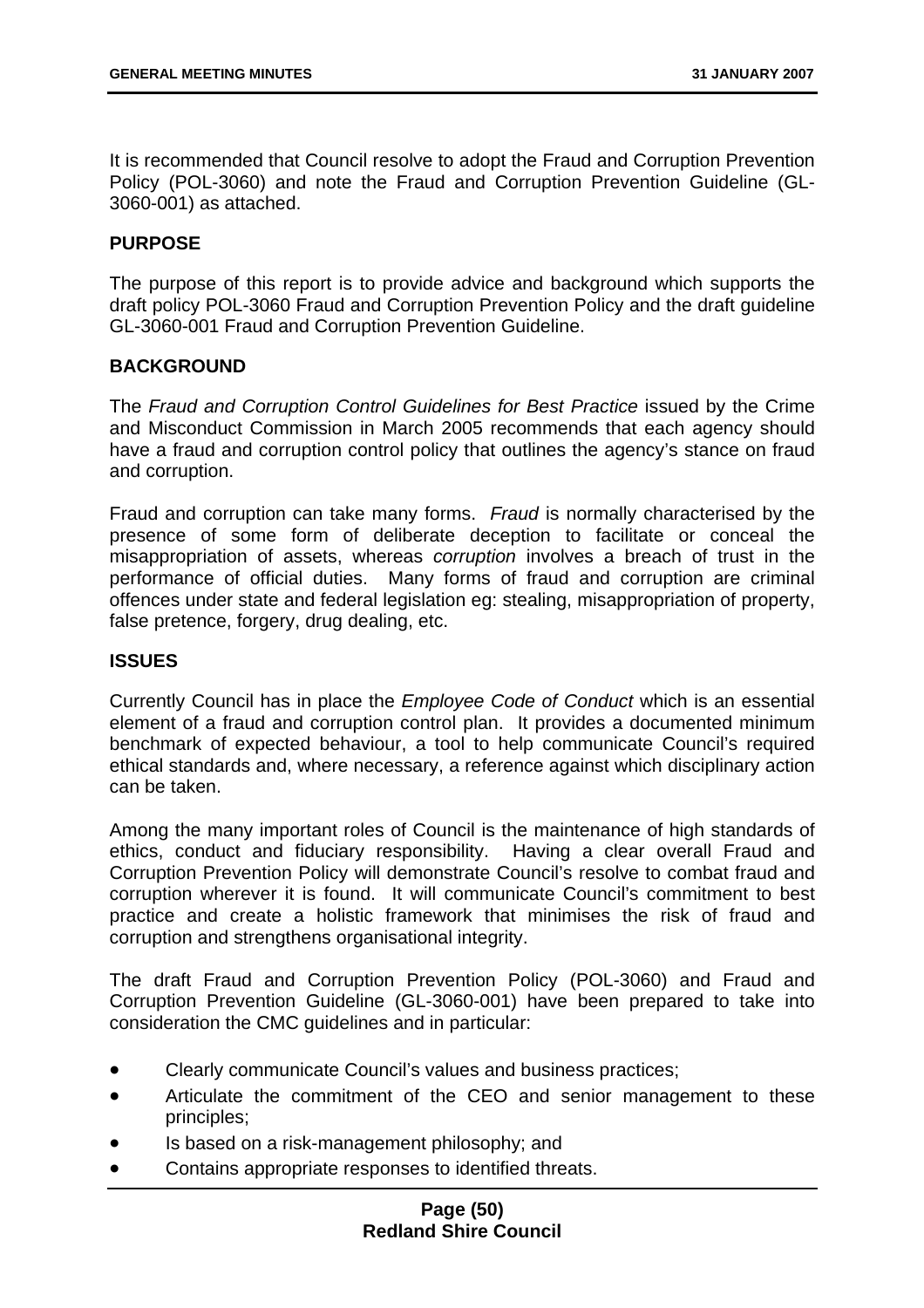It is recommended that Council resolve to adopt the Fraud and Corruption Prevention Policy (POL-3060) and note the Fraud and Corruption Prevention Guideline (GL-3060-001) as attached.

# **PURPOSE**

The purpose of this report is to provide advice and background which supports the draft policy POL-3060 Fraud and Corruption Prevention Policy and the draft guideline GL-3060-001 Fraud and Corruption Prevention Guideline.

# **BACKGROUND**

The *Fraud and Corruption Control Guidelines for Best Practice* issued by the Crime and Misconduct Commission in March 2005 recommends that each agency should have a fraud and corruption control policy that outlines the agency's stance on fraud and corruption.

Fraud and corruption can take many forms. *Fraud* is normally characterised by the presence of some form of deliberate deception to facilitate or conceal the misappropriation of assets, whereas *corruption* involves a breach of trust in the performance of official duties. Many forms of fraud and corruption are criminal offences under state and federal legislation eg: stealing, misappropriation of property, false pretence, forgery, drug dealing, etc.

## **ISSUES**

Currently Council has in place the *Employee Code of Conduct* which is an essential element of a fraud and corruption control plan. It provides a documented minimum benchmark of expected behaviour, a tool to help communicate Council's required ethical standards and, where necessary, a reference against which disciplinary action can be taken.

Among the many important roles of Council is the maintenance of high standards of ethics, conduct and fiduciary responsibility. Having a clear overall Fraud and Corruption Prevention Policy will demonstrate Council's resolve to combat fraud and corruption wherever it is found. It will communicate Council's commitment to best practice and create a holistic framework that minimises the risk of fraud and corruption and strengthens organisational integrity.

The draft Fraud and Corruption Prevention Policy (POL-3060) and Fraud and Corruption Prevention Guideline (GL-3060-001) have been prepared to take into consideration the CMC guidelines and in particular:

- Clearly communicate Council's values and business practices;
- Articulate the commitment of the CEO and senior management to these principles;
- Is based on a risk-management philosophy; and
- Contains appropriate responses to identified threats.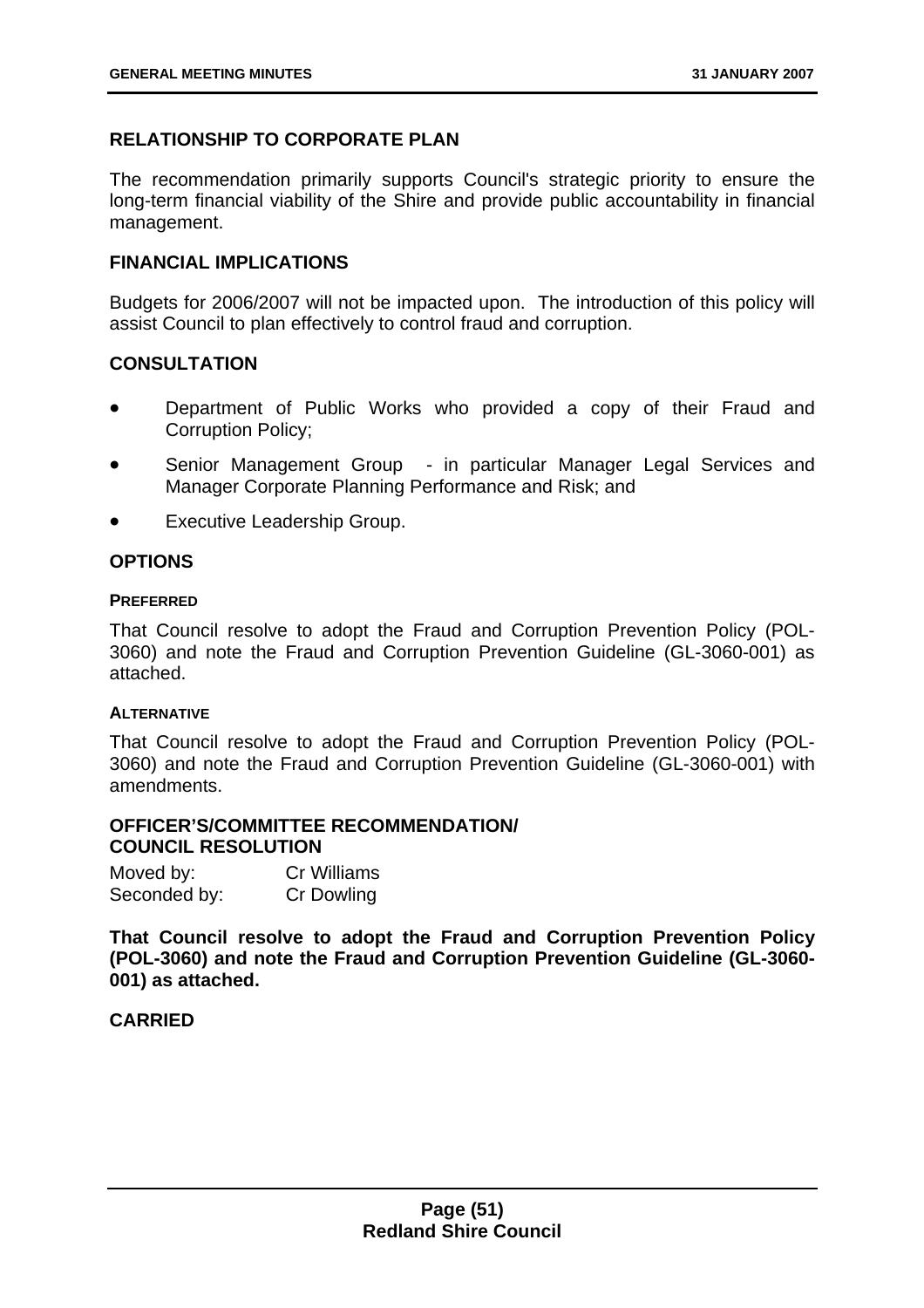# **RELATIONSHIP TO CORPORATE PLAN**

The recommendation primarily supports Council's strategic priority to ensure the long-term financial viability of the Shire and provide public accountability in financial management.

# **FINANCIAL IMPLICATIONS**

Budgets for 2006/2007 will not be impacted upon. The introduction of this policy will assist Council to plan effectively to control fraud and corruption.

# **CONSULTATION**

- Department of Public Works who provided a copy of their Fraud and Corruption Policy;
- Senior Management Group in particular Manager Legal Services and Manager Corporate Planning Performance and Risk; and
- Executive Leadership Group.

# **OPTIONS**

#### **PREFERRED**

That Council resolve to adopt the Fraud and Corruption Prevention Policy (POL-3060) and note the Fraud and Corruption Prevention Guideline (GL-3060-001) as attached.

### **ALTERNATIVE**

That Council resolve to adopt the Fraud and Corruption Prevention Policy (POL-3060) and note the Fraud and Corruption Prevention Guideline (GL-3060-001) with amendments.

## **OFFICER'S/COMMITTEE RECOMMENDATION/ COUNCIL RESOLUTION**

| Moved by:    | <b>Cr Williams</b> |
|--------------|--------------------|
| Seconded by: | <b>Cr Dowling</b>  |

**That Council resolve to adopt the Fraud and Corruption Prevention Policy (POL-3060) and note the Fraud and Corruption Prevention Guideline (GL-3060- 001) as attached.**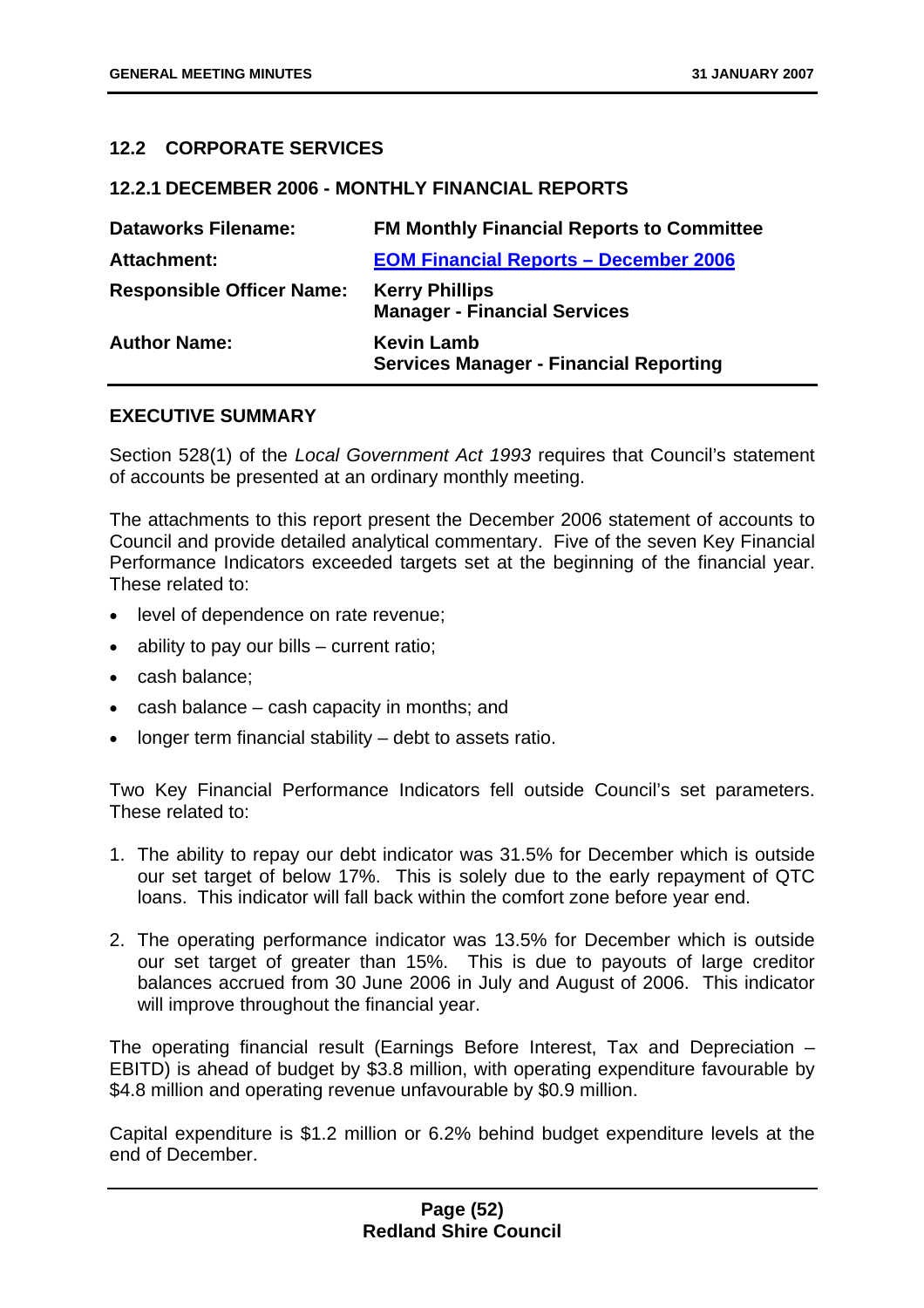# **12.2 CORPORATE SERVICES**

#### **12.2.1 DECEMBER 2006 - MONTHLY FINANCIAL REPORTS**

| <b>Dataworks Filename:</b>       | <b>FM Monthly Financial Reports to Committee</b>                   |
|----------------------------------|--------------------------------------------------------------------|
| <b>Attachment:</b>               | <b>EOM Financial Reports - December 2006</b>                       |
| <b>Responsible Officer Name:</b> | <b>Kerry Phillips</b><br><b>Manager - Financial Services</b>       |
| <b>Author Name:</b>              | <b>Kevin Lamb</b><br><b>Services Manager - Financial Reporting</b> |

### **EXECUTIVE SUMMARY**

Section 528(1) of the *Local Government Act 1993* requires that Council's statement of accounts be presented at an ordinary monthly meeting.

The attachments to this report present the December 2006 statement of accounts to Council and provide detailed analytical commentary. Five of the seven Key Financial Performance Indicators exceeded targets set at the beginning of the financial year. These related to:

- level of dependence on rate revenue;
- ability to pay our bills  $-$  current ratio;
- cash balance;
- cash balance cash capacity in months; and
- longer term financial stability  $-$  debt to assets ratio.

Two Key Financial Performance Indicators fell outside Council's set parameters. These related to:

- 1. The ability to repay our debt indicator was 31.5% for December which is outside our set target of below 17%. This is solely due to the early repayment of QTC loans. This indicator will fall back within the comfort zone before year end.
- 2. The operating performance indicator was 13.5% for December which is outside our set target of greater than 15%. This is due to payouts of large creditor balances accrued from 30 June 2006 in July and August of 2006. This indicator will improve throughout the financial year.

The operating financial result (Earnings Before Interest, Tax and Depreciation – EBITD) is ahead of budget by \$3.8 million, with operating expenditure favourable by \$4.8 million and operating revenue unfavourable by \$0.9 million.

Capital expenditure is \$1.2 million or 6.2% behind budget expenditure levels at the end of December.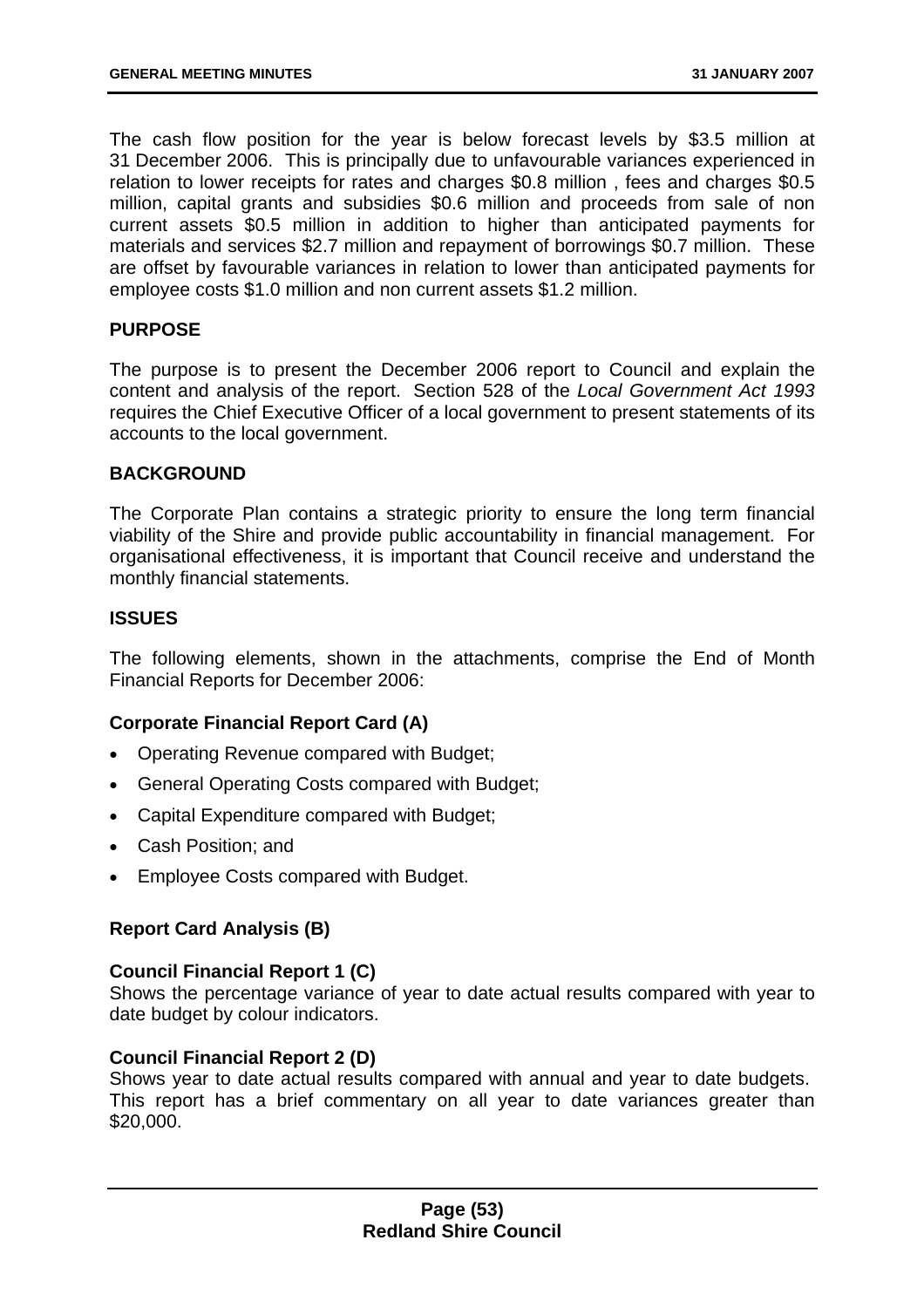The cash flow position for the year is below forecast levels by \$3.5 million at 31 December 2006. This is principally due to unfavourable variances experienced in relation to lower receipts for rates and charges \$0.8 million , fees and charges \$0.5 million, capital grants and subsidies \$0.6 million and proceeds from sale of non current assets \$0.5 million in addition to higher than anticipated payments for materials and services \$2.7 million and repayment of borrowings \$0.7 million. These are offset by favourable variances in relation to lower than anticipated payments for employee costs \$1.0 million and non current assets \$1.2 million.

## **PURPOSE**

The purpose is to present the December 2006 report to Council and explain the content and analysis of the report. Section 528 of the *Local Government Act 1993* requires the Chief Executive Officer of a local government to present statements of its accounts to the local government.

### **BACKGROUND**

The Corporate Plan contains a strategic priority to ensure the long term financial viability of the Shire and provide public accountability in financial management. For organisational effectiveness, it is important that Council receive and understand the monthly financial statements.

# **ISSUES**

The following elements, shown in the attachments, comprise the End of Month Financial Reports for December 2006:

# **Corporate Financial Report Card (A)**

- Operating Revenue compared with Budget;
- General Operating Costs compared with Budget;
- Capital Expenditure compared with Budget;
- Cash Position; and
- Employee Costs compared with Budget.

### **Report Card Analysis (B)**

### **Council Financial Report 1 (C)**

Shows the percentage variance of year to date actual results compared with year to date budget by colour indicators.

### **Council Financial Report 2 (D)**

Shows year to date actual results compared with annual and year to date budgets. This report has a brief commentary on all year to date variances greater than \$20,000.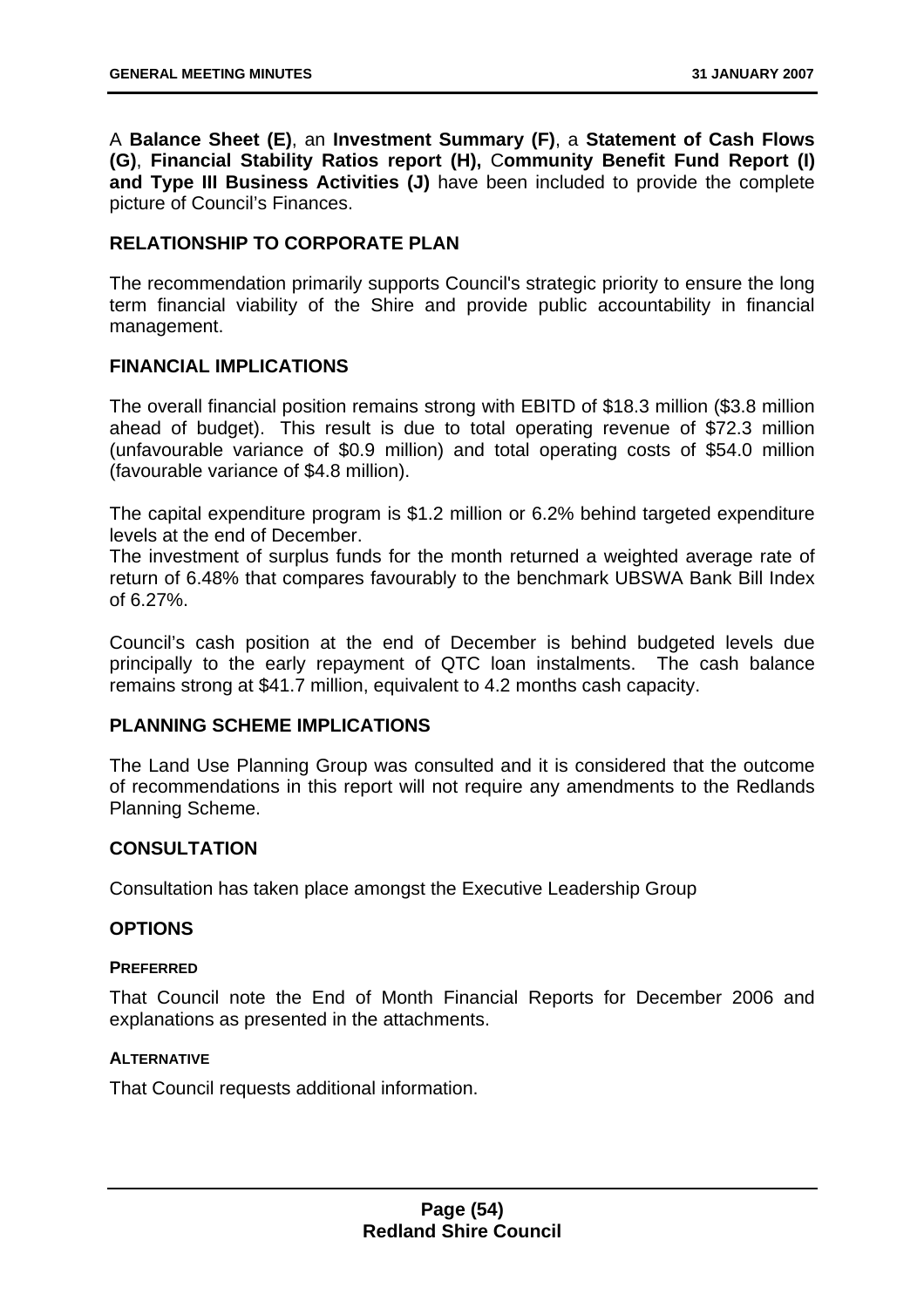A **Balance Sheet (E)**, an **Investment Summary (F)**, a **Statement of Cash Flows (G)**, **Financial Stability Ratios report (H),** C**ommunity Benefit Fund Report (I) and Type III Business Activities (J)** have been included to provide the complete picture of Council's Finances.

# **RELATIONSHIP TO CORPORATE PLAN**

The recommendation primarily supports Council's strategic priority to ensure the long term financial viability of the Shire and provide public accountability in financial management.

# **FINANCIAL IMPLICATIONS**

The overall financial position remains strong with EBITD of \$18.3 million (\$3.8 million ahead of budget). This result is due to total operating revenue of \$72.3 million (unfavourable variance of \$0.9 million) and total operating costs of \$54.0 million (favourable variance of \$4.8 million).

The capital expenditure program is \$1.2 million or 6.2% behind targeted expenditure levels at the end of December.

The investment of surplus funds for the month returned a weighted average rate of return of 6.48% that compares favourably to the benchmark UBSWA Bank Bill Index of 6.27%.

Council's cash position at the end of December is behind budgeted levels due principally to the early repayment of QTC loan instalments. The cash balance remains strong at \$41.7 million, equivalent to 4.2 months cash capacity.

## **PLANNING SCHEME IMPLICATIONS**

The Land Use Planning Group was consulted and it is considered that the outcome of recommendations in this report will not require any amendments to the Redlands Planning Scheme.

### **CONSULTATION**

Consultation has taken place amongst the Executive Leadership Group

### **OPTIONS**

### **PREFERRED**

That Council note the End of Month Financial Reports for December 2006 and explanations as presented in the attachments.

### **ALTERNATIVE**

That Council requests additional information.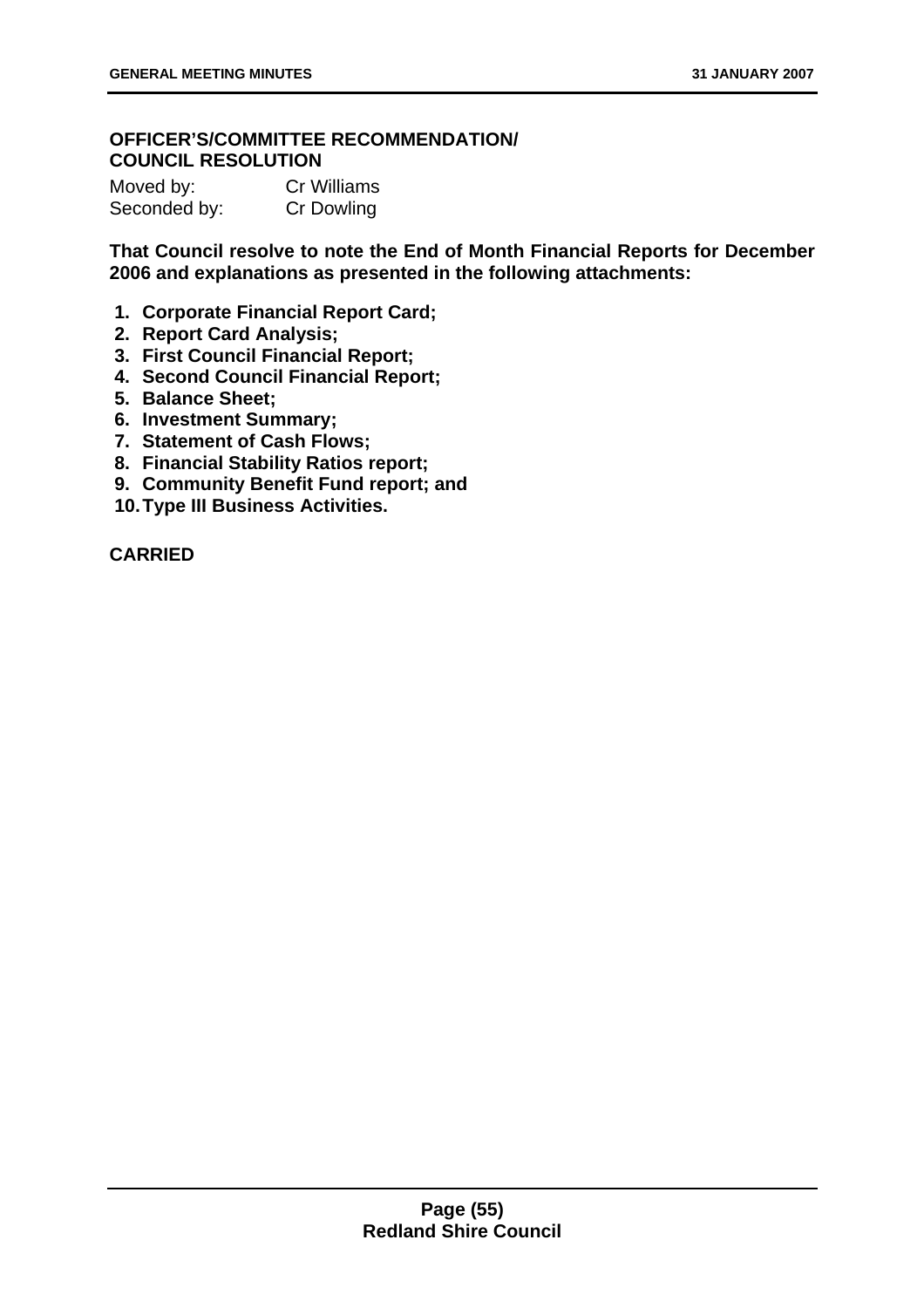# **OFFICER'S/COMMITTEE RECOMMENDATION/ COUNCIL RESOLUTION**

| Moved by:    | <b>Cr Williams</b> |
|--------------|--------------------|
| Seconded by: | <b>Cr Dowling</b>  |

**That Council resolve to note the End of Month Financial Reports for December 2006 and explanations as presented in the following attachments:** 

- **1. Corporate Financial Report Card;**
- **2. Report Card Analysis;**
- **3. First Council Financial Report;**
- **4. Second Council Financial Report;**
- **5. Balance Sheet;**
- **6. Investment Summary;**
- **7. Statement of Cash Flows;**
- **8. Financial Stability Ratios report;**
- **9. Community Benefit Fund report; and**
- **10. Type III Business Activities.**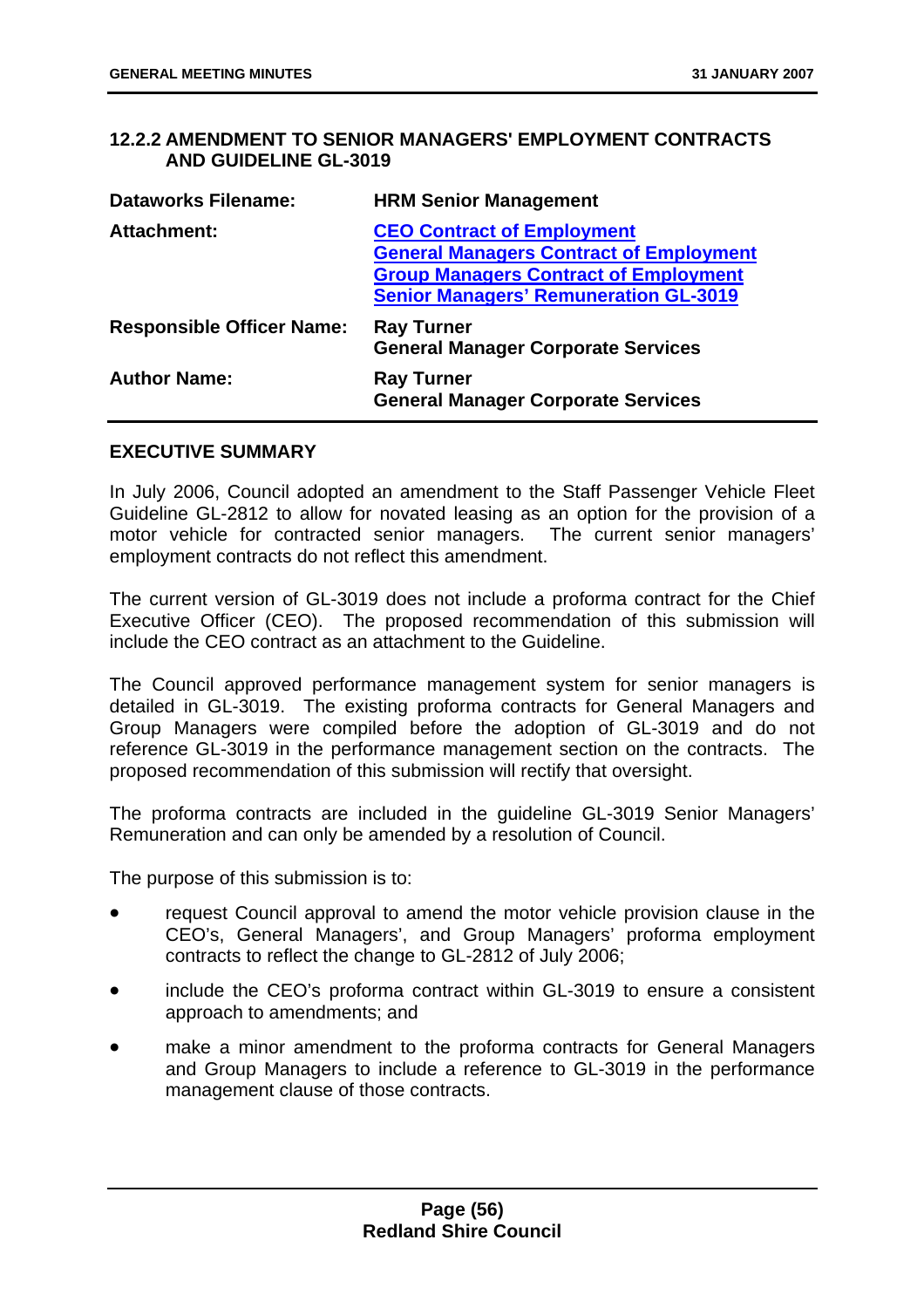# **12.2.2 AMENDMENT TO SENIOR MANAGERS' EMPLOYMENT CONTRACTS AND GUIDELINE GL-3019**

| <b>HRM Senior Management</b>                                                                                                                                                        |
|-------------------------------------------------------------------------------------------------------------------------------------------------------------------------------------|
| <b>CEO Contract of Employment</b><br><b>General Managers Contract of Employment</b><br><b>Group Managers Contract of Employment</b><br><b>Senior Managers' Remuneration GL-3019</b> |
| <b>Ray Turner</b><br><b>General Manager Corporate Services</b>                                                                                                                      |
| <b>Ray Turner</b><br><b>General Manager Corporate Services</b>                                                                                                                      |
|                                                                                                                                                                                     |

### **EXECUTIVE SUMMARY**

In July 2006, Council adopted an amendment to the Staff Passenger Vehicle Fleet Guideline GL-2812 to allow for novated leasing as an option for the provision of a motor vehicle for contracted senior managers. The current senior managers' employment contracts do not reflect this amendment.

The current version of GL-3019 does not include a proforma contract for the Chief Executive Officer (CEO). The proposed recommendation of this submission will include the CEO contract as an attachment to the Guideline.

The Council approved performance management system for senior managers is detailed in GL-3019. The existing proforma contracts for General Managers and Group Managers were compiled before the adoption of GL-3019 and do not reference GL-3019 in the performance management section on the contracts. The proposed recommendation of this submission will rectify that oversight.

The proforma contracts are included in the guideline GL-3019 Senior Managers' Remuneration and can only be amended by a resolution of Council.

The purpose of this submission is to:

- request Council approval to amend the motor vehicle provision clause in the CEO's, General Managers', and Group Managers' proforma employment contracts to reflect the change to GL-2812 of July 2006;
- include the CEO's proforma contract within GL-3019 to ensure a consistent approach to amendments; and
- make a minor amendment to the proforma contracts for General Managers and Group Managers to include a reference to GL-3019 in the performance management clause of those contracts.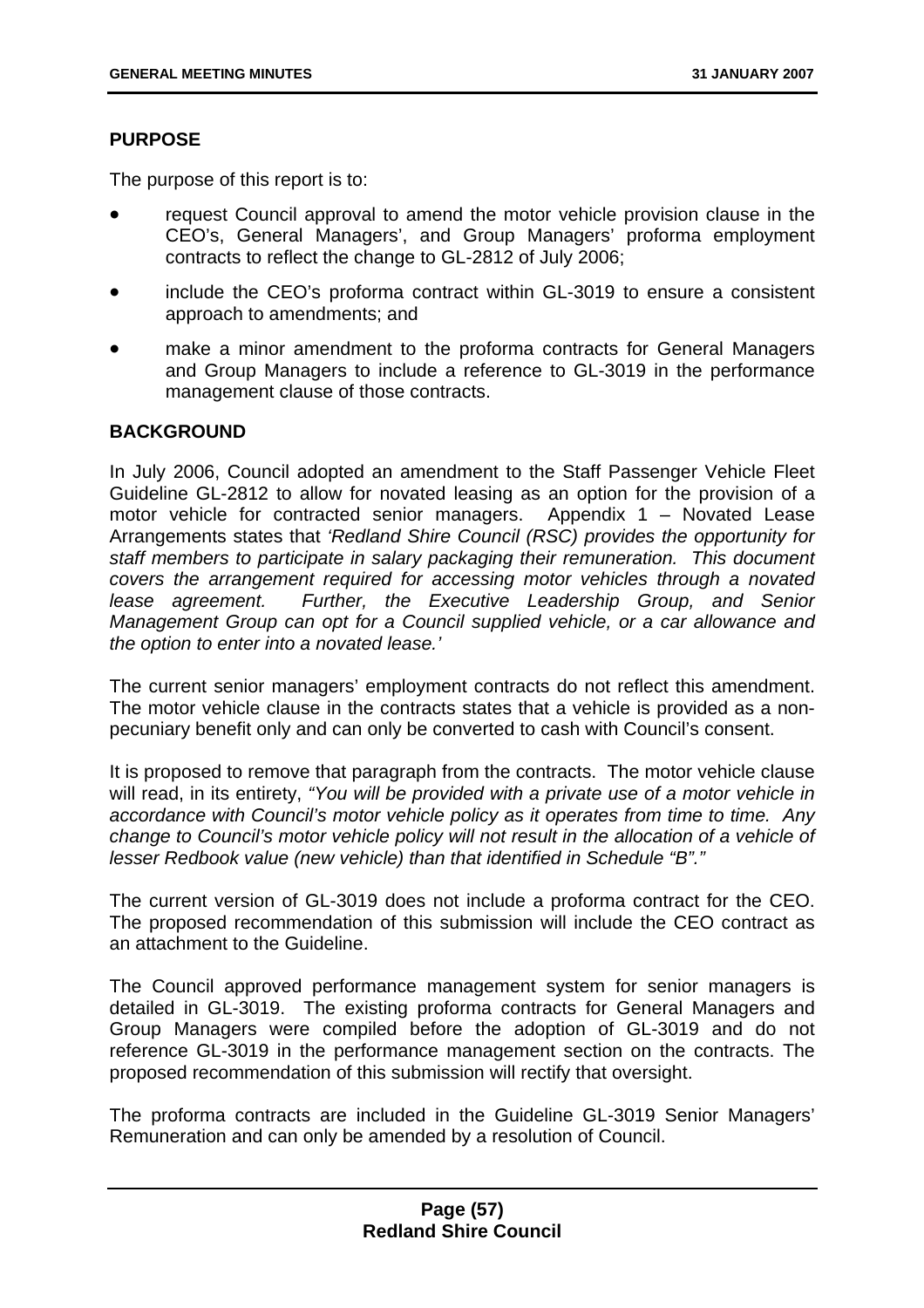## **PURPOSE**

The purpose of this report is to:

- request Council approval to amend the motor vehicle provision clause in the CEO's, General Managers', and Group Managers' proforma employment contracts to reflect the change to GL-2812 of July 2006;
- include the CEO's proforma contract within GL-3019 to ensure a consistent approach to amendments; and
- make a minor amendment to the proforma contracts for General Managers and Group Managers to include a reference to GL-3019 in the performance management clause of those contracts.

### **BACKGROUND**

In July 2006, Council adopted an amendment to the Staff Passenger Vehicle Fleet Guideline GL-2812 to allow for novated leasing as an option for the provision of a motor vehicle for contracted senior managers. Appendix 1 – Novated Lease Arrangements states that *'Redland Shire Council (RSC) provides the opportunity for staff members to participate in salary packaging their remuneration. This document covers the arrangement required for accessing motor vehicles through a novated lease agreement. Further, the Executive Leadership Group, and Senior Management Group can opt for a Council supplied vehicle, or a car allowance and the option to enter into a novated lease.'* 

The current senior managers' employment contracts do not reflect this amendment. The motor vehicle clause in the contracts states that a vehicle is provided as a nonpecuniary benefit only and can only be converted to cash with Council's consent.

It is proposed to remove that paragraph from the contracts. The motor vehicle clause will read, in its entirety, *"You will be provided with a private use of a motor vehicle in accordance with Council's motor vehicle policy as it operates from time to time. Any change to Council's motor vehicle policy will not result in the allocation of a vehicle of lesser Redbook value (new vehicle) than that identified in Schedule "B"."*

The current version of GL-3019 does not include a proforma contract for the CEO. The proposed recommendation of this submission will include the CEO contract as an attachment to the Guideline.

The Council approved performance management system for senior managers is detailed in GL-3019. The existing proforma contracts for General Managers and Group Managers were compiled before the adoption of GL-3019 and do not reference GL-3019 in the performance management section on the contracts. The proposed recommendation of this submission will rectify that oversight.

The proforma contracts are included in the Guideline GL-3019 Senior Managers' Remuneration and can only be amended by a resolution of Council.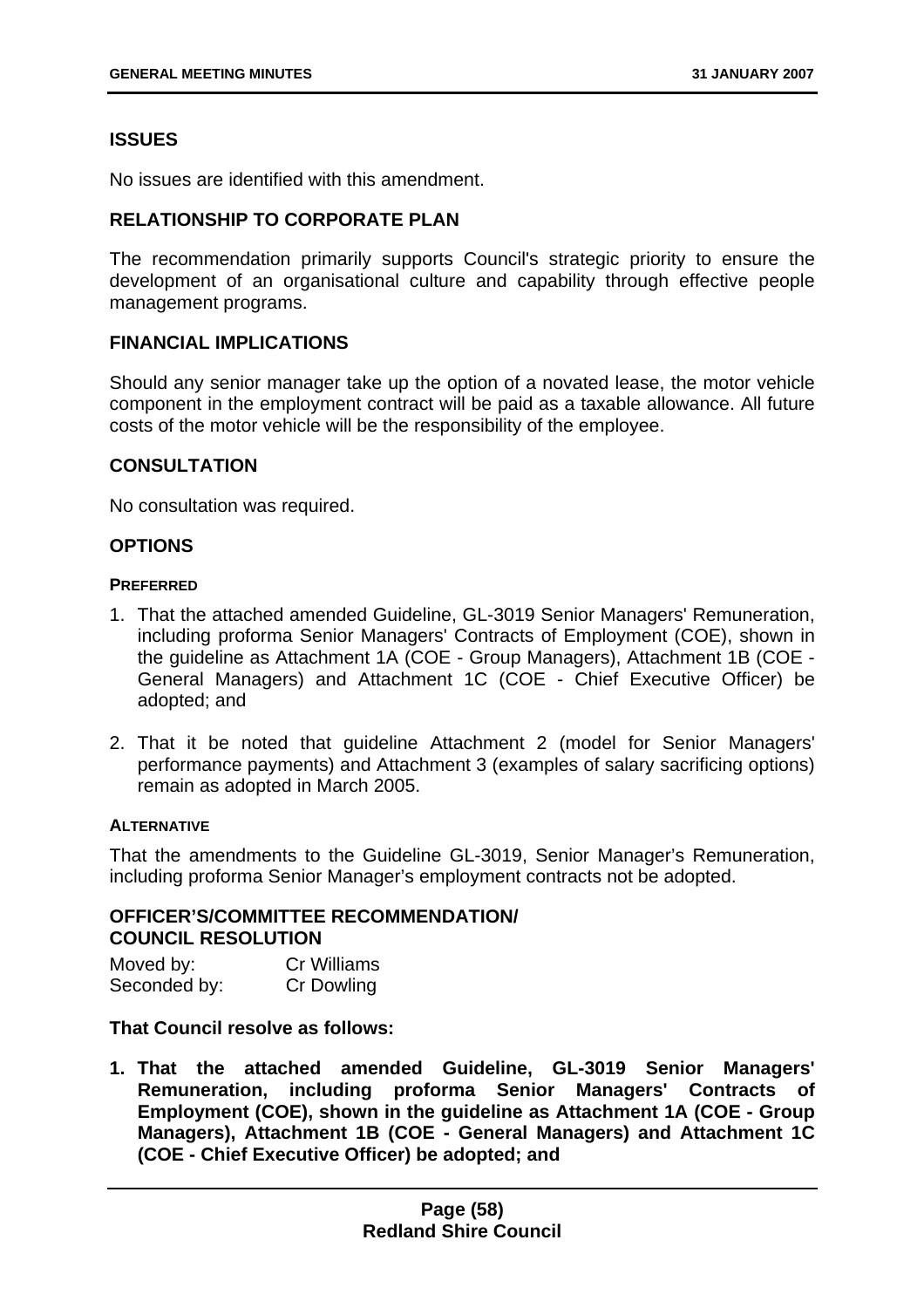# **ISSUES**

No issues are identified with this amendment.

# **RELATIONSHIP TO CORPORATE PLAN**

The recommendation primarily supports Council's strategic priority to ensure the development of an organisational culture and capability through effective people management programs.

### **FINANCIAL IMPLICATIONS**

Should any senior manager take up the option of a novated lease, the motor vehicle component in the employment contract will be paid as a taxable allowance. All future costs of the motor vehicle will be the responsibility of the employee.

#### **CONSULTATION**

No consultation was required.

#### **OPTIONS**

#### **PREFERRED**

- 1. That the attached amended Guideline, GL-3019 Senior Managers' Remuneration, including proforma Senior Managers' Contracts of Employment (COE), shown in the guideline as Attachment 1A (COE - Group Managers), Attachment 1B (COE - General Managers) and Attachment 1C (COE - Chief Executive Officer) be adopted; and
- 2. That it be noted that guideline Attachment 2 (model for Senior Managers' performance payments) and Attachment 3 (examples of salary sacrificing options) remain as adopted in March 2005.

#### **ALTERNATIVE**

That the amendments to the Guideline GL-3019, Senior Manager's Remuneration, including proforma Senior Manager's employment contracts not be adopted.

# **OFFICER'S/COMMITTEE RECOMMENDATION/ COUNCIL RESOLUTION**

Moved by: Cr Williams Seconded by: Cr Dowling

### **That Council resolve as follows:**

**1. That the attached amended Guideline, GL-3019 Senior Managers' Remuneration, including proforma Senior Managers' Contracts of Employment (COE), shown in the guideline as Attachment 1A (COE - Group Managers), Attachment 1B (COE - General Managers) and Attachment 1C (COE - Chief Executive Officer) be adopted; and**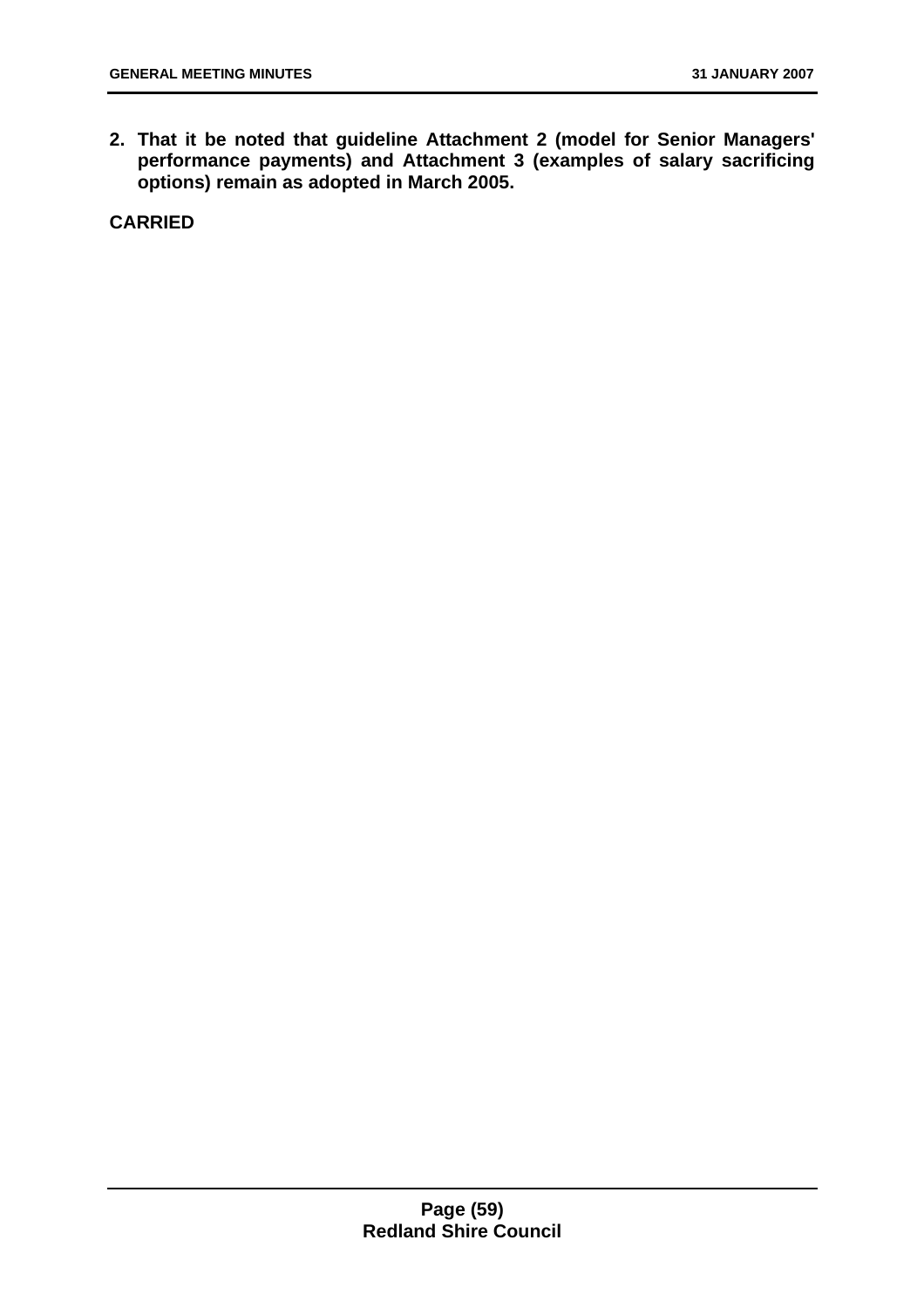**2. That it be noted that guideline Attachment 2 (model for Senior Managers' performance payments) and Attachment 3 (examples of salary sacrificing options) remain as adopted in March 2005.**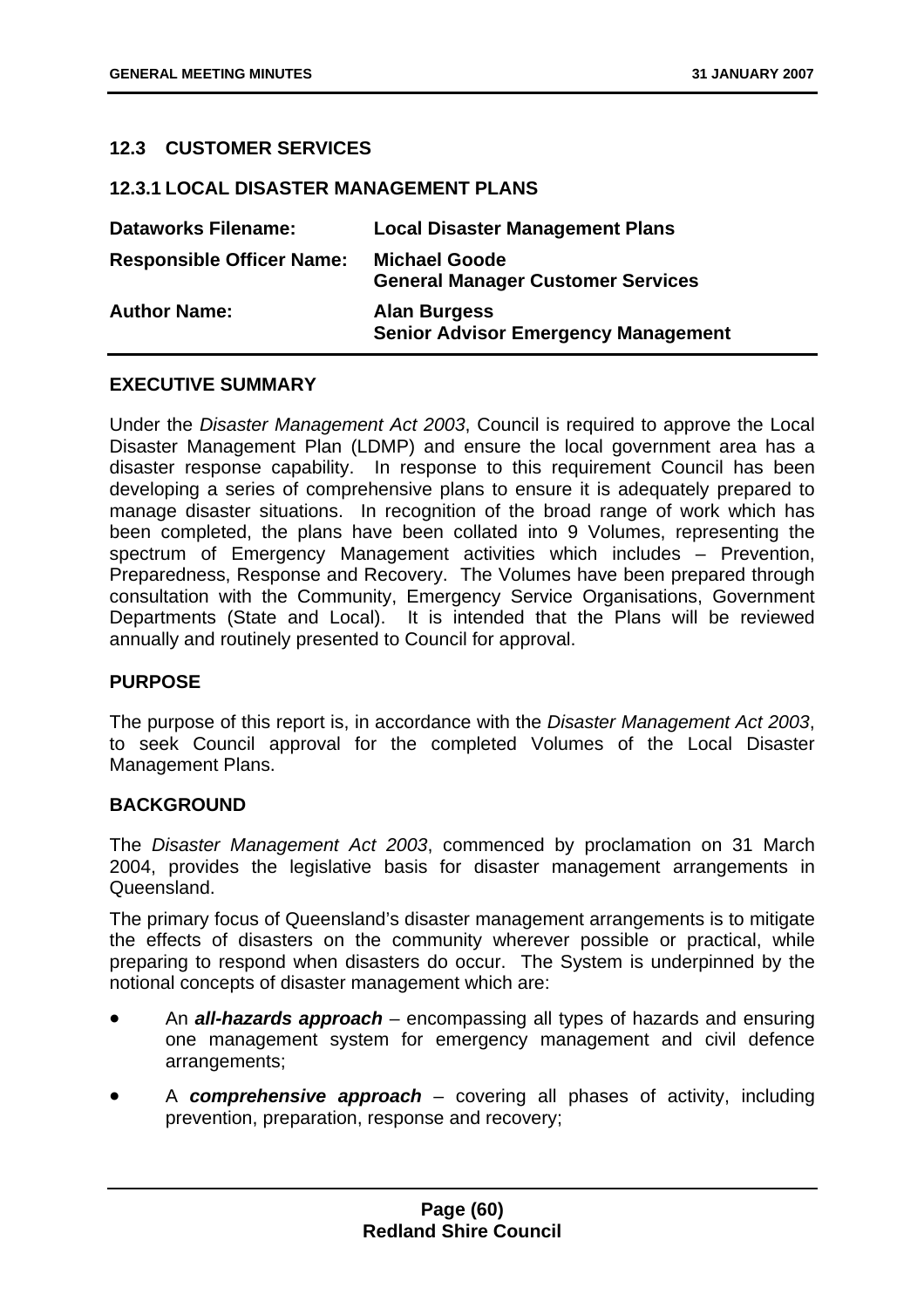# **12.3 CUSTOMER SERVICES**

#### **12.3.1 LOCAL DISASTER MANAGEMENT PLANS**

| <b>Dataworks Filename:</b>       | <b>Local Disaster Management Plans</b>                            |
|----------------------------------|-------------------------------------------------------------------|
| <b>Responsible Officer Name:</b> | <b>Michael Goode</b><br><b>General Manager Customer Services</b>  |
| <b>Author Name:</b>              | <b>Alan Burgess</b><br><b>Senior Advisor Emergency Management</b> |

## **EXECUTIVE SUMMARY**

Under the *Disaster Management Act 2003*, Council is required to approve the Local Disaster Management Plan (LDMP) and ensure the local government area has a disaster response capability. In response to this requirement Council has been developing a series of comprehensive plans to ensure it is adequately prepared to manage disaster situations. In recognition of the broad range of work which has been completed, the plans have been collated into 9 Volumes, representing the spectrum of Emergency Management activities which includes – Prevention, Preparedness, Response and Recovery. The Volumes have been prepared through consultation with the Community, Emergency Service Organisations, Government Departments (State and Local). It is intended that the Plans will be reviewed annually and routinely presented to Council for approval.

#### **PURPOSE**

The purpose of this report is, in accordance with the *Disaster Management Act 2003*, to seek Council approval for the completed Volumes of the Local Disaster Management Plans.

### **BACKGROUND**

The *Disaster Management Act 2003*, commenced by proclamation on 31 March 2004, provides the legislative basis for disaster management arrangements in Queensland.

The primary focus of Queensland's disaster management arrangements is to mitigate the effects of disasters on the community wherever possible or practical, while preparing to respond when disasters do occur. The System is underpinned by the notional concepts of disaster management which are:

- An *all-hazards approach* encompassing all types of hazards and ensuring one management system for emergency management and civil defence arrangements;
- A *comprehensive approach* covering all phases of activity, including prevention, preparation, response and recovery;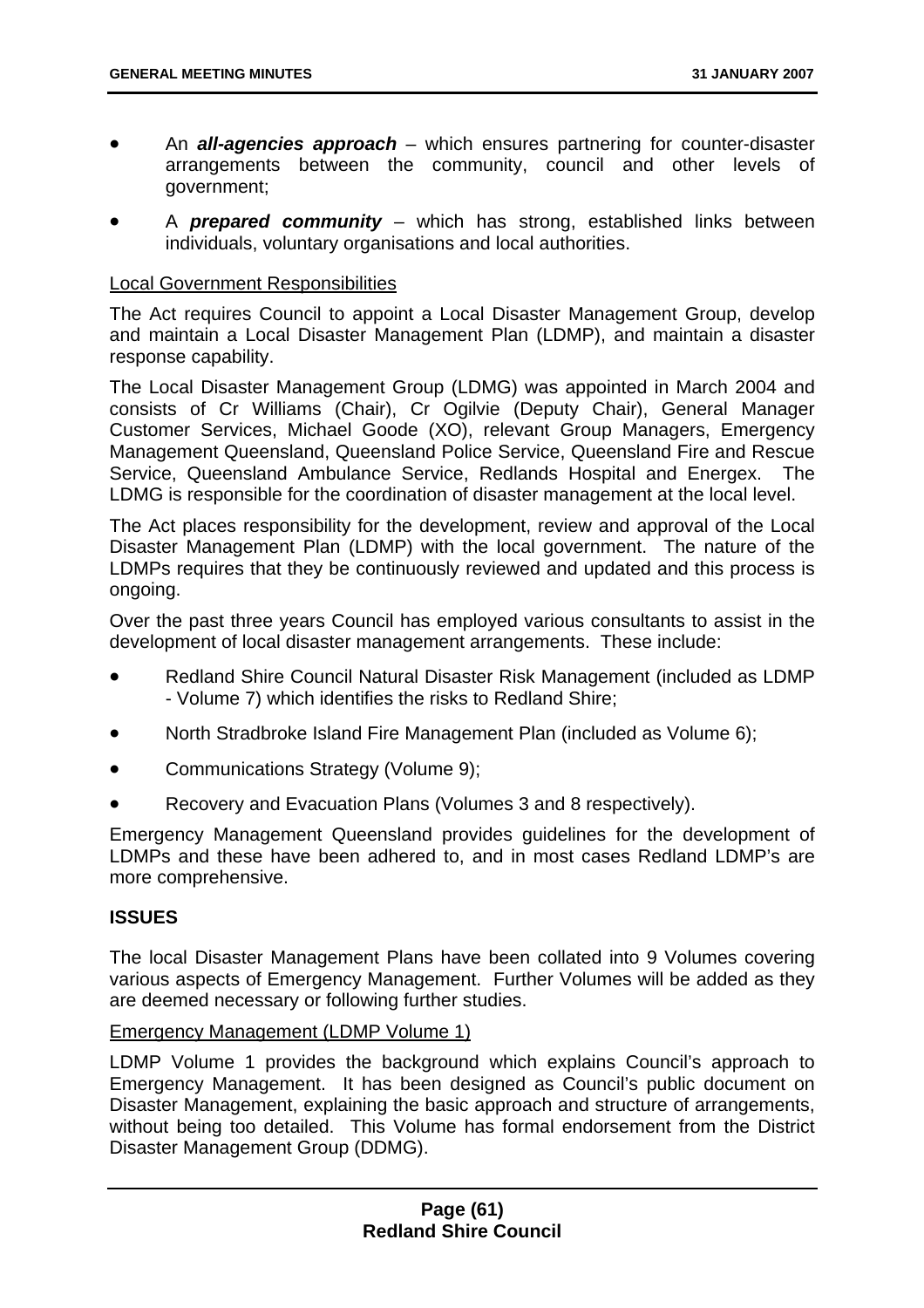- An *all-agencies approach* which ensures partnering for counter-disaster arrangements between the community, council and other levels of government;
- A *prepared community* which has strong, established links between individuals, voluntary organisations and local authorities.

### Local Government Responsibilities

The Act requires Council to appoint a Local Disaster Management Group, develop and maintain a Local Disaster Management Plan (LDMP), and maintain a disaster response capability.

The Local Disaster Management Group (LDMG) was appointed in March 2004 and consists of Cr Williams (Chair), Cr Ogilvie (Deputy Chair), General Manager Customer Services, Michael Goode (XO), relevant Group Managers, Emergency Management Queensland, Queensland Police Service, Queensland Fire and Rescue Service, Queensland Ambulance Service, Redlands Hospital and Energex. The LDMG is responsible for the coordination of disaster management at the local level.

The Act places responsibility for the development, review and approval of the Local Disaster Management Plan (LDMP) with the local government. The nature of the LDMPs requires that they be continuously reviewed and updated and this process is ongoing.

Over the past three years Council has employed various consultants to assist in the development of local disaster management arrangements. These include:

- Redland Shire Council Natural Disaster Risk Management (included as LDMP - Volume 7) which identifies the risks to Redland Shire;
- North Stradbroke Island Fire Management Plan (included as Volume 6);
- Communications Strategy (Volume 9);
- Recovery and Evacuation Plans (Volumes 3 and 8 respectively).

Emergency Management Queensland provides guidelines for the development of LDMPs and these have been adhered to, and in most cases Redland LDMP's are more comprehensive.

### **ISSUES**

The local Disaster Management Plans have been collated into 9 Volumes covering various aspects of Emergency Management. Further Volumes will be added as they are deemed necessary or following further studies.

### Emergency Management (LDMP Volume 1)

LDMP Volume 1 provides the background which explains Council's approach to Emergency Management. It has been designed as Council's public document on Disaster Management, explaining the basic approach and structure of arrangements, without being too detailed. This Volume has formal endorsement from the District Disaster Management Group (DDMG).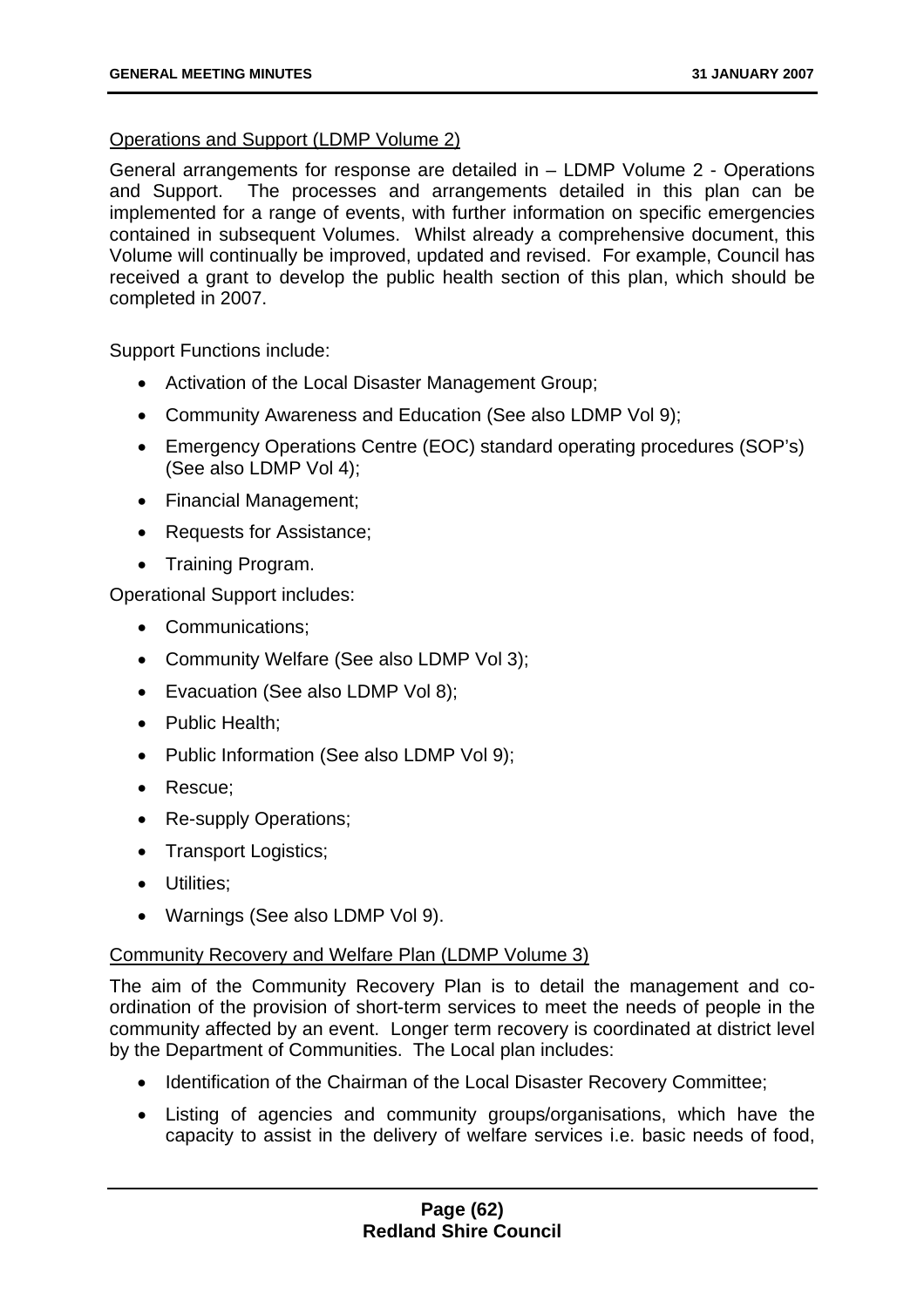## Operations and Support (LDMP Volume 2)

General arrangements for response are detailed in – LDMP Volume 2 - Operations and Support. The processes and arrangements detailed in this plan can be implemented for a range of events, with further information on specific emergencies contained in subsequent Volumes. Whilst already a comprehensive document, this Volume will continually be improved, updated and revised. For example, Council has received a grant to develop the public health section of this plan, which should be completed in 2007.

Support Functions include:

- Activation of the Local Disaster Management Group;
- Community Awareness and Education (See also LDMP Vol 9);
- Emergency Operations Centre (EOC) standard operating procedures (SOP's) (See also LDMP Vol 4);
- Financial Management;
- Requests for Assistance;
- Training Program.

Operational Support includes:

- Communications:
- Community Welfare (See also LDMP Vol 3);
- Evacuation (See also LDMP Vol 8);
- Public Health:
- Public Information (See also LDMP Vol 9);
- Rescue;
- Re-supply Operations;
- Transport Logistics;
- Utilities;
- Warnings (See also LDMP Vol 9).

### Community Recovery and Welfare Plan (LDMP Volume 3)

The aim of the Community Recovery Plan is to detail the management and coordination of the provision of short-term services to meet the needs of people in the community affected by an event. Longer term recovery is coordinated at district level by the Department of Communities. The Local plan includes:

- Identification of the Chairman of the Local Disaster Recovery Committee;
- Listing of agencies and community groups/organisations, which have the capacity to assist in the delivery of welfare services i.e. basic needs of food,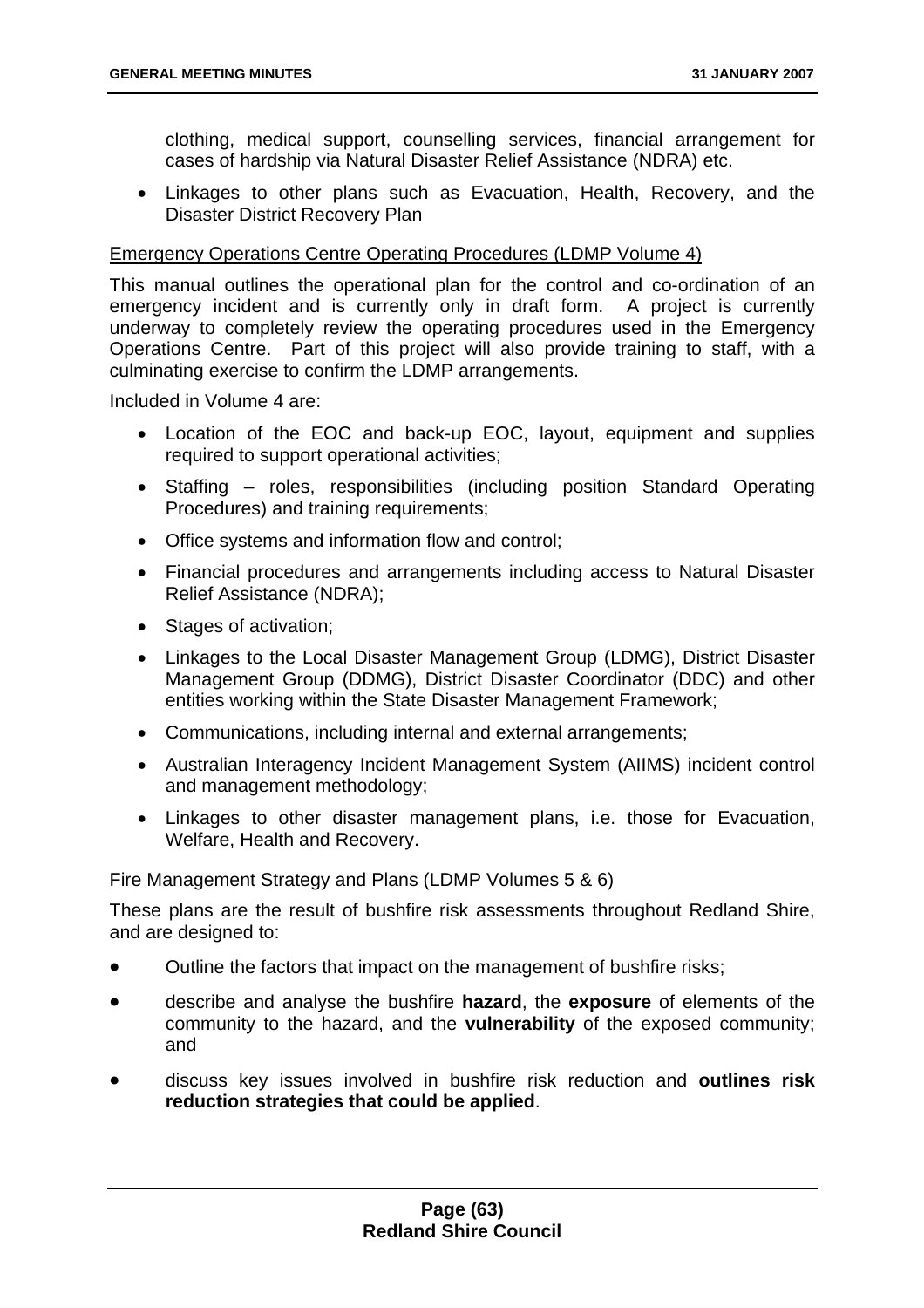clothing, medical support, counselling services, financial arrangement for cases of hardship via Natural Disaster Relief Assistance (NDRA) etc.

• Linkages to other plans such as Evacuation, Health, Recovery, and the Disaster District Recovery Plan

### Emergency Operations Centre Operating Procedures (LDMP Volume 4)

This manual outlines the operational plan for the control and co-ordination of an emergency incident and is currently only in draft form. A project is currently underway to completely review the operating procedures used in the Emergency Operations Centre. Part of this project will also provide training to staff, with a culminating exercise to confirm the LDMP arrangements.

Included in Volume 4 are:

- Location of the EOC and back-up EOC, layout, equipment and supplies required to support operational activities;
- Staffing roles, responsibilities (including position Standard Operating Procedures) and training requirements;
- Office systems and information flow and control;
- Financial procedures and arrangements including access to Natural Disaster Relief Assistance (NDRA);
- Stages of activation;
- Linkages to the Local Disaster Management Group (LDMG), District Disaster Management Group (DDMG), District Disaster Coordinator (DDC) and other entities working within the State Disaster Management Framework;
- Communications, including internal and external arrangements;
- Australian Interagency Incident Management System (AIIMS) incident control and management methodology;
- Linkages to other disaster management plans, i.e. those for Evacuation, Welfare, Health and Recovery.

### Fire Management Strategy and Plans (LDMP Volumes 5 & 6)

These plans are the result of bushfire risk assessments throughout Redland Shire, and are designed to:

- Outline the factors that impact on the management of bushfire risks;
- describe and analyse the bushfire **hazard**, the **exposure** of elements of the community to the hazard, and the **vulnerability** of the exposed community; and
- discuss key issues involved in bushfire risk reduction and **outlines risk reduction strategies that could be applied**.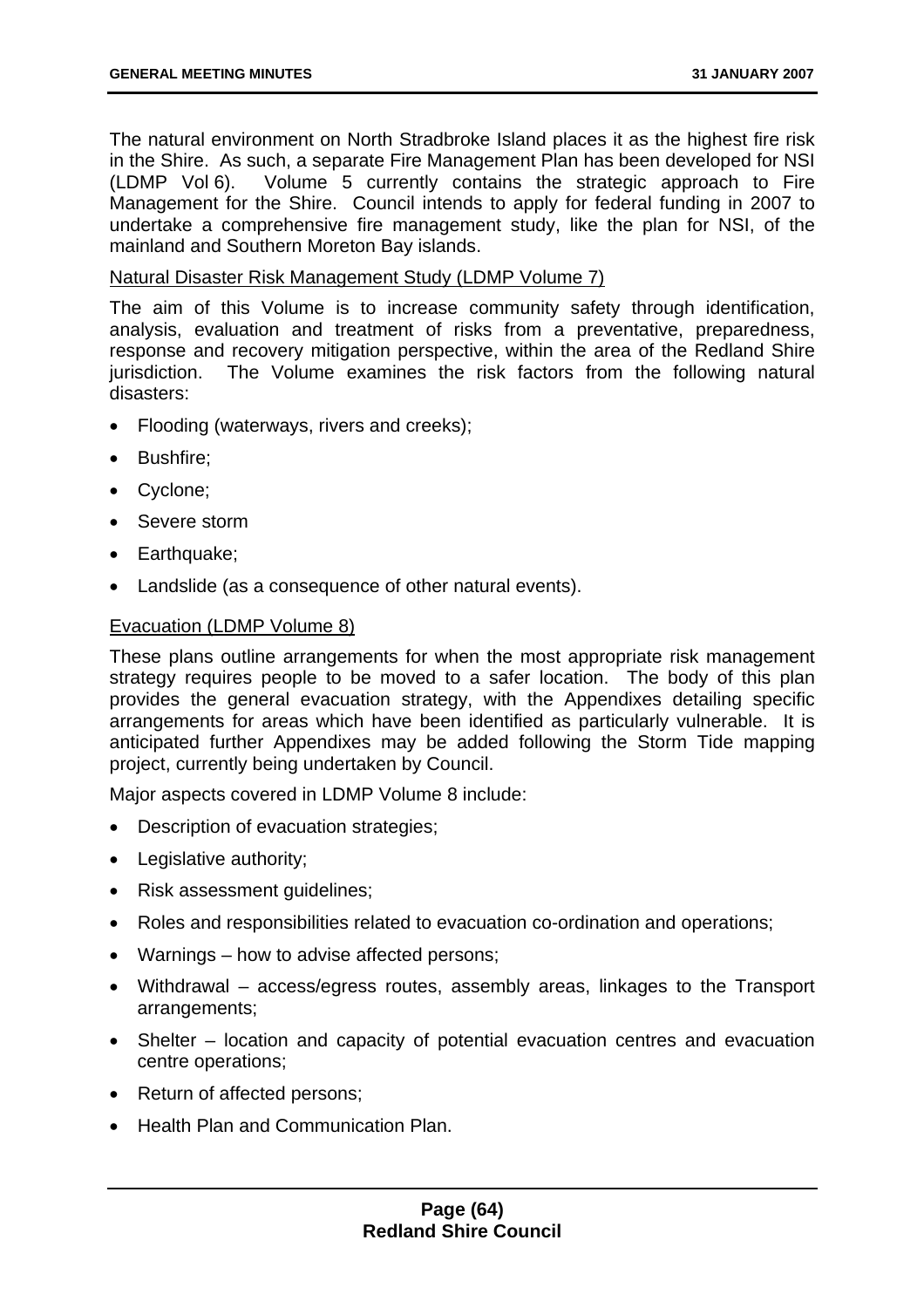The natural environment on North Stradbroke Island places it as the highest fire risk in the Shire. As such, a separate Fire Management Plan has been developed for NSI (LDMP Vol 6). Volume 5 currently contains the strategic approach to Fire Management for the Shire. Council intends to apply for federal funding in 2007 to undertake a comprehensive fire management study, like the plan for NSI, of the mainland and Southern Moreton Bay islands.

### Natural Disaster Risk Management Study (LDMP Volume 7)

The aim of this Volume is to increase community safety through identification, analysis, evaluation and treatment of risks from a preventative, preparedness, response and recovery mitigation perspective, within the area of the Redland Shire jurisdiction. The Volume examines the risk factors from the following natural disasters:

- Flooding (waterways, rivers and creeks);
- Bushfire;
- Cyclone;
- Severe storm
- Earthquake;
- Landslide (as a consequence of other natural events).

### Evacuation (LDMP Volume 8)

These plans outline arrangements for when the most appropriate risk management strategy requires people to be moved to a safer location. The body of this plan provides the general evacuation strategy, with the Appendixes detailing specific arrangements for areas which have been identified as particularly vulnerable. It is anticipated further Appendixes may be added following the Storm Tide mapping project, currently being undertaken by Council.

Major aspects covered in LDMP Volume 8 include:

- Description of evacuation strategies;
- Legislative authority;
- Risk assessment guidelines;
- Roles and responsibilities related to evacuation co-ordination and operations;
- Warnings how to advise affected persons;
- Withdrawal access/egress routes, assembly areas, linkages to the Transport arrangements;
- Shelter location and capacity of potential evacuation centres and evacuation centre operations;
- Return of affected persons:
- Health Plan and Communication Plan.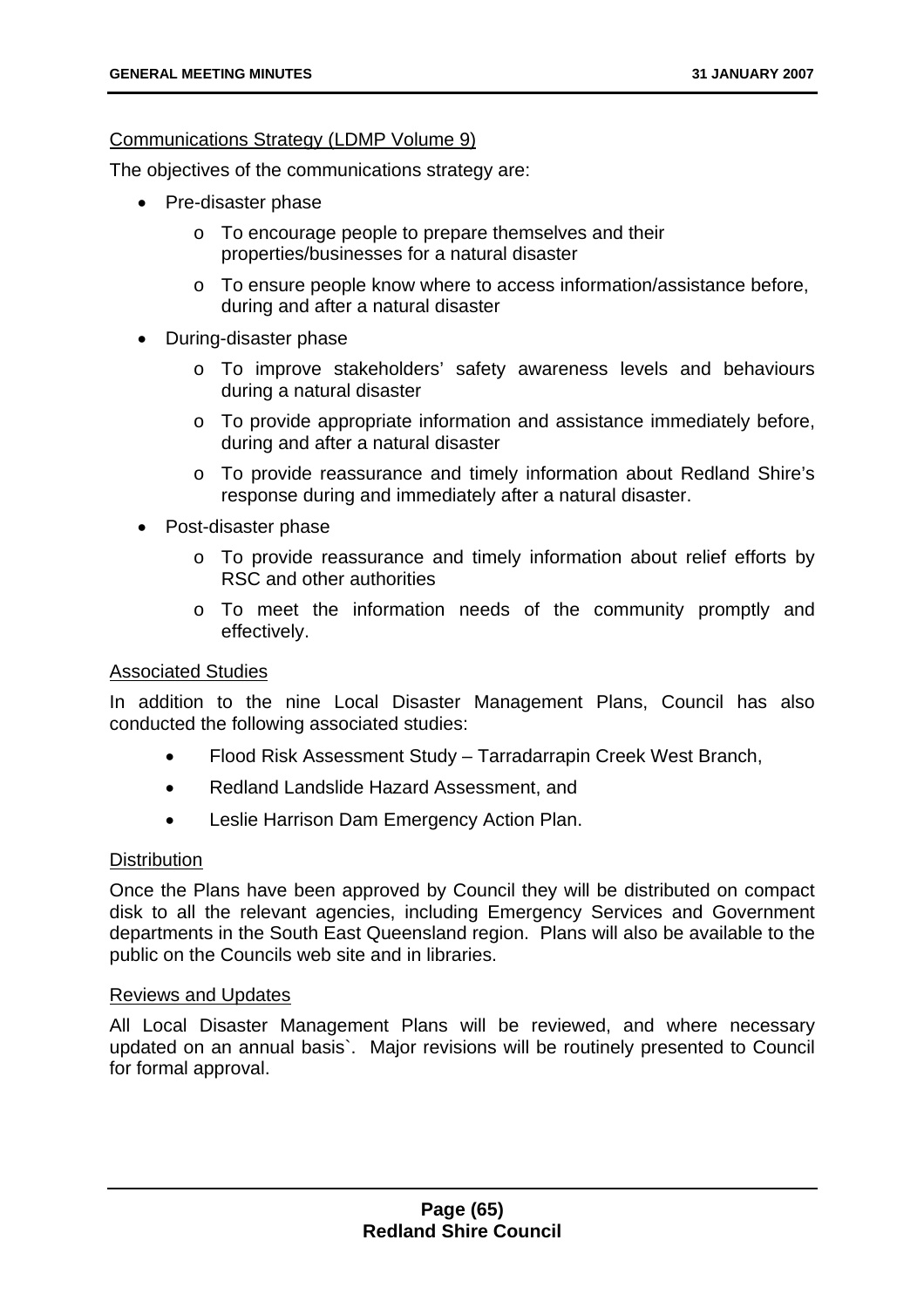# Communications Strategy (LDMP Volume 9)

The objectives of the communications strategy are:

- Pre-disaster phase
	- o To encourage people to prepare themselves and their properties/businesses for a natural disaster
	- o To ensure people know where to access information/assistance before, during and after a natural disaster
- During-disaster phase
	- o To improve stakeholders' safety awareness levels and behaviours during a natural disaster
	- o To provide appropriate information and assistance immediately before, during and after a natural disaster
	- o To provide reassurance and timely information about Redland Shire's response during and immediately after a natural disaster.
- Post-disaster phase
	- $\circ$  To provide reassurance and timely information about relief efforts by RSC and other authorities
	- o To meet the information needs of the community promptly and effectively.

### Associated Studies

In addition to the nine Local Disaster Management Plans, Council has also conducted the following associated studies:

- Flood Risk Assessment Study Tarradarrapin Creek West Branch,
- Redland Landslide Hazard Assessment, and
- Leslie Harrison Dam Emergency Action Plan.

# **Distribution**

Once the Plans have been approved by Council they will be distributed on compact disk to all the relevant agencies, including Emergency Services and Government departments in the South East Queensland region. Plans will also be available to the public on the Councils web site and in libraries.

### Reviews and Updates

All Local Disaster Management Plans will be reviewed, and where necessary updated on an annual basis`. Major revisions will be routinely presented to Council for formal approval.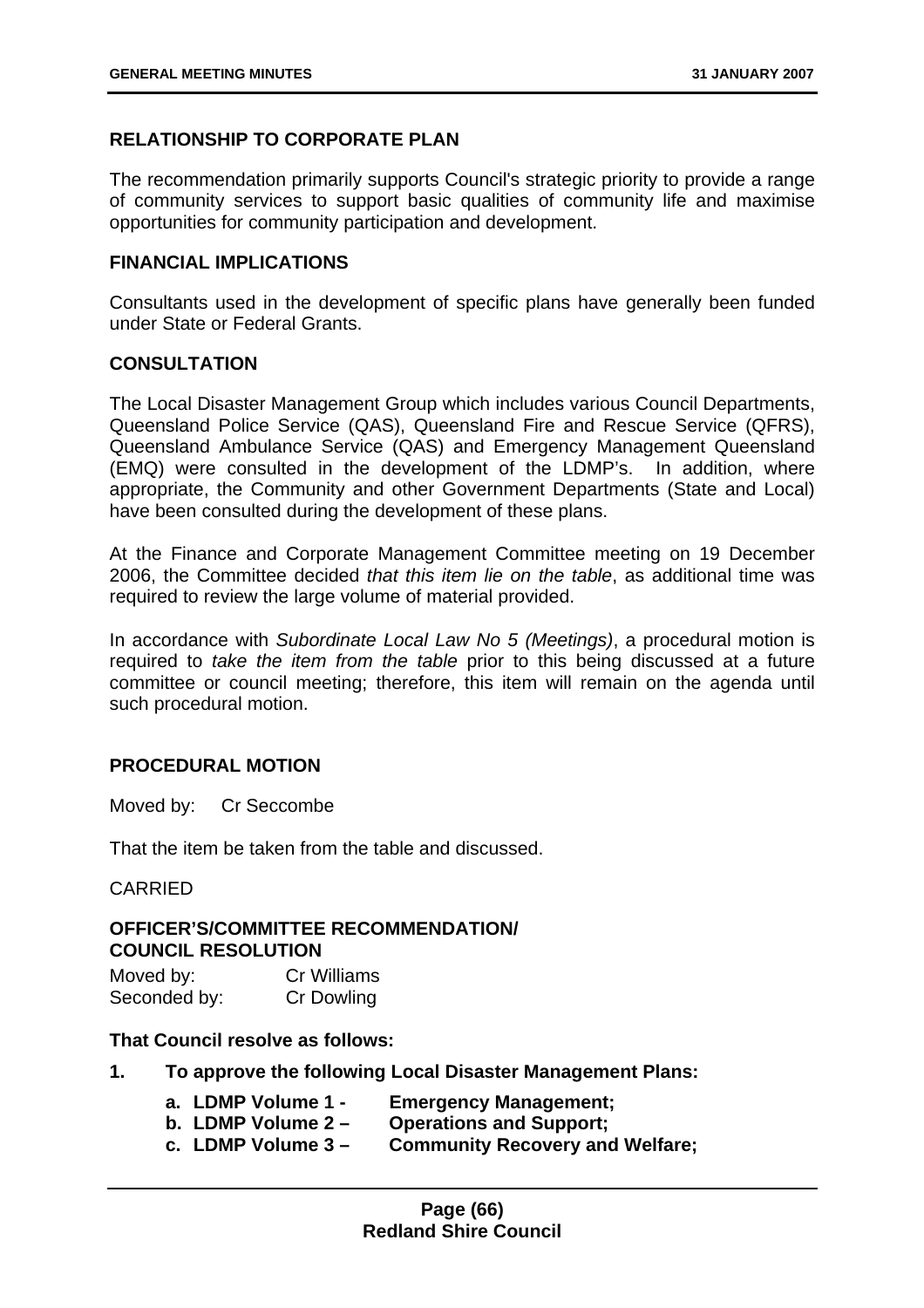# **RELATIONSHIP TO CORPORATE PLAN**

The recommendation primarily supports Council's strategic priority to provide a range of community services to support basic qualities of community life and maximise opportunities for community participation and development.

### **FINANCIAL IMPLICATIONS**

Consultants used in the development of specific plans have generally been funded under State or Federal Grants.

### **CONSULTATION**

The Local Disaster Management Group which includes various Council Departments, Queensland Police Service (QAS), Queensland Fire and Rescue Service (QFRS), Queensland Ambulance Service (QAS) and Emergency Management Queensland (EMQ) were consulted in the development of the LDMP's. In addition, where appropriate, the Community and other Government Departments (State and Local) have been consulted during the development of these plans.

At the Finance and Corporate Management Committee meeting on 19 December 2006, the Committee decided *that this item lie on the table*, as additional time was required to review the large volume of material provided.

In accordance with *Subordinate Local Law No 5 (Meetings)*, a procedural motion is required to *take the item from the table* prior to this being discussed at a future committee or council meeting; therefore, this item will remain on the agenda until such procedural motion.

### **PROCEDURAL MOTION**

Moved by: Cr Seccombe

That the item be taken from the table and discussed.

#### CARRIED

# **OFFICER'S/COMMITTEE RECOMMENDATION/ COUNCIL RESOLUTION**

| Moved by:    | <b>Cr Williams</b> |
|--------------|--------------------|
| Seconded by: | <b>Cr Dowling</b>  |

#### **That Council resolve as follows:**

- **1. To approve the following Local Disaster Management Plans:** 
	- **a. LDMP Volume 1 Emergency Management;**
	- **b. LDMP Volume 2 Operations and Support;**
	- **c. LDMP Volume 3 Community Recovery and Welfare;**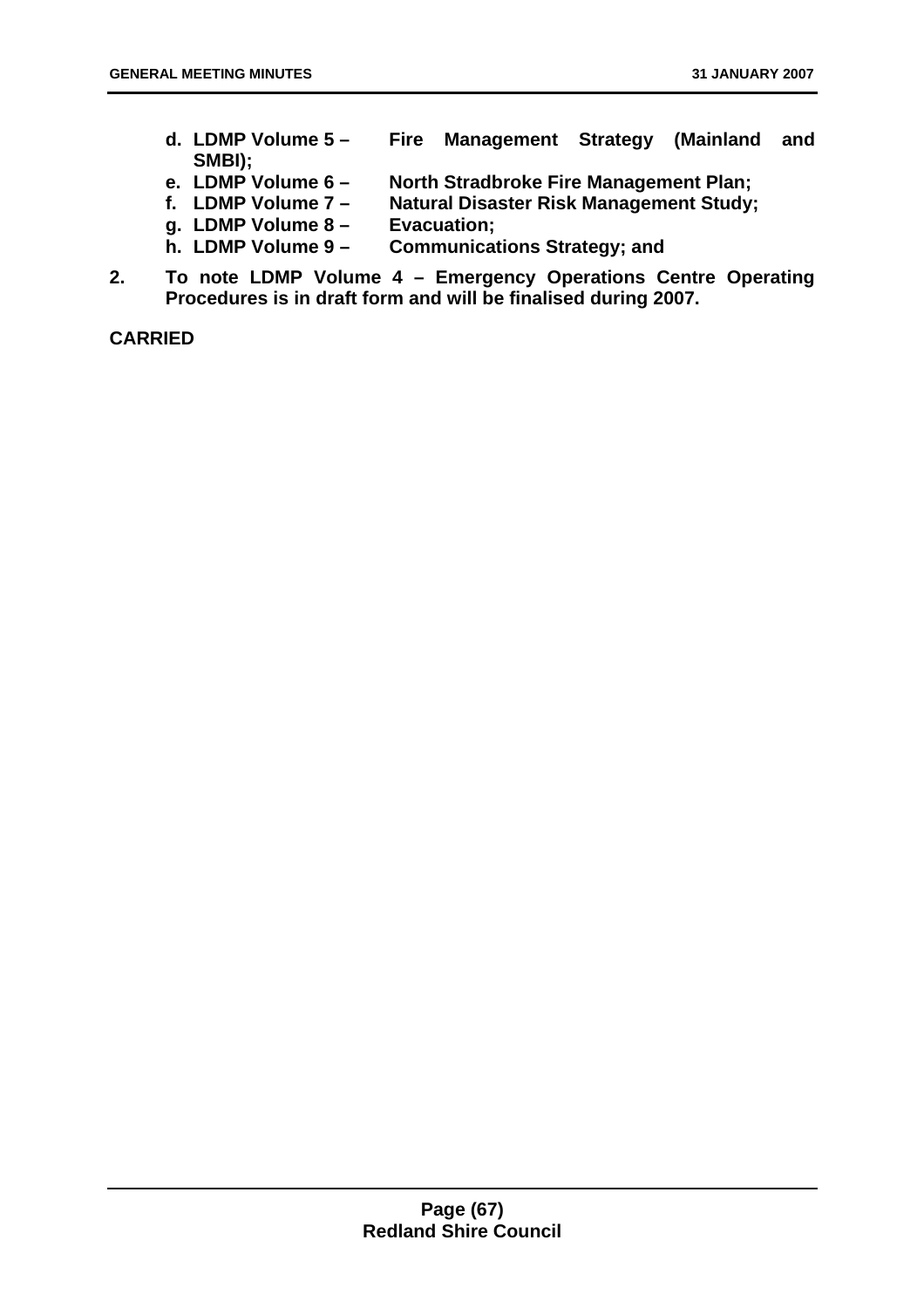- **d. LDMP Volume 5 Fire Management Strategy (Mainland and SMBI);**
- **North Stradbroke Fire Management Plan;**
- **f. LDMP Volume 7 Natural Disaster Risk Management Study;**
- **g. LDMP Volume 8 Evacuation;**
- **h. LDMP Volume 9 Communications Strategy; and**
- **2. To note LDMP Volume 4 Emergency Operations Centre Operating Procedures is in draft form and will be finalised during 2007.**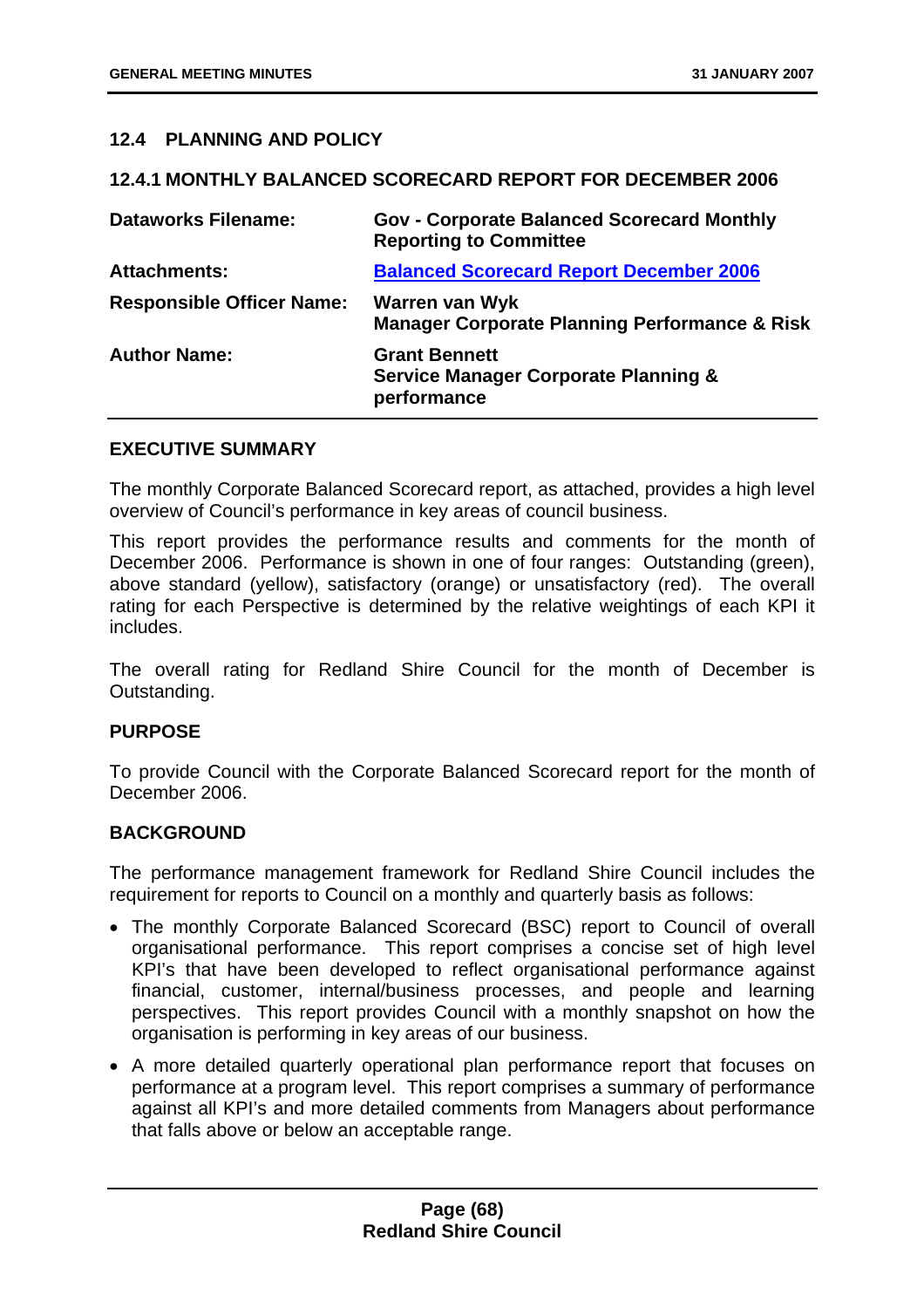# **12.4 PLANNING AND POLICY**

#### **12.4.1 MONTHLY BALANCED SCORECARD REPORT FOR DECEMBER 2006**

| <b>Dataworks Filename:</b>       | <b>Gov - Corporate Balanced Scorecard Monthly</b><br><b>Reporting to Committee</b>     |
|----------------------------------|----------------------------------------------------------------------------------------|
| <b>Attachments:</b>              | <b>Balanced Scorecard Report December 2006</b>                                         |
| <b>Responsible Officer Name:</b> | Warren van Wyk<br><b>Manager Corporate Planning Performance &amp; Risk</b>             |
| <b>Author Name:</b>              | <b>Grant Bennett</b><br><b>Service Manager Corporate Planning &amp;</b><br>performance |

#### **EXECUTIVE SUMMARY**

The monthly Corporate Balanced Scorecard report, as attached, provides a high level overview of Council's performance in key areas of council business.

This report provides the performance results and comments for the month of December 2006. Performance is shown in one of four ranges: Outstanding (green), above standard (yellow), satisfactory (orange) or unsatisfactory (red). The overall rating for each Perspective is determined by the relative weightings of each KPI it includes.

The overall rating for Redland Shire Council for the month of December is Outstanding.

### **PURPOSE**

To provide Council with the Corporate Balanced Scorecard report for the month of December 2006.

### **BACKGROUND**

The performance management framework for Redland Shire Council includes the requirement for reports to Council on a monthly and quarterly basis as follows:

- The monthly Corporate Balanced Scorecard (BSC) report to Council of overall organisational performance. This report comprises a concise set of high level KPI's that have been developed to reflect organisational performance against financial, customer, internal/business processes, and people and learning perspectives. This report provides Council with a monthly snapshot on how the organisation is performing in key areas of our business.
- A more detailed quarterly operational plan performance report that focuses on performance at a program level. This report comprises a summary of performance against all KPI's and more detailed comments from Managers about performance that falls above or below an acceptable range.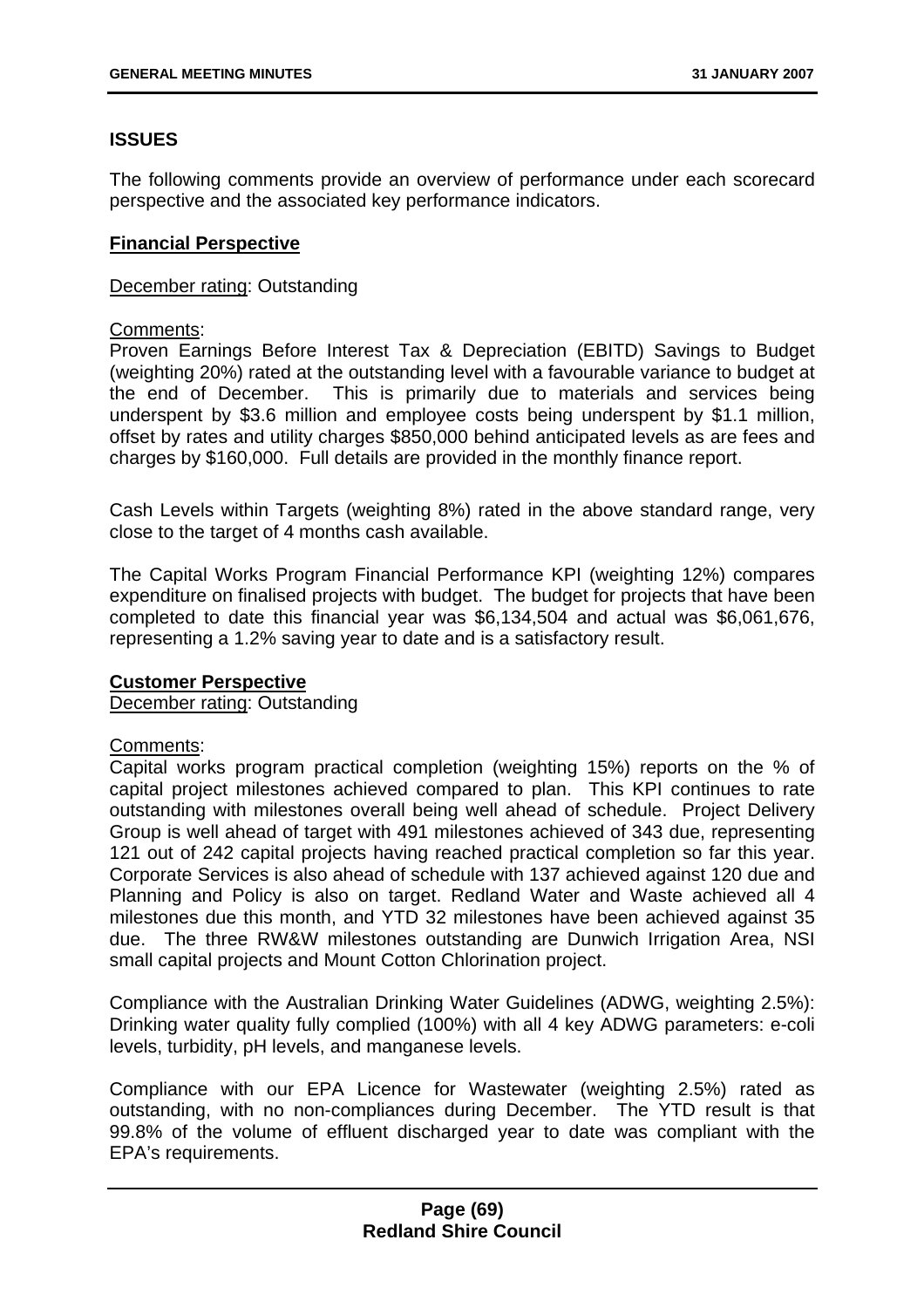# **ISSUES**

The following comments provide an overview of performance under each scorecard perspective and the associated key performance indicators.

### **Financial Perspective**

### December rating: Outstanding

### Comments:

Proven Earnings Before Interest Tax & Depreciation (EBITD) Savings to Budget (weighting 20%) rated at the outstanding level with a favourable variance to budget at the end of December. This is primarily due to materials and services being underspent by \$3.6 million and employee costs being underspent by \$1.1 million, offset by rates and utility charges \$850,000 behind anticipated levels as are fees and charges by \$160,000. Full details are provided in the monthly finance report.

Cash Levels within Targets (weighting 8%) rated in the above standard range, very close to the target of 4 months cash available.

The Capital Works Program Financial Performance KPI (weighting 12%) compares expenditure on finalised projects with budget. The budget for projects that have been completed to date this financial year was \$6,134,504 and actual was \$6,061,676, representing a 1.2% saving year to date and is a satisfactory result.

### **Customer Perspective**

December rating: Outstanding

## Comments:

Capital works program practical completion (weighting 15%) reports on the % of capital project milestones achieved compared to plan. This KPI continues to rate outstanding with milestones overall being well ahead of schedule. Project Delivery Group is well ahead of target with 491 milestones achieved of 343 due, representing 121 out of 242 capital projects having reached practical completion so far this year. Corporate Services is also ahead of schedule with 137 achieved against 120 due and Planning and Policy is also on target. Redland Water and Waste achieved all 4 milestones due this month, and YTD 32 milestones have been achieved against 35 due. The three RW&W milestones outstanding are Dunwich Irrigation Area, NSI small capital projects and Mount Cotton Chlorination project.

Compliance with the Australian Drinking Water Guidelines (ADWG, weighting 2.5%): Drinking water quality fully complied (100%) with all 4 key ADWG parameters: e-coli levels, turbidity, pH levels, and manganese levels.

Compliance with our EPA Licence for Wastewater (weighting 2.5%) rated as outstanding, with no non-compliances during December. The YTD result is that 99.8% of the volume of effluent discharged year to date was compliant with the EPA's requirements.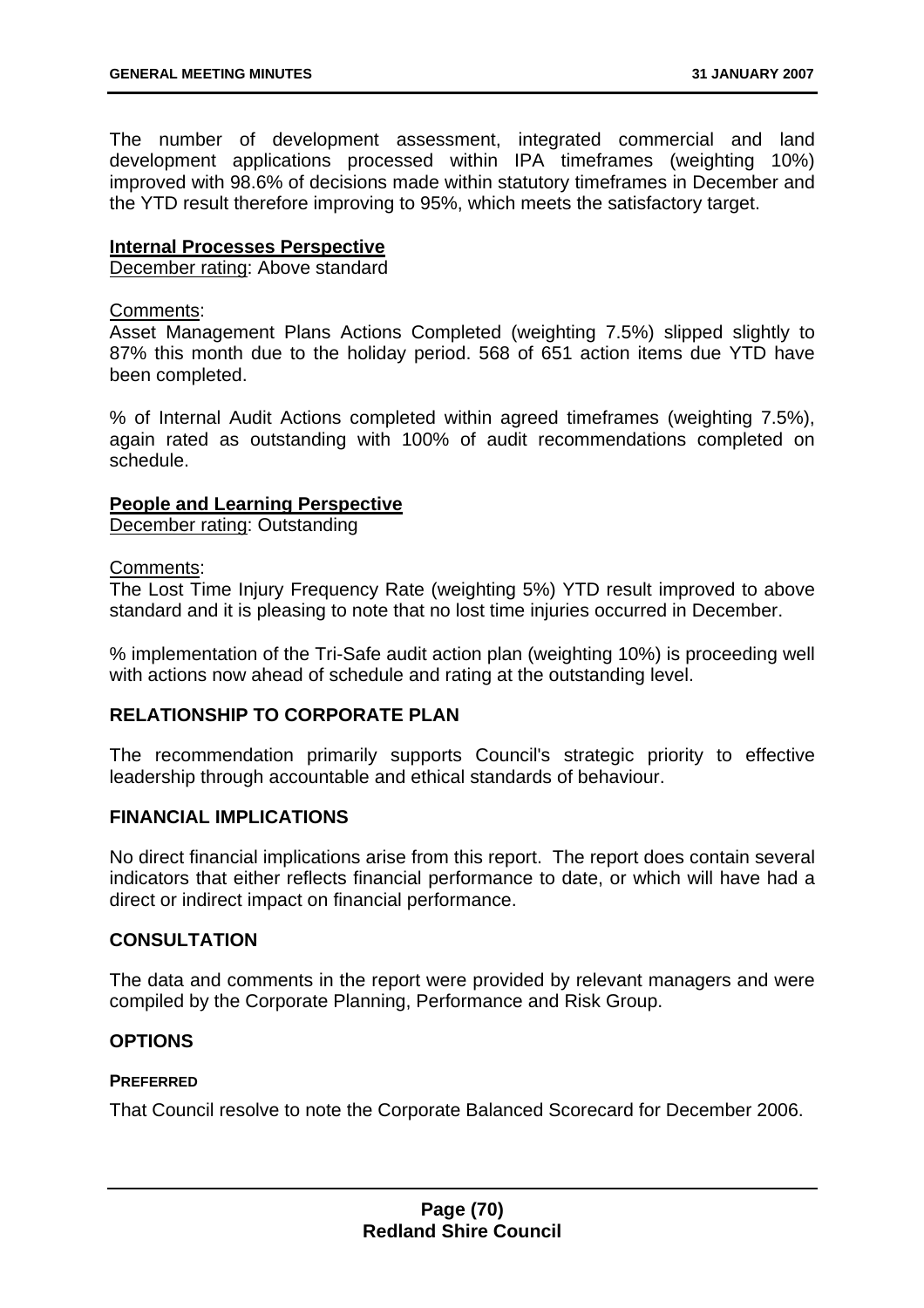The number of development assessment, integrated commercial and land development applications processed within IPA timeframes (weighting 10%) improved with 98.6% of decisions made within statutory timeframes in December and the YTD result therefore improving to 95%, which meets the satisfactory target.

### **Internal Processes Perspective**

December rating: Above standard

#### Comments:

Asset Management Plans Actions Completed (weighting 7.5%) slipped slightly to 87% this month due to the holiday period. 568 of 651 action items due YTD have been completed.

% of Internal Audit Actions completed within agreed timeframes (weighting 7.5%), again rated as outstanding with 100% of audit recommendations completed on schedule.

### **People and Learning Perspective**

December rating: Outstanding

#### Comments:

The Lost Time Injury Frequency Rate (weighting 5%) YTD result improved to above standard and it is pleasing to note that no lost time injuries occurred in December.

% implementation of the Tri-Safe audit action plan (weighting 10%) is proceeding well with actions now ahead of schedule and rating at the outstanding level.

### **RELATIONSHIP TO CORPORATE PLAN**

The recommendation primarily supports Council's strategic priority to effective leadership through accountable and ethical standards of behaviour.

## **FINANCIAL IMPLICATIONS**

No direct financial implications arise from this report. The report does contain several indicators that either reflects financial performance to date, or which will have had a direct or indirect impact on financial performance.

### **CONSULTATION**

The data and comments in the report were provided by relevant managers and were compiled by the Corporate Planning, Performance and Risk Group.

### **OPTIONS**

## **PREFERRED**

That Council resolve to note the Corporate Balanced Scorecard for December 2006.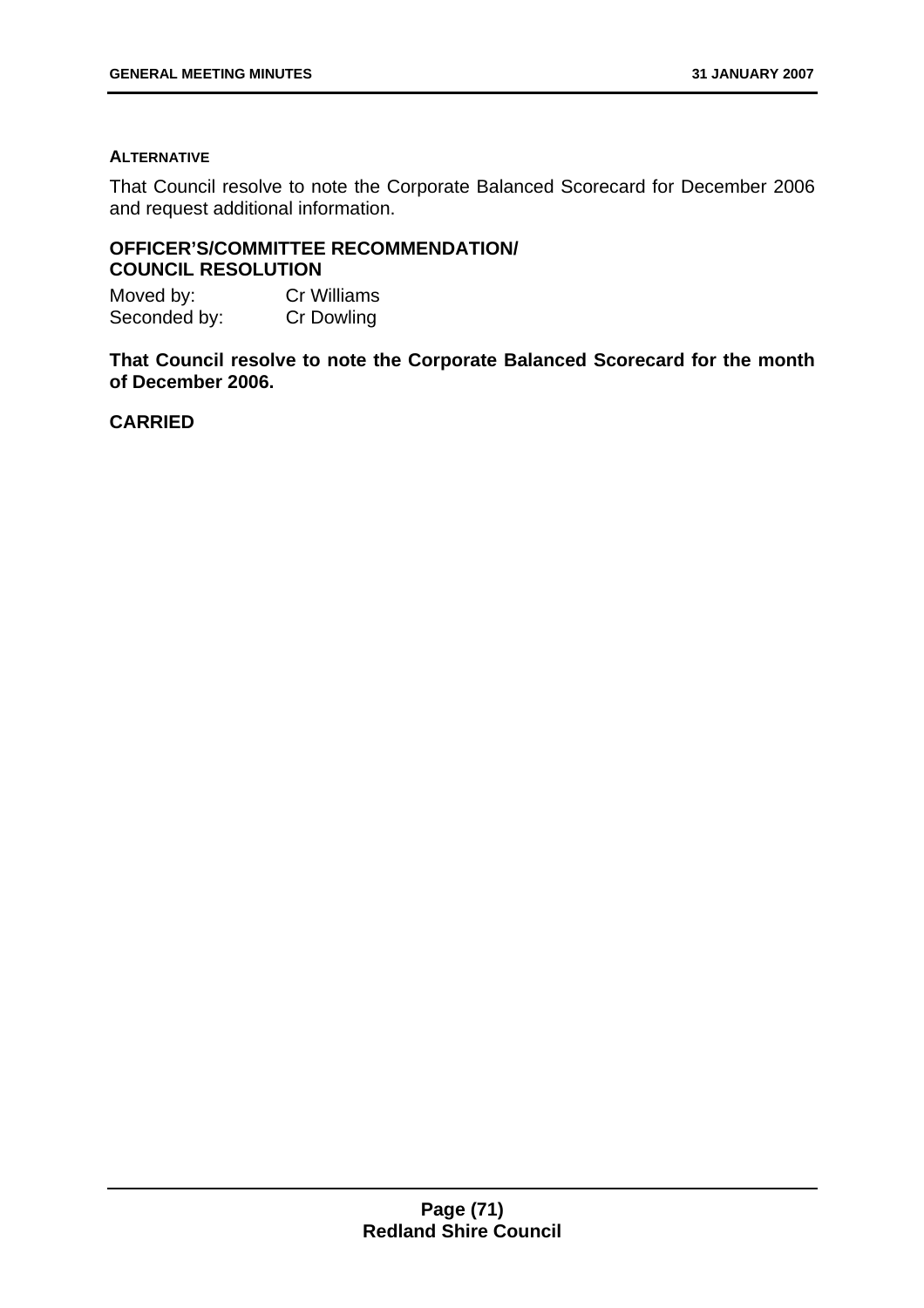#### **ALTERNATIVE**

That Council resolve to note the Corporate Balanced Scorecard for December 2006 and request additional information.

# **OFFICER'S/COMMITTEE RECOMMENDATION/ COUNCIL RESOLUTION**

| Moved by:    | <b>Cr Williams</b> |
|--------------|--------------------|
| Seconded by: | <b>Cr Dowling</b>  |

**That Council resolve to note the Corporate Balanced Scorecard for the month of December 2006.**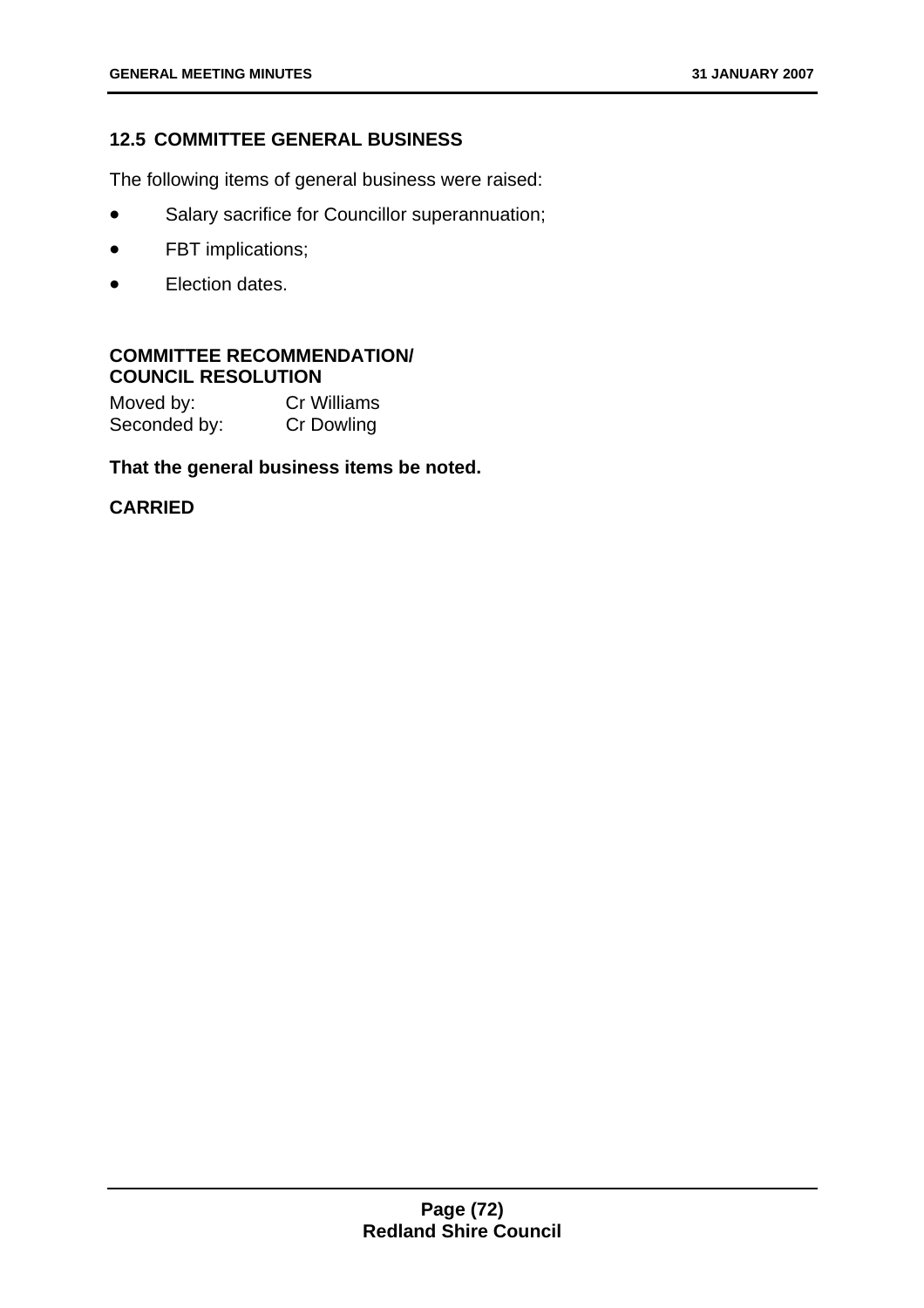# **12.5 COMMITTEE GENERAL BUSINESS**

The following items of general business were raised:

- Salary sacrifice for Councillor superannuation;
- FBT implications;
- Election dates.

## **COMMITTEE RECOMMENDATION/ COUNCIL RESOLUTION**

| Moved by:    | <b>Cr Williams</b> |
|--------------|--------------------|
| Seconded by: | <b>Cr Dowling</b>  |

## **That the general business items be noted.**

# **CARRIED**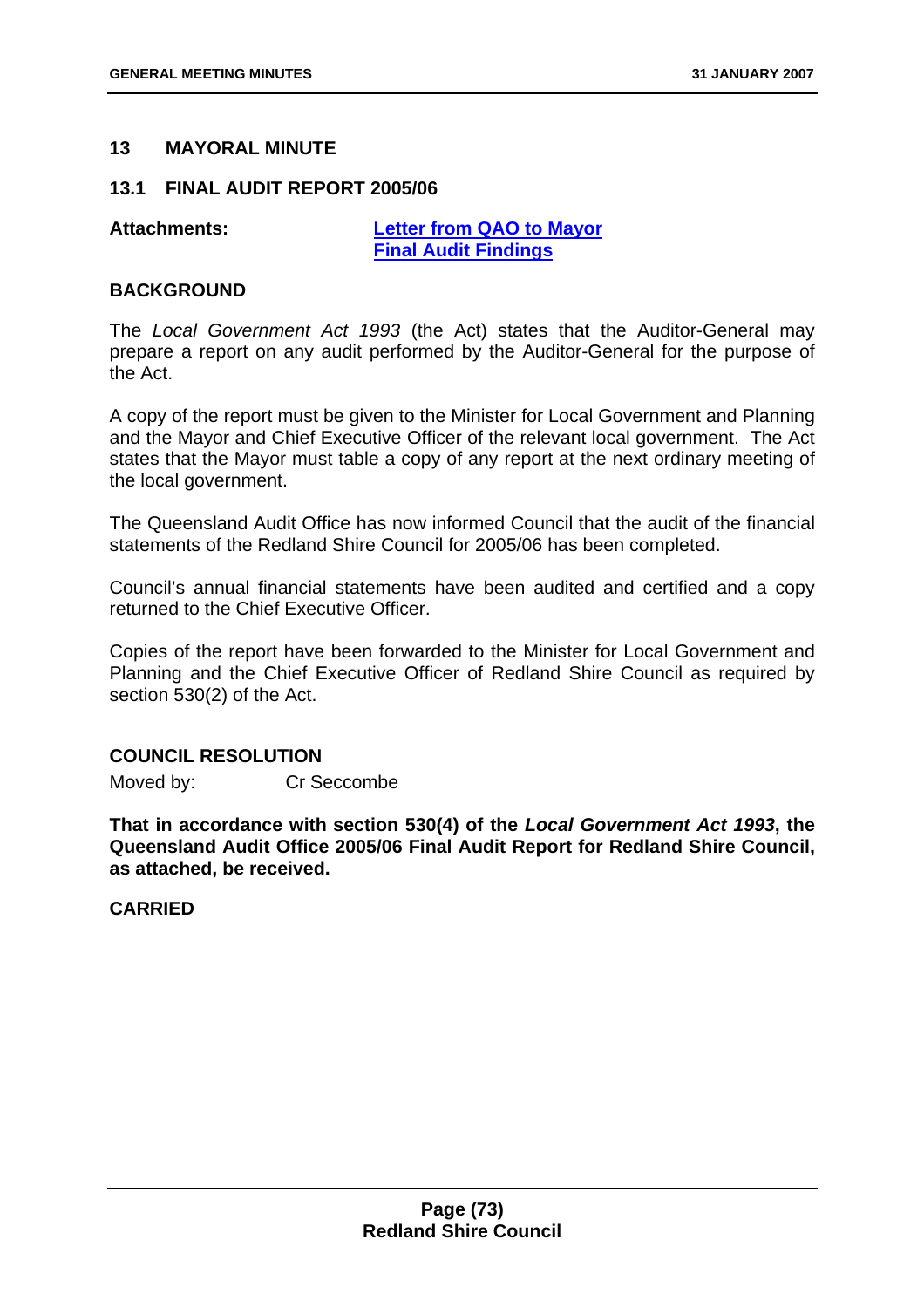## **13 MAYORAL MINUTE**

#### **13.1 FINAL AUDIT REPORT 2005/06**

**Attachments: Letter from QAO to Mayor Final Audit Findings**

#### **BACKGROUND**

The *Local Government Act 1993* (the Act) states that the Auditor-General may prepare a report on any audit performed by the Auditor-General for the purpose of the Act.

A copy of the report must be given to the Minister for Local Government and Planning and the Mayor and Chief Executive Officer of the relevant local government. The Act states that the Mayor must table a copy of any report at the next ordinary meeting of the local government.

The Queensland Audit Office has now informed Council that the audit of the financial statements of the Redland Shire Council for 2005/06 has been completed.

Council's annual financial statements have been audited and certified and a copy returned to the Chief Executive Officer.

Copies of the report have been forwarded to the Minister for Local Government and Planning and the Chief Executive Officer of Redland Shire Council as required by section 530(2) of the Act.

#### **COUNCIL RESOLUTION**

Moved by: Cr Seccombe

**That in accordance with section 530(4) of the** *Local Government Act 1993***, the Queensland Audit Office 2005/06 Final Audit Report for Redland Shire Council, as attached, be received.** 

**CARRIED**